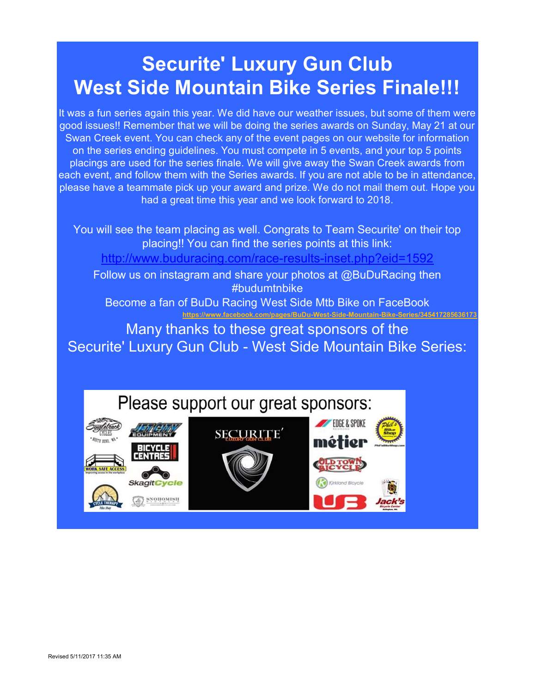# Securite' Luxury Gun Club West Side Mountain Bike Series Finale!!!

It was a fun series again this year. We did have our weather issues, but some of them were good issues!! Remember that we will be doing the series awards on Sunday, May 21 at our Swan Creek event. You can check any of the event pages on our website for information on the series ending guidelines. You must compete in 5 events, and your top 5 points placings are used for the series finale. We will give away the Swan Creek awards from each event, and follow them with the Series awards. If you are not able to be in attendance, please have a teammate pick up your award and prize. We do not mail them out. Hope you had a great time this year and we look forward to 2018.

You will see the team placing as well. Congrats to Team Securite' on their top placing!! You can find the series points at this link:

http://www.buduracing.com/race-results-inset.php?eid=1592

Follow us on instagram and share your photos at @BuDuRacing then #budumtnbike

Become a fan of BuDu Racing West Side Mtb Bike on FaceBook https://www.facebook.com/pages/BuDu-West-Side-Mountain-Bike-Series/345417285636173

Many thanks to these great sponsors of the Securite' Luxury Gun Club - West Side Mountain Bike Series:



**NOTIOMIST**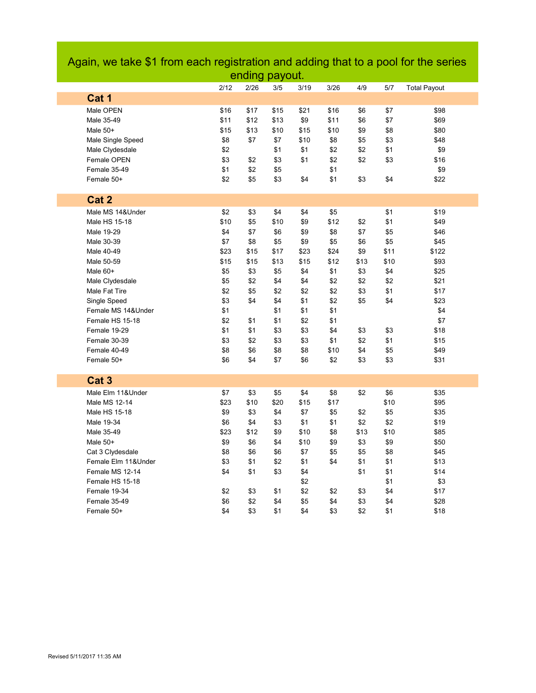|                     |      | enaing payout. |      |      |      |      |      |                     |  |
|---------------------|------|----------------|------|------|------|------|------|---------------------|--|
|                     | 2/12 | 2/26           | 3/5  | 3/19 | 3/26 | 4/9  | 5/7  | <b>Total Payout</b> |  |
| Cat 1               |      |                |      |      |      |      |      |                     |  |
| Male OPEN           | \$16 | \$17           | \$15 | \$21 | \$16 | \$6  | \$7  | \$98                |  |
| Male 35-49          | \$11 | \$12           | \$13 | \$9  | \$11 | \$6  | \$7  | \$69                |  |
| Male 50+            | \$15 | \$13           | \$10 | \$15 | \$10 | \$9  | \$8  | \$80                |  |
| Male Single Speed   | \$8  | \$7            | \$7  | \$10 | \$8  | \$5  | \$3  | \$48                |  |
| Male Clydesdale     | \$2  |                | \$1  | \$1  | \$2  | \$2  | \$1  | \$9                 |  |
| Female OPEN         | \$3  | \$2            | \$3  | \$1  | \$2  | \$2  | \$3  | \$16                |  |
| Female 35-49        | \$1  | \$2            | \$5  |      | \$1  |      |      | \$9                 |  |
| Female 50+          | \$2  | \$5            | \$3  | \$4  | \$1  | \$3  | \$4  | \$22                |  |
|                     |      |                |      |      |      |      |      |                     |  |
| Cat 2               |      |                |      |      |      |      |      |                     |  |
| Male MS 14&Under    | \$2  | \$3            | \$4  | \$4  | \$5  |      | \$1  | \$19                |  |
| Male HS 15-18       | \$10 | \$5            | \$10 | \$9  | \$12 | \$2  | \$1  | \$49                |  |
| Male 19-29          | \$4  | \$7            | \$6  | \$9  | \$8  | \$7  | \$5  | \$46                |  |
| Male 30-39          | \$7  | \$8            | \$5  | \$9  | \$5  | \$6  | \$5  | \$45                |  |
| Male 40-49          | \$23 | \$15           | \$17 | \$23 | \$24 | \$9  | \$11 | \$122               |  |
| Male 50-59          | \$15 | \$15           | \$13 | \$15 | \$12 | \$13 | \$10 | \$93                |  |
| Male 60+            | \$5  | \$3            | \$5  | \$4  | \$1  | \$3  | \$4  | \$25                |  |
| Male Clydesdale     | \$5  | \$2            | \$4  | \$4  | \$2  | \$2  | \$2  | \$21                |  |
| Male Fat Tire       | \$2  | \$5            | \$2  | \$2  | \$2  | \$3  | \$1  | \$17                |  |
| Single Speed        | \$3  | \$4            | \$4  | \$1  | \$2  | \$5  | \$4  | \$23                |  |
| Female MS 14&Under  | \$1  |                | \$1  | \$1  | \$1  |      |      | \$4                 |  |
| Female HS 15-18     | \$2  | \$1            | \$1  | \$2  | \$1  |      |      | \$7                 |  |
| Female 19-29        | \$1  | \$1            | \$3  | \$3  | \$4  | \$3  | \$3  | \$18                |  |
| Female 30-39        | \$3  | \$2            | \$3  | \$3  | \$1  | \$2  | \$1  | \$15                |  |
| Female 40-49        | \$8  | \$6            | \$8  | \$8  | \$10 | \$4  | \$5  | \$49                |  |
| Female 50+          | \$6  | \$4            | \$7  | \$6  | \$2  | \$3  | \$3  | \$31                |  |
|                     |      |                |      |      |      |      |      |                     |  |
| Cat <sub>3</sub>    |      |                |      |      |      |      |      |                     |  |
| Male Elm 11&Under   | \$7  | \$3            | \$5  | \$4  | \$8  | \$2  | \$6  | \$35                |  |
| Male MS 12-14       | \$23 | \$10           | \$20 | \$15 | \$17 |      | \$10 | \$95                |  |
| Male HS 15-18       | \$9  | \$3            | \$4  | \$7  | \$5  | \$2  | \$5  | \$35                |  |
| Male 19-34          | \$6  | \$4            | \$3  | \$1  | \$1  | \$2  | \$2  | \$19                |  |
| Male 35-49          | \$23 | \$12           | \$9  | \$10 | \$8  | \$13 | \$10 | \$85                |  |
| Male 50+            | \$9  | \$6            | \$4  | \$10 | \$9  | \$3  | \$9  | \$50                |  |
| Cat 3 Clydesdale    | \$8  | \$6            | \$6  | \$7  | \$5  | \$5  | \$8  | \$45                |  |
| Female Elm 11&Under | \$3  | \$1            | \$2  | \$1  | \$4  | \$1  | \$1  | \$13                |  |
| Female MS 12-14     | \$4  | \$1            | \$3  | \$4  |      | \$1  | \$1  | \$14                |  |
| Female HS 15-18     |      |                |      | \$2  |      |      | \$1  | \$3                 |  |
| Female 19-34        | \$2  | \$3            | \$1  | \$2  | \$2  | \$3  | \$4  | \$17                |  |
| Female 35-49        | \$6  | \$2            | \$4  | \$5  | \$4  | \$3  | \$4  | \$28                |  |
| Female 50+          | \$4  | \$3            | \$1  | \$4  | \$3  | \$2  | \$1  | \$18                |  |

## Again, we take \$1 from each registration and adding that to a pool for the series ending payout.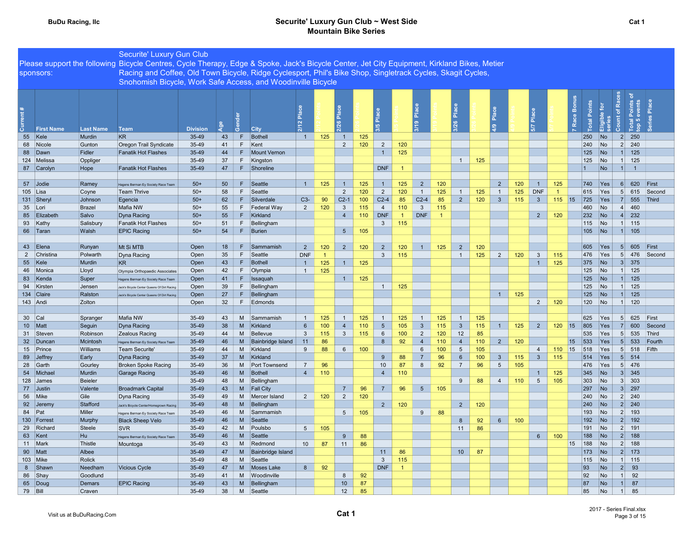|                     |                    | Securite' Luxury Gun Club                                                                                                                    |                 |          |         |                         |                 |                |                 |     |                            |                       |                 |                       |                 |     |                 |     |                 |                |                |            |                          |                                            |        |  |
|---------------------|--------------------|----------------------------------------------------------------------------------------------------------------------------------------------|-----------------|----------|---------|-------------------------|-----------------|----------------|-----------------|-----|----------------------------|-----------------------|-----------------|-----------------------|-----------------|-----|-----------------|-----|-----------------|----------------|----------------|------------|--------------------------|--------------------------------------------|--------|--|
|                     |                    | Please support the following Bicycle Centres, Cycle Therapy, Edge & Spoke, Jack's Bicycle Center, Jet City Equipment, Kirkland Bikes, Metier |                 |          |         |                         |                 |                |                 |     |                            |                       |                 |                       |                 |     |                 |     |                 |                |                |            |                          |                                            |        |  |
| sponsors:           |                    | Racing and Coffee, Old Town Bicycle, Ridge Cyclesport, Phil's Bike Shop, Singletrack Cycles, Skagit Cycles,                                  |                 |          |         |                         |                 |                |                 |     |                            |                       |                 |                       |                 |     |                 |     |                 |                |                |            |                          |                                            |        |  |
|                     |                    | Snohomish Bicycle, Work Safe Access, and Woodinville Bicycle                                                                                 |                 |          |         |                         |                 |                |                 |     |                            |                       |                 |                       |                 |     |                 |     |                 |                |                |            |                          |                                            |        |  |
|                     |                    |                                                                                                                                              |                 |          |         |                         |                 |                |                 |     |                            |                       |                 |                       |                 |     |                 |     |                 |                |                |            |                          |                                            |        |  |
|                     |                    |                                                                                                                                              |                 |          |         |                         |                 |                |                 |     |                            |                       |                 |                       |                 |     |                 |     |                 |                |                |            |                          |                                            |        |  |
|                     |                    |                                                                                                                                              |                 |          |         |                         |                 |                |                 |     |                            |                       |                 |                       |                 |     |                 |     |                 |                | Bonu           | Points     | of Rac                   | Points<br>events                           | Place  |  |
|                     |                    |                                                                                                                                              |                 |          |         |                         |                 |                |                 |     |                            |                       | ه ا             |                       | Place           |     | $\frac{a}{2}$   |     | Place<br>Place  |                |                |            | ible for                 |                                            |        |  |
|                     |                    |                                                                                                                                              |                 |          |         |                         | 2/12 Place      |                | 2/26 Place      |     | ۱ň                         |                       | 3/19            |                       | 3/26            |     |                 |     |                 |                | Race           | Total      | Count                    | Total I<br>top 5                           | Series |  |
| <b>First Name</b>   | <b>Last Name</b>   | <b>Team</b>                                                                                                                                  | <b>Division</b> | তঁ়<br>ৰ | ஃ       | City                    |                 |                |                 |     | ம                          |                       |                 |                       |                 |     | $\frac{6}{4}$   |     | 5/7             |                |                |            | Eligi<br>Seri            |                                            |        |  |
| 55 Kele             | Murdin             | <b>KR</b>                                                                                                                                    | 35-49           | 43       | F       | Bothell                 | $\overline{1}$  | 125            | $\overline{1}$  | 125 |                            |                       |                 |                       |                 |     |                 |     |                 |                |                | 250        | No                       | 2 <br>250                                  |        |  |
| 68 Nicole           | Gunton             | Oregon Trail Syndicate                                                                                                                       | 35-49           | 41       | F.      | Kent                    |                 |                | $\overline{2}$  | 120 | $\overline{2}$             | 120                   |                 |                       |                 |     |                 |     |                 |                |                | 240        | No                       | $2 \mid 240$                               |        |  |
| 88 Dawn             | Fidler             | <b>Fanatik Hot Flashes</b>                                                                                                                   | 35-49           | 44       | F.      | Mount Vernon            |                 |                |                 |     | $\overline{1}$             | 125                   |                 |                       |                 |     |                 |     |                 |                |                | 125        | No                       | 125<br>1                                   |        |  |
| 124 Melissa         | Oppliger           |                                                                                                                                              | 35-49           | 37       |         | F Kingston              |                 |                |                 |     |                            |                       |                 |                       | $\overline{1}$  | 125 |                 |     |                 |                |                | 125        | No                       | $1 \quad 125$                              |        |  |
| 87 Carolyn          | Hope               | <b>Fanatik Hot Flashes</b>                                                                                                                   | 35-49           | 47       | F       | Shoreline               |                 |                |                 |     | <b>DNF</b>                 | $\overline{1}$        |                 |                       |                 |     |                 |     |                 |                | $\overline{1}$ |            | No                       | 1<br>$\overline{1}$                        |        |  |
|                     |                    |                                                                                                                                              |                 |          |         |                         |                 |                |                 |     |                            |                       |                 |                       |                 |     |                 |     |                 |                |                |            |                          |                                            |        |  |
| 57 Jodie            | Ramey              | Hagens Berman Ey Society Race Team                                                                                                           | $50+$           | 50       | F       | Seattle                 | $\overline{1}$  | 125            | $\overline{1}$  | 125 | $\overline{1}$             | 125                   | $\overline{2}$  | 120                   |                 |     | $\overline{2}$  | 120 | 1               | 125            |                | 740        | <b>Yes</b>               | 620<br>6                                   | First  |  |
| 105 Lisa            | Coyne              | Team Thrive                                                                                                                                  | $50+$           | 58       | F       | Seattle                 |                 |                | $\overline{2}$  | 120 | $\overline{2}$             | 120                   | $\overline{1}$  | 125                   | $\overline{1}$  | 125 | $\overline{1}$  | 125 | <b>DNF</b>      | $\overline{1}$ |                | 615        | Yes                      | 5 <sup>5</sup><br>615                      | Second |  |
| 131 Sheryl          | Johnson            | Egencia                                                                                                                                      | $50+$           | 62       | F.      | Silverdale              | $C3-$           | 90             | $C2-1$          | 100 | $C2-4$                     | 85                    | $C2-4$          | 85                    | $\overline{2}$  | 120 | $\mathbf{3}$    | 115 | 3 <sup>5</sup>  | $115$ 15       |                | 725        | <b>Yes</b>               | 555<br>7 <sup>1</sup>                      | Third  |  |
| 35 Lori             | <b>Brazel</b>      | Mafia NW                                                                                                                                     | $50+$           | 55       |         | F   Federal Way         | $\overline{2}$  | 120            | $\mathbf{3}$    | 115 | $\overline{4}$             | 110                   | $\overline{3}$  | 115<br>$\overline{1}$ |                 |     |                 |     |                 |                |                | 460        | N <sub>o</sub>           | $\vert$<br>460                             |        |  |
| 85 Elizabeth        | Salvo              | Dyna Racing<br><b>Fanatik Hot Flashes</b>                                                                                                    | $50+$<br>$50+$  | 55<br>51 | F<br>F. | Kirkland<br>Bellingham  |                 |                | $\overline{4}$  | 110 | <b>DNF</b><br>$\mathbf{3}$ | $\overline{1}$<br>115 | <b>DNF</b>      |                       |                 |     |                 |     | $\overline{2}$  | 120            |                | 232<br>115 | No<br>No                 | 232<br>$\left  4 \right $<br>$1 \quad 115$ |        |  |
| 93 Kathy            | Salisbury<br>Walsh | <b>EPIC Racing</b>                                                                                                                           | $50+$           | 54       | F       | Burien                  |                 |                | $5\overline{)}$ | 105 |                            |                       |                 |                       |                 |     |                 |     |                 |                |                | 105        | No                       | 1<br>105                                   |        |  |
| 66 Taran            |                    |                                                                                                                                              |                 |          |         |                         |                 |                |                 |     |                            |                       |                 |                       |                 |     |                 |     |                 |                |                |            |                          |                                            |        |  |
| 43 Elena            | Runyan             | Mt Si MTB                                                                                                                                    | Open            | 18       | F       | Sammamish               | $\overline{2}$  | 120            | $\overline{2}$  | 120 | $\overline{2}$             | 120                   | $\overline{1}$  | 125                   | $\overline{2}$  | 120 |                 |     |                 |                |                | 605        | Yes                      | 605<br>5 <sup>5</sup>                      | First  |  |
| 2 Christina         | Polwarth           | Dyna Racing                                                                                                                                  | Open            | 35       | F       | Seattle                 | <b>DNF</b>      | $\overline{1}$ |                 |     | $\mathbf{3}$               | 115                   |                 |                       | $\overline{1}$  | 125 | $\overline{2}$  | 120 | $\mathbf{3}$    | 115            |                | 476        | Yes                      | 5 <sup>1</sup><br>476                      | Second |  |
| 55 Kele             | Murdin             | KR                                                                                                                                           | Open            | 43       | F       | Bothell                 | $\overline{1}$  | 125            | $\overline{1}$  | 125 |                            |                       |                 |                       |                 |     |                 |     | 1               | 125            |                | 375        | No                       | 3 <sup>l</sup><br>375                      |        |  |
| 46 Monica           | Lloyd              | Olympia Orthopaedic Associates                                                                                                               | Open            | 42       | F.      | Olympia                 | $\overline{1}$  | 125            |                 |     |                            |                       |                 |                       |                 |     |                 |     |                 |                |                | 125        | No                       | 125<br>1                                   |        |  |
| 83 Kenda            | Super              | Hagens Berman Ey Society Race Team                                                                                                           | Open            | 41       | F       | Issaquah                |                 |                | $\overline{1}$  | 125 |                            |                       |                 |                       |                 |     |                 |     |                 |                |                | 125        | No                       | 125<br>1 <sup>1</sup>                      |        |  |
| 94 Kirsten          | Jensen             | Jack's Bicycle Center Queens Of Dirt Racin                                                                                                   | Open            | 39       | F       | Bellingham              |                 |                |                 |     | $\overline{1}$             | 125                   |                 |                       |                 |     |                 |     |                 |                |                | 125        | No                       | $1 \mid 125$                               |        |  |
| 134 Claire          | Ralston            | Jack's Bicycle Center Queens Of Dirt Racing                                                                                                  | Open            | 27       | F.      | Bellingham              |                 |                |                 |     |                            |                       |                 |                       |                 |     | $\overline{1}$  | 125 |                 |                |                | 125        | $\overline{\mathsf{No}}$ | 1<br>125                                   |        |  |
| 143 Andi            | Zolton             |                                                                                                                                              | Open            | 32       | F       | Edmonds                 |                 |                |                 |     |                            |                       |                 |                       |                 |     |                 |     | $\overline{2}$  | 120            |                | 120        | No                       | $1 \quad 120$                              |        |  |
|                     |                    |                                                                                                                                              |                 |          |         |                         |                 |                |                 |     |                            |                       |                 |                       |                 |     |                 |     |                 |                |                |            |                          |                                            |        |  |
| 30 Cal              | Spranger           | Mafia NW                                                                                                                                     | 35-49           | 43       | M       | Sammamish               | $\overline{1}$  | 125            |                 | 125 | $\overline{1}$             | 125                   | $\overline{1}$  | 125                   | $\overline{1}$  | 125 |                 |     |                 |                |                | 625        | Yes                      | 5 <sup>1</sup><br>625                      | First  |  |
| 10 Matt             | Seguin             | Dyna Racing                                                                                                                                  | 35-49           | 38       | M       | Kirkland                | $6\phantom{1}$  | 100            | $\overline{4}$  | 110 | $5\phantom{.0}$            | 105                   | $\overline{3}$  | 115                   | $\mathbf{3}$    | 115 | $\overline{1}$  | 125 | $\overline{2}$  | 120            | $ 15\rangle$   | 805        | Yes                      | 600<br>$\overline{7}$                      | Second |  |
| 31 Steven           | Robinson           | Zealous Racing                                                                                                                               | 35-49           | 44       | M       | Bellevue                | $\mathbf{3}$    | 115            | $\mathbf{3}$    | 115 | 6                          | 100                   | $\overline{2}$  | 120                   | 12              | 85  |                 |     |                 |                |                | 535        | Yes                      | 535<br>5 <sup>1</sup>                      | Third  |  |
| 32 Duncan           | Mcintosh           | Hagens Berman Ey Society Race Team                                                                                                           | 35-49           | 46       | M       | Bainbridge Island       | 11              | 86             |                 |     | 8                          | 92                    | $\overline{4}$  | 110                   | $\overline{4}$  | 110 | $\overline{2}$  | 120 |                 |                | 533<br>15      |            | Yes                      | 5 <sub>l</sub><br>533                      | Fourth |  |
| 15 Prince           | Williams           | Team Securite'                                                                                                                               | 35-49           | 44       | M       | Kirkland                | 9               | 88             | $6\phantom{.}6$ | 100 |                            |                       | 6               | 100                   | $5\phantom{.0}$ | 105 |                 |     | $\overline{4}$  | 110            | 15             | 518        | Yes                      | 5 <sup>5</sup><br>518                      | Fifth  |  |
| 89 Jeffrey          | Early              | Dyna Racing                                                                                                                                  | 35-49           | 37       | M       | Kirkland                |                 |                |                 |     | 9                          | 88                    | $\overline{7}$  | 96                    | 6               | 100 | $\mathbf{3}$    | 115 | $\mathbf{3}$    | 115            |                | 514        | <b>Yes</b>               | 5 <sup>1</sup><br>514                      |        |  |
| 28 Garth            | Gourley            | <b>Broken Spoke Racing</b>                                                                                                                   | 35-49           | 36       | M       | Port Townsend           | $\overline{7}$  | 96             |                 |     | 10                         | 87                    | 8               | 92                    | $\overline{7}$  | 96  | 5               | 105 |                 |                |                | 476        | Yes                      | 5 476                                      |        |  |
| 54 Michael          | Murdin             | <b>Garage Racing</b>                                                                                                                         | 35-49           | 46       | M       | Bothell                 | $\overline{4}$  | 110            |                 |     | $\overline{4}$             | 110                   |                 |                       |                 |     |                 |     | $\mathbf{1}$    | 125            |                | 345        | $\overline{\mathsf{No}}$ | 345<br>3                                   |        |  |
| 128 James           | Beieler            |                                                                                                                                              | 35-49           | 48       | M       | Bellingham              |                 |                |                 |     |                            |                       |                 |                       | 9               | 88  | $\overline{4}$  | 110 | $5\overline{)}$ | 105            |                | 303        | No                       | $3 \overline{\smash{\big)}\smash{303}}$    |        |  |
| 77 Justin           | Valente            | <b>Broadmark Capital</b>                                                                                                                     | $35-49$         | 43       | M       | <b>Fall City</b>        |                 |                | $\overline{7}$  | 96  | $\overline{7}$             | 96                    | $5\overline{)}$ | 105                   |                 |     |                 |     |                 |                | 297            |            | N <sub>o</sub>           | 3 <sup>1</sup><br>297                      |        |  |
| 56 Mike             | Gile<br>Stafford   | Dyna Racing                                                                                                                                  | 35-49           | 49       | M       | Mercer Island           | $\overline{2}$  | 120            | $\overline{2}$  | 120 |                            | 120                   |                 |                       | $\overline{2}$  | 120 |                 |     |                 |                |                | 240<br>240 | No<br>No                 | 2 240<br>$2 \mid 240$                      |        |  |
| 92 Jeremy<br>84 Pat | Miller             | Jack's Bicycle Center/Homegrown Racing<br>Hagens Berman Ey Society Race Team                                                                 | 35-49<br>35-49  | 48<br>46 | M<br>M  | Bellingham<br>Sammamish |                 |                | $5\overline{5}$ | 105 | $\overline{2}$             |                       | 9               | 88                    |                 |     |                 |     |                 |                |                | 193        | No                       | $2 \mid 193$                               |        |  |
| 130   Forrest       | Murphy             | <b>Black Sheep Velo</b>                                                                                                                      | 35-49           | 46       | M       | Seattle                 |                 |                |                 |     |                            |                       |                 |                       | 8               | 92  | $6\overline{6}$ | 100 |                 |                |                | 192        | No                       | $2$ 192                                    |        |  |
| 29 Richard          | Steele             | <b>SVR</b>                                                                                                                                   | 35-49           | 42       | M       | Poulsbo                 | $5\overline{5}$ | 105            |                 |     |                            |                       |                 |                       | 11              | 86  |                 |     |                 |                |                | 191        | No                       | 2 191                                      |        |  |
| 63 Kent             | Hu                 | Hagens Berman Ey Society Race Team                                                                                                           | 35-49           | 46       | M       | Seattle                 |                 |                | 9               | 88  |                            |                       |                 |                       |                 |     |                 |     | $6\overline{6}$ | 100            |                | 188        | <b>No</b>                | 2<br>188                                   |        |  |
| 11 Mark             | Thistle            | Mountoga                                                                                                                                     | 35-49           | 43       | M       | Redmond                 | 10              | 87             | 11              | 86  |                            |                       |                 |                       |                 |     |                 |     |                 |                | 15             | 188        | No                       | 2<br>188                                   |        |  |
| 90 Matt             | Albee              |                                                                                                                                              | 35-49           | 47       | M       | Bainbridge Island       |                 |                |                 |     | 11                         | 86                    |                 |                       | 10 <sup>°</sup> | 87  |                 |     |                 |                |                | 173        | No                       | 2 <br>173                                  |        |  |
| 103 Mike            | Rolick             |                                                                                                                                              | 35-49           | 48       | M       | Seattle                 |                 |                |                 |     | $\mathbf{3}$               | 115                   |                 |                       |                 |     |                 |     |                 |                |                | 115        | No                       | $1 \quad 115$                              |        |  |
| 8 Shawr             | Needham            | <b>Vicious Cycle</b>                                                                                                                         | $35-49$         | 47       | M       | Moses Lake              | 8               | 92             |                 |     | <b>DNF</b>                 | $\overline{1}$        |                 |                       |                 |     |                 |     |                 |                | 93             |            | <b>No</b>                | 93<br>2                                    |        |  |
| 86 Shay             | Goodlund           |                                                                                                                                              | 35-49           | 41       |         | M Woodinville           |                 |                | 8               | 92  |                            |                       |                 |                       |                 |     |                 |     |                 |                | 92             |            | <b>No</b>                | 92<br>1                                    |        |  |
| 65 Doug             | Demars             | <b>EPIC Racing</b>                                                                                                                           | 35-49           | 43       | M       | Bellingham              |                 |                | 10 <sup>°</sup> | 87  |                            |                       |                 |                       |                 |     |                 |     |                 |                | 87             |            | <b>No</b>                | 87<br>1                                    |        |  |
| 79 Bill             | Craven             |                                                                                                                                              | 35-49           | 38       | M       | Seattle                 |                 |                | 12              | 85  |                            |                       |                 |                       |                 |     |                 |     |                 |                | 85             |            | No                       | 85<br>1                                    |        |  |

г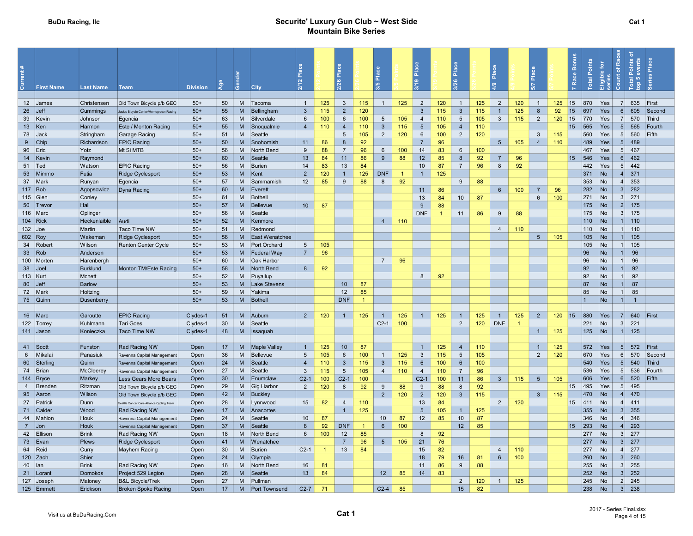#### BuDu Racing, Ilc **Securite' Luxury Gun Club ~ West Side** Securite' Luxury Gun Club ~ West Side Mountain Bike Series

| <b>First Name</b>    | <b>Last Name</b> | Team                                      | <b>Division</b> | ్లా      | ŏ        | City                  | Place<br>2/12   |                      | Place<br>2/26       |                | /5 Place       |                | ۴å<br>$\frac{1}{2}$ |                | Place<br>3/26        |           | Ιĉ              |                | -8<br><b>P<sub>la</sub></b> |     | Race Bonus       | Points<br><b>Total</b> | <b>Races</b><br>Eligible for<br>series<br>Count of | ৳<br>Points<br>events<br>Total<br>top 5        | Place<br>ries |        |
|----------------------|------------------|-------------------------------------------|-----------------|----------|----------|-----------------------|-----------------|----------------------|---------------------|----------------|----------------|----------------|---------------------|----------------|----------------------|-----------|-----------------|----------------|-----------------------------|-----|------------------|------------------------|----------------------------------------------------|------------------------------------------------|---------------|--------|
|                      |                  |                                           |                 |          |          |                       |                 |                      |                     |                |                |                |                     |                |                      |           |                 |                |                             |     |                  |                        |                                                    |                                                |               |        |
| 12 James             | Christensen      | Old Town Bicycle p/b GEC                  | $50+$           | 50       | M        | Tacoma                | $\overline{1}$  | 125                  | $\mathbf{3}$        | 115            | $\overline{1}$ | 125            | $\overline{2}$      | 120            | $\overline{1}$       | 125       | 2               | 120            | 1                           | 125 | 15               | 870                    | Yes                                                | 635<br>7                                       | First         |        |
| $26$ Jeff            | Cummings         | Jack's Bicycle Center/Homegrown Racing    | $50+$           | 55       | M        | Bellingham            | $\mathbf{3}$    | 115                  | $\overline{2}$      | 120            |                |                | $\overline{3}$      | 115            | $\mathbf{3}$         | 115       | $\overline{1}$  | 125            | $\boldsymbol{8}$            | 92  | 15               | 697                    | Yes                                                | 605<br>6                                       |               | Second |
| 39 Kevin             | Johnson          | Egencia                                   | $50+$           | 63       | M        | Silverdale            | 6               | 100                  | 6                   | 100            | 5              | 105            | $\overline{4}$      | 110            | 5                    | 105       | $\mathbf{3}$    | 115            | $\overline{2}$              | 120 | 15               | 770                    | Yes                                                | 570<br>$\overline{7}$                          | Third         |        |
| 13 $ $ Ken           | Harmon           | Este / Monton Racing                      | $50+$           | 55       | M        | Snoqualmie            | $\overline{4}$  | 110                  | $\overline{4}$      | 110            | $\mathbf{3}$   | 115            | 5                   | 105            | $\overline{4}$       | 110       |                 |                |                             |     | 15               | 565                    | Yes                                                | 5<br>565                                       |               | Fourth |
| 78 Jack              | Stringham        | Garage Racing                             | $50+$           | 51       | M        | Seattle               |                 |                      | -5                  | 105            | $\overline{2}$ | 120            | 6                   | 100            | $\overline{2}$       | 120       |                 |                | 3                           | 115 |                  | 560                    | Yes                                                | 560<br>5 <sup>5</sup>                          | Fifth         |        |
| 9 Chip               | Richardson       | <b>EPIC Racing</b>                        | $50+$           | 50       | M        | Snohomish             | 11              | 86                   | 8<br>$\overline{7}$ | 92             |                |                | $\overline{7}$      | 96             |                      |           | $5\overline{5}$ | 105            | $\overline{4}$              | 110 |                  | 489                    | Yes                                                | 489<br>5 <sup>1</sup>                          |               |        |
| 96 Eric              | Yotz             | Mt Si MTB                                 | $50+$<br>$50+$  | 56<br>60 | M<br>M   | North Bend<br>Seattle | 9<br>13         | 88                   | 11                  | 96             | 6<br>9         | 100<br>88      | 14<br>12            | 83<br>85       | $6\overline{6}$<br>8 | 100<br>92 | $\overline{7}$  | 96             |                             |     | 15               | 467<br>546             | Yes                                                | 5 <sup>1</sup><br>467<br>6 <sup>1</sup><br>462 |               |        |
| 14 Kevin             | Raymond          |                                           | $50+$           | 56       | M        |                       | 14              | 84<br>83             | 13                  | 86<br>84       |                |                | 10                  | 87             | $\overline{7}$       | 96        | 8               | 92             |                             |     |                  | 442                    | Yes                                                | 442<br>5 <sup>1</sup>                          |               |        |
| 51   Ted<br>53 Mimmo | Watson<br>Futia  | <b>EPIC Racing</b><br>Ridge Cyclesport    | $50+$           | 53       | M        | Burien<br>Kent        | $\overline{2}$  | 120                  |                     | 125            | <b>DNF</b>     | $\overline{1}$ | $\mathbf{1}$        | 125            |                      |           |                 |                |                             |     |                  | 371                    | Yes<br><b>No</b>                                   | 371<br>$\vert 4 \vert$                         |               |        |
| 37 Mark              | Runyan           | Egencia                                   | $50+$           | 57       | M        | Sammamish             | 12              | 85                   | 9                   | 88             | 8              | 92             |                     |                | 9                    | 88        |                 |                |                             |     |                  | 353                    | <b>No</b>                                          | $\vert$<br>353                                 |               |        |
| $117$ Bob            | Agopsowicz       | Dyna Racing                               | $50+$           | 60       | M        | Everett               |                 |                      |                     |                |                |                | 11                  | 86             |                      |           | $6\overline{6}$ | 100            | $\overline{7}$              | 96  |                  | 282                    | <b>No</b>                                          | 3 <sup>l</sup><br>282                          |               |        |
| 115 Glen             | Conley           |                                           | $50+$           | 61       | M        | Bothell               |                 |                      |                     |                |                |                | 13                  | 84             | 10 <sup>1</sup>      | 87        |                 |                | 6                           | 100 |                  | 271                    | No                                                 | 3 <sup>l</sup><br>271                          |               |        |
| 50 Trevor            | Hall             |                                           | $50+$           | 57       | M        | Bellevue              | 10 <sup>1</sup> | 87                   |                     |                |                |                | $\overline{9}$      | 88             |                      |           |                 |                |                             |     |                  | 175                    | No                                                 | 2 <br>175                                      |               |        |
| 116 Marc             | Oplinger         |                                           | $50+$           | 56       | M        | Seattle               |                 |                      |                     |                |                |                | <b>DNF</b>          | $\overline{1}$ | 11                   | 86        | 9               | 88             |                             |     |                  | 175                    | No                                                 | 3<br>175                                       |               |        |
| 104 Rick             | Heckenlaible     | Audi                                      | $50+$           | 52       | M        | Kenmore               |                 |                      |                     |                | $\overline{4}$ | 110            |                     |                |                      |           |                 |                |                             |     |                  | 110                    | No                                                 | 110<br>1                                       |               |        |
| $132$ Joe            | Martin           | <b>Taco Time NW</b>                       | $50+$           | 51       | M        | Redmond               |                 |                      |                     |                |                |                |                     |                |                      |           | $\overline{4}$  | 110            |                             |     |                  | 110                    | No                                                 | 1110                                           |               |        |
| 602 Roy              | Wakeman          | <b>Ridge Cyclesport</b>                   | $50+$           | 56       | M        | East Wenatchee        |                 |                      |                     |                |                |                |                     |                |                      |           |                 |                | $5\overline{)}$             | 105 |                  | 105                    | No                                                 | 105<br>1                                       |               |        |
| 34 Robert            | Wilson           | Renton Center Cycle                       | $50+$           | 53       | M        | Port Orchard          | $5\phantom{.0}$ | 105                  |                     |                |                |                |                     |                |                      |           |                 |                |                             |     |                  | 105                    | No                                                 | 105<br>1                                       |               |        |
| 33   Rob             | Anderson         |                                           | $50+$           | 53       | M        | Federal Wav           | $\overline{7}$  | 96                   |                     |                |                |                |                     |                |                      |           |                 |                |                             |     |                  | 96                     | <b>No</b>                                          | 96<br>$\mathbf{1}$                             |               |        |
| 100 Morten           | Harenbergh       |                                           | $50+$           | 60       | M        | Oak Harbor            |                 |                      |                     |                | $\overline{7}$ | 96             |                     |                |                      |           |                 |                |                             |     |                  | 96                     | No                                                 | 96<br>1                                        |               |        |
| 38 Joel              | <b>Burklund</b>  | Monton TM/Este Racing                     | $50+$           | 58       | M        | North Bend            | 8               | 92                   |                     |                |                |                |                     |                |                      |           |                 |                |                             |     |                  | 92                     | <b>No</b>                                          | 92<br>$\mathbf{1}$                             |               |        |
| 113 Kurt             | Mcnett           |                                           | $50+$           | 52       | M        | Puyallup              |                 |                      |                     |                |                |                | 8                   | 92             |                      |           |                 |                |                             |     |                  | 92                     | No                                                 | 92<br>1                                        |               |        |
| 80 Jeff              | <b>Barlow</b>    |                                           | $50+$           | 53       | M        | Lake Stevens          |                 |                      | 10                  | 87             |                |                |                     |                |                      |           |                 |                |                             |     |                  | 87                     | <b>No</b>                                          | 87<br>1 <sup>1</sup>                           |               |        |
| 72 Mark              | Holtzing         |                                           | $50+$           | 59       | M        | Yakima                |                 |                      | 12                  | 85             |                |                |                     |                |                      |           |                 |                |                             |     |                  | 85                     | No                                                 | 85<br>1                                        |               |        |
| 75 Quinn             | Dusenberry       |                                           | $50+$           | 53       | M        | Bothell               |                 |                      | <b>DNF</b>          | $\overline{1}$ |                |                |                     |                |                      |           |                 |                |                             |     |                  |                        | <b>No</b>                                          | $\mathbf{1}$<br>$\overline{1}$                 |               |        |
|                      |                  |                                           |                 |          |          |                       |                 |                      |                     |                |                |                |                     |                |                      |           |                 |                |                             |     |                  |                        |                                                    |                                                |               |        |
| 16 Marc              | Garoutte         | <b>EPIC Racing</b>                        | Clydes-1        | 51       | M        | Auburn                | $\overline{2}$  | 120                  | $\overline{1}$      | 125            | $\mathbf{1}$   | 125            | $\overline{1}$      | 125            | $\overline{1}$       | 125       | $\overline{1}$  | 125            | $\overline{2}$              | 120 | 15               | 880                    | Yes                                                | 640<br>7 <sup>1</sup>                          | First         |        |
| 122 Torrey           | Kuhlmann         | <b>Tari Goes</b>                          | Clydes-1        | 30       | M        | Seattle               |                 |                      |                     |                | $C2-1$         | 100            |                     |                | $\overline{2}$       | 120       | <b>DNF</b>      | $\overline{1}$ |                             |     |                  | 221                    | No                                                 | 3 <sup>l</sup><br>221                          |               |        |
| 141 Jason            | Konieczka        | <b>Taco Time NW</b>                       | Clydes-1        | 48       | M        | Issaquah              |                 |                      |                     |                |                |                |                     |                |                      |           |                 |                | $\mathbf{1}$                | 125 |                  | 125                    | No                                                 | 125<br>1 <sup>1</sup>                          |               |        |
|                      |                  |                                           |                 |          |          |                       |                 |                      |                     |                |                |                |                     |                |                      |           |                 |                |                             |     |                  |                        |                                                    |                                                |               |        |
| 41 Scott             | Funston          | Rad Racing NW                             | Open            | 17       | M        | <b>Maple Valley</b>   | $\overline{1}$  | 125                  | 10                  | 87             |                |                | $\overline{1}$      | 125            | $\overline{4}$       | 110       |                 |                | $\overline{1}$              | 125 |                  | 572                    | Yes                                                | 572<br>5 <sup>5</sup>                          | First         |        |
| 6 Mikala             | Panasiuk         | Ravenna Capital Management                | Open            | 36       | M        | Bellevue              | 5               | 105                  | 6                   | 100            | $\mathbf{1}$   | 125            | $\overline{3}$      | 115            | $5\phantom{.0}$      | 105       |                 |                | $\overline{2}$              | 120 |                  | 670                    | Yes                                                | 570<br>6 <sup>1</sup>                          |               | Second |
| 60 Sterling          | Quinn            | Ravenna Capital Management                | Open            | 24       | M        | Seattle               | $\overline{4}$  | 110                  | $\mathbf{3}$        | 115            | $\mathbf{3}$   | 115            | $6\phantom{1}6$     | 100            | 6                    | 100       |                 |                |                             |     |                  | 540                    | <b>Yes</b>                                         | 5<br>540                                       |               | Third  |
| 74 Brian             | McCleerey        | Ravenna Capital Management                | Open            | 27       | M        | Seattle               | $\mathbf{3}$    | 115                  | 5                   | 105            | $\overline{4}$ | 110            | $\overline{4}$      | 110            | $\overline{7}$       | 96        |                 |                |                             |     |                  | 536                    | Yes                                                | 536<br>5 <sup>1</sup>                          |               | Fourth |
| 144 Bryce            | Markey           | Less Gears More Bears                     | Open            | 30       | M        | Enumclaw              | $C2-1$          | 100                  | $C2-1$              | 100            |                |                | $C2-1$              | 100            | 11                   | 86        | $\mathbf{3}$    | 115            | $5\overline{)}$             | 105 |                  | 606                    | <b>Yes</b>                                         | 520<br>6 <sup>1</sup>                          | Fifth         |        |
| 4 Brenden            | Ritzman          | Old Town Bicycle p/b GEC                  | Open            | 29       | M        | Gig Harbor            | $\overline{2}$  | 120                  | -8                  | 92             | 9              | 88             | 9                   | 88             | 8                    | 92        |                 |                |                             |     | 15               | 495                    | Yes                                                | 5 <sup>1</sup><br>495                          |               |        |
| 95 Aaron             | Wilson           | Old Town Bicycle p/b GEC                  | Open            | 42       | M        | Buckley               |                 |                      |                     |                | $\overline{2}$ | 120            | $\overline{2}$      | 120            | $\mathbf{3}$         | 115       |                 |                | $\mathbf{3}$                | 115 |                  | 470                    | No                                                 | $4 \mid 470$                                   |               |        |
| 27 Patrick           | Dunn             | Seattle Cancer Care Alliance Cycling Team | Open            | 28       | M        | Lynnwood              | 15              | 82                   | $\overline{4}$      | 110            |                |                | 13                  | 84             |                      |           | $\overline{2}$  | 120            |                             |     | 15 <sup>15</sup> | 411                    | No                                                 | $4 \ 411$                                      |               |        |
| 71 Calder            | Wood             | Rad Racing NW                             | Open            | 17       | M        | Anacortes             |                 |                      |                     | 125            |                |                | $5\phantom{.0}$     | 105            | $\overline{1}$       | 125       |                 |                |                             |     |                  | 355                    | <b>No</b>                                          | 3 <sup>l</sup><br>355                          |               |        |
| 44 Mahlon            | Houk             | Ravenna Capital Management                | Open            | 24       | M        | Seattle               | 10              | 87                   |                     |                | 10             | 87             | 12                  | 85             | 10                   | 87        |                 |                |                             |     |                  | 346                    | No                                                 | $4 \mid 346$                                   |               |        |
| $7$ Jon              | Houk             | Ravenna Capital Management                | Open            | 37       | M        | Seattle               | 8               | 92                   | <b>DNF</b>          | $\overline{1}$ | 6              | 100            |                     |                | 12                   | 85        |                 |                |                             |     | 15               | 293                    | No                                                 | $\vert$<br>293                                 |               |        |
| 42 Ellison           | <b>Brink</b>     | Rad Racing NW                             | Open            | 18       | M        | North Bend            | 6               | 100                  | 12                  | 85             |                |                | 8                   | 92             |                      |           |                 |                |                             |     |                  | 277                    | No                                                 | $3 \overline{\smash{\big)}\ 277}$              |               |        |
| 73 Evan              | Plews            | <b>Ridge Cyclesport</b>                   | Open            | 41       | <b>M</b> | Wenatchee             |                 |                      | $\overline{7}$      | 96             | $5\phantom{1}$ | 105            | 21                  | 76             |                      |           |                 |                |                             |     |                  | 277                    | No                                                 | 3 <sup>1</sup><br>277                          |               |        |
| 64 Reid              | Curry            | <b>Mayhem Racing</b>                      | Open            | 30       | M        | Burien                | $C2-1$          | $\blacktriangleleft$ | 13                  | 84             |                |                | 15                  | 82             |                      |           | $\overline{4}$  | 110            |                             |     |                  | 277                    | No                                                 | 277<br>$\vert 4 \vert$                         |               |        |
| 120 Zach             | Shier            |                                           | Open            | 24       | M        | Olympia               |                 |                      |                     |                |                |                | 18                  | 79             | 16                   | 81        | 6               | 100            |                             |     |                  | 260                    | <b>No</b>                                          | 260<br>3 <sup>1</sup>                          |               |        |
| 40 lan               | <b>Brink</b>     | Rad Racing NW                             | Open            | 16       | M        | North Bend            | 16              | 81                   |                     |                |                |                | 11                  | 86             | 9                    | 88        |                 |                |                             |     |                  | 255                    | No                                                 | 255<br>3 <sup>1</sup>                          |               |        |
| 21   Lorant          | Domokos          | Project 529 Legion                        | Open            | 28       | M        | Seattle               | 13              | 84                   |                     |                | 12             | 85             | 14                  | 83             |                      |           |                 |                |                             |     |                  | 252                    | No                                                 | 3 <sup>l</sup><br>252                          |               |        |
| 127 Joseph           | Maloney          | <b>B&amp;L Bicycle/Trek</b>               | Open            | 27       | M        | Pullman               |                 |                      |                     |                |                |                |                     |                | $\overline{2}$       | 120       | $\overline{1}$  | 125            |                             |     |                  | 245                    | No                                                 | $2 \mid 245$                                   |               |        |
| 125 Emmett           | Erickson         | <b>Broken Spoke Racing</b>                | Open            | 17       | <b>M</b> | <b>Port Townsend</b>  | $C2-7$          | 71                   |                     |                | $C2-4$         | 85             |                     |                | 15                   | 82        |                 |                |                             |     |                  | 238                    | No                                                 | 238<br>3 <sup>l</sup>                          |               |        |
|                      |                  |                                           |                 |          |          |                       |                 |                      |                     |                |                |                |                     |                |                      |           |                 |                |                             |     |                  |                        |                                                    |                                                |               |        |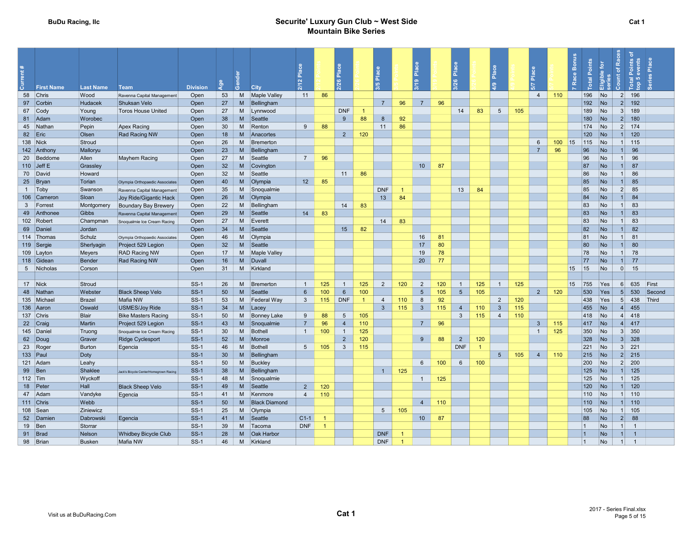#### BuDu Racing, Ilc **Securite' Luxury Gun Club ~ West Side** Securite' Luxury Gun Club ~ West Side Mountain Bike Series

| nt#<br><b>First Name</b> | <b>Last Name</b> | <b>Team</b>                            | <b>Division</b> | g  |          | City                 | 운<br>$\mathbf{a}$ |                | Place<br>26     |                | Place<br><b>10</b> |                      | $\frac{a}{b}$<br>$\circ$ |     | Place<br>26     |                | ۱ă              |     | ۱å              |     | Bonus<br>Race | Points<br>Total | Eligible for<br>series | ৳<br>Race<br>Points<br>events<br>$\overline{\sigma}$<br>Count<br>Total<br>top 5 | Place<br>ries |  |
|--------------------------|------------------|----------------------------------------|-----------------|----|----------|----------------------|-------------------|----------------|-----------------|----------------|--------------------|----------------------|--------------------------|-----|-----------------|----------------|-----------------|-----|-----------------|-----|---------------|-----------------|------------------------|---------------------------------------------------------------------------------|---------------|--|
| 58 Chris                 | Wood             | Ravenna Capital Management             | Open            | 53 | M        | <b>Maple Valley</b>  | 11                | 86             |                 |                |                    |                      |                          |     |                 |                |                 |     | $\overline{4}$  | 110 |               | 196             | No                     | 2<br>196                                                                        |               |  |
| 97 Corbin                | <b>Hudacek</b>   | Shuksan Velo                           | Open            | 27 | M        | Bellingham           |                   |                |                 |                | 7 <sup>7</sup>     | 96                   | $\overline{7}$           | 96  |                 |                |                 |     |                 |     |               | 192             | No                     | 2<br>192                                                                        |               |  |
| 67 Cody                  | Young            | <b>Toros House United</b>              | Open            | 27 | M        | Lynnwood             |                   |                | <b>DNF</b>      |                |                    |                      |                          |     | 14              | 83             | $5\overline{5}$ | 105 |                 |     |               | 189             | No                     | 3 <sup>l</sup><br>189                                                           |               |  |
| 81 Adam                  | Worobec          |                                        | Open            | 38 | M        | Seattle              |                   |                | $\overline{9}$  | 88             | $\boldsymbol{8}$   | 92                   |                          |     |                 |                |                 |     |                 |     |               | 180             | No                     | $2$ 180                                                                         |               |  |
| 45 Nathar                | Pepin            | Apex Racing                            | Open            | 30 | M        | Renton               | 9                 | 88             |                 |                | 11                 | 86                   |                          |     |                 |                |                 |     |                 |     |               | 174             | N <sub>o</sub>         | $2 \mid 174$                                                                    |               |  |
| 82 Eric                  | Olsen            | <b>Rad Racing NW</b>                   | Open            | 18 | M        | Anacortes            |                   |                | $\overline{2}$  | 120            |                    |                      |                          |     |                 |                |                 |     |                 |     |               | 120             | No                     | $1 \quad 120$                                                                   |               |  |
| 138 Nick                 | Stroud           |                                        | Open            | 26 | M        | Bremerton            |                   |                |                 |                |                    |                      |                          |     |                 |                |                 |     | $6\overline{6}$ | 100 | 15            | 115             | No                     | $1 \ 115$                                                                       |               |  |
| 142 Anthony              | Malloryu         |                                        | Open            | 23 | <b>M</b> | Bellingham           |                   |                |                 |                |                    |                      |                          |     |                 |                |                 |     | $\overline{7}$  | 96  |               | 96              | <b>No</b>              | 96<br>1                                                                         |               |  |
| 20 Beddome               | Allen            | <b>Mayhem Racing</b>                   | Open            | 27 | M        | Seattle              | $\overline{7}$    | 96             |                 |                |                    |                      |                          |     |                 |                |                 |     |                 |     |               | 96              | <b>No</b>              | 96<br>1                                                                         |               |  |
| 110 Jeff E               | Grassley         |                                        | Open            | 32 | M        | Covington            |                   |                |                 |                |                    |                      | 10 <sup>1</sup>          | 87  |                 |                |                 |     |                 |     |               | 87              | <b>No</b>              | 87<br>1 <sup>1</sup>                                                            |               |  |
| 70 David                 | Howard           |                                        | Open            | 32 | M        | Seattle              |                   |                | 11              | 86             |                    |                      |                          |     |                 |                |                 |     |                 |     |               | 86              | No                     | 86<br>1                                                                         |               |  |
| 25 Bryan                 | Torian           | Olympia Orthopaedic Associates         | Open            | 40 | <b>M</b> | Olympia              | 12 <sup>°</sup>   | 85             |                 |                |                    |                      |                          |     |                 |                |                 |     |                 |     |               | 85              | <b>No</b>              | 85<br>1 <sup>1</sup>                                                            |               |  |
| 1 Toby                   | Swanson          | Ravenna Capital Management             | Open            | 35 | M        | Snoqualmie           |                   |                |                 |                | <b>DNF</b>         | $\overline{1}$       |                          |     | 13              | 84             |                 |     |                 |     |               | 85              | <b>No</b>              | 2<br>85                                                                         |               |  |
| 106 Cameron              | Sloan            | Joy Ride/Gigantic Hack                 | Open            | 26 | M        | Olympia              |                   |                |                 |                | 13                 | 84                   |                          |     |                 |                |                 |     |                 |     |               | 84              | <b>No</b>              | 84<br>1                                                                         |               |  |
| 3 Forrest                | Montgomery       | <b>Boundary Bay Brewery</b>            | Open            | 22 | M        | Bellingham           |                   |                | 14              | 83             |                    |                      |                          |     |                 |                |                 |     |                 |     |               | 83              | <b>No</b>              | 83<br>1                                                                         |               |  |
| 49 Anthonee              | Gibbs            | Ravenna Capital Management             | Open            | 29 | M        | Seattle              | 14                | 83             |                 |                |                    |                      |                          |     |                 |                |                 |     |                 |     |               | 83              | <b>No</b>              | 83<br>1                                                                         |               |  |
| 102 Robert               | Champman         | Snoqualmie Ice Cream Racing            | Open            | 27 | M        | Everett              |                   |                |                 |                | 14                 | 83                   |                          |     |                 |                |                 |     |                 |     |               | 83              | <b>No</b>              | 83<br>1                                                                         |               |  |
| 69 Daniel                | Jordan           |                                        | Open            | 34 | <b>M</b> | Seattle              |                   |                | 15              | 82             |                    |                      |                          |     |                 |                |                 |     |                 |     |               | 82              | <b>No</b>              | 82<br>1                                                                         |               |  |
| 114 Thomas               | Schulz           | Olympia Orthopaedic Associates         | Open            | 46 | M        | Olympia              |                   |                |                 |                |                    |                      | 16                       | 81  |                 |                |                 |     |                 |     |               | 81              | <b>No</b>              | 81<br>1                                                                         |               |  |
| 119 Sergie               | Sherlyagin       | Project 529 Legion                     | Open            | 32 | M        | Seattle              |                   |                |                 |                |                    |                      | 17                       | 80  |                 |                |                 |     |                 |     |               | 80              | <b>No</b>              | 80<br>1 <sup>1</sup>                                                            |               |  |
| 109 Layton               | Meyers           | <b>RAD Racing NW</b>                   | Open            | 17 | M        | <b>Maple Valley</b>  |                   |                |                 |                |                    |                      | 19                       | 78  |                 |                |                 |     |                 |     |               | 78              | <b>No</b>              | 78<br>1                                                                         |               |  |
| 118 Gidean               | Bender           | Rad Racing NW                          | Open            | 16 | M        | Duvall               |                   |                |                 |                |                    |                      | 20                       | 77  |                 |                |                 |     |                 |     |               | 77              | No                     | 77<br>1                                                                         |               |  |
| 5 Nicholas               | Corson           |                                        | Open            | 31 | M        | Kirkland             |                   |                |                 |                |                    |                      |                          |     |                 |                |                 |     |                 |     | 15            | 15              | No                     | 0 <br>15                                                                        |               |  |
|                          |                  |                                        |                 |    |          |                      |                   |                |                 |                |                    |                      |                          |     |                 |                |                 |     |                 |     |               |                 |                        |                                                                                 |               |  |
| 17 Nick                  | Stroud           |                                        | $SS-1$          | 26 | M        | Bremerton            | $\overline{1}$    | 125            |                 | 125            | $\overline{2}$     | 120                  | $\overline{2}$           | 120 | $\overline{1}$  | 125            | $\overline{1}$  | 125 |                 |     | 15            | 755             | Yes                    | 635<br>6 <sup>1</sup>                                                           | First         |  |
| 48 Nathan                | Webster          | <b>Black Sheep Velo</b>                | $SS-1$          | 50 | M        | Seattle              | 6                 | 100            | 6               | 100            |                    |                      | 5                        | 105 | $5\phantom{.0}$ | 105            |                 |     | $2^{\circ}$     | 120 |               | 530             | Yes                    | 530<br>5 <sup>1</sup>                                                           | Second        |  |
| 135 Michae               | <b>Brazel</b>    | Mafia NW                               | $SS-1$          | 53 |          | M Federal Way        | $\mathbf{3}$      | 115            | <b>DNF</b>      | $\overline{1}$ | $\overline{4}$     | 110                  | 8                        | 92  |                 |                | 2               | 120 |                 |     |               | 438             | Yes                    | 5 438                                                                           | Third         |  |
| 136 Aaron                | Oswald           | <b>USMES/Joy Ride</b>                  | $SS-1$          | 34 | M        | Lace                 |                   |                |                 |                | $\overline{3}$     | 115                  | $\mathbf{3}$             | 115 | $\overline{4}$  | 110            | $\mathbf{3}$    | 115 |                 |     |               | 455             | No                     | 4   455                                                                         |               |  |
| 137 Chris                | Blair            | <b>Bike Masters Racing</b>             | $SS-1$          | 50 | M        | <b>Bonney Lake</b>   | 9                 | 88             | $5\overline{5}$ | 105            |                    |                      |                          |     | $\mathbf{3}$    | 115            | $\overline{4}$  | 110 |                 |     |               | 418             | No                     | $4 \mid 418$                                                                    |               |  |
| 22 Craig                 | Martin           | Project 529 Legion                     | $SS-1$          | 43 | M        | Snoqualmie           | $\overline{7}$    | 96             | $\overline{4}$  | 110            |                    |                      | $\overline{7}$           | 96  |                 |                |                 |     | $\mathbf{3}$    | 115 |               | 417             | No                     | $4 \mid 417$                                                                    |               |  |
| 145 Daniel               | Truong           | Snoqualmie Ice Cream Racing            | $SS-1$          | 30 | M        | Bothell              | $\overline{1}$    | 100            | $\overline{1}$  | 125            |                    |                      |                          |     |                 |                |                 |     | $\mathbf{1}$    | 125 |               | 350             | No                     | $3 \mid 350$                                                                    |               |  |
| 62 Doug                  | Graver           | <b>Ridge Cyclesport</b>                | $SS-1$          | 52 | <b>M</b> | Monroe               |                   |                | $\overline{2}$  | 120            |                    |                      | 9                        | 88  | $\overline{2}$  | 120            |                 |     |                 |     |               | 328             | No                     | $3 \mid 328$                                                                    |               |  |
| 23 Roger                 | Burton           | Egencia                                | $SS-1$          | 46 | M        | Bothell              | $5\overline{5}$   | 105            | $\mathbf{3}$    | 115            |                    |                      |                          |     | <b>DNF</b>      | $\overline{1}$ |                 |     |                 |     |               | 221             | No                     | $3 \quad 221$                                                                   |               |  |
| 133 Paul                 | Doty             |                                        | $SS-1$          | 30 | M        | Bellingham           |                   |                |                 |                |                    |                      |                          |     |                 |                | 5 <sup>5</sup>  | 105 | $\overline{4}$  | 110 |               | 215             | No                     | $2 \overline{215}$                                                              |               |  |
| 121 Adam                 | Leahy            |                                        | $SS-1$          | 50 | M        | Buckley              |                   |                |                 |                |                    |                      | 6                        | 100 | $6\phantom{1}$  | 100            |                 |     |                 |     |               | 200             | No                     | $2 \mid 200$                                                                    |               |  |
| 99 Ben                   | Shaklee          | Jack's Bicycle Center/Homegrown Racing | $SS-1$          | 38 | M        | Bellingham           |                   |                |                 |                | $\overline{1}$     | 125                  |                          |     |                 |                |                 |     |                 |     |               | 125             | No                     | $1 \mid 125$                                                                    |               |  |
| 112 $ Tim$               | Wyckoff          |                                        | <b>SS-1</b>     | 48 | M        | Snoqualmie           |                   |                |                 |                |                    |                      | 1                        | 125 |                 |                |                 |     |                 |     |               | 125             | No                     | $1 \quad 125$                                                                   |               |  |
| 18 Peter                 | Hall             | <b>Black Sheep Velo</b>                | $SS-1$          | 49 | M        | Seattle              | $\overline{2}$    | 120            |                 |                |                    |                      |                          |     |                 |                |                 |     |                 |     |               | 120             | No                     | 120<br>1 <sup>1</sup>                                                           |               |  |
| 47 Adam                  | Vandyke          | Egencia                                | $SS-1$          | 41 | M        | Kenmore              | $\overline{4}$    | 110            |                 |                |                    |                      |                          |     |                 |                |                 |     |                 |     |               | 110             | No                     | $1 \quad 110$                                                                   |               |  |
| 111 Chris                | Webb             |                                        | $SS-1$          | 50 | M        | <b>Black Diamond</b> |                   |                |                 |                |                    |                      | $\overline{4}$           | 110 |                 |                |                 |     |                 |     |               | 110             | No                     | 1  110                                                                          |               |  |
| 108 Sean                 | Ziniewicz        |                                        | $SS-1$          | 25 | M        | Olympia              |                   |                |                 |                | $5\overline{)}$    | 105                  |                          |     |                 |                |                 |     |                 |     |               | 105             | No                     | 105<br>1                                                                        |               |  |
| 52 Damien                | Dabrowski        | Egencia                                | $SS-1$          | 41 | M        | Seattle              | $C1-1$            |                |                 |                |                    |                      | 10                       | 87  |                 |                |                 |     |                 |     |               | 88              | <b>No</b>              | 2<br>88                                                                         |               |  |
| 19 Ben                   | Storrar          |                                        | $SS-1$          | 39 | M        | Tacoma               | <b>DNF</b>        | $\overline{1}$ |                 |                |                    |                      |                          |     |                 |                |                 |     |                 |     |               |                 | No                     | 1<br>$\overline{1}$                                                             |               |  |
| 91 Brad                  | Nelson           | <b>Whidbey Bicycle Club</b>            | $SS-1$          | 28 | <b>M</b> | <b>Oak Harbor</b>    |                   |                |                 |                | <b>DNF</b>         | $\overline{1}$       |                          |     |                 |                |                 |     |                 |     |               | $\overline{1}$  | <b>No</b>              | $\mathbf{1}$<br>$\overline{1}$                                                  |               |  |
| 98 Brian                 | <b>Busken</b>    | Mafia NW                               | $SS-1$          | 46 | M        | Kirkland             |                   |                |                 |                | <b>DNF</b>         | $\blacktriangleleft$ |                          |     |                 |                |                 |     |                 |     |               | $\mathbf{1}$    | <b>No</b>              | 1<br>$\overline{1}$                                                             |               |  |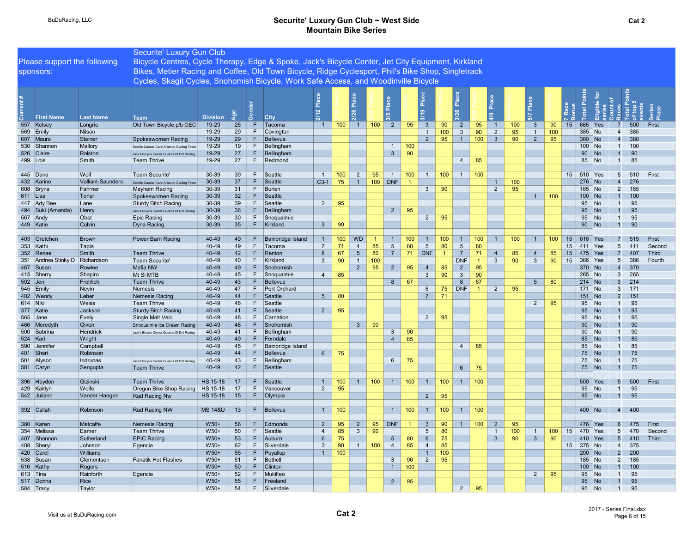|                        |                     |                              | Securite' Luxury Gun Club                                                                          |                    |                 |          |                          |                                         |     |                |                  |                 |                |                         |                |                   |                      |                |     |                |     |                  |                       |                  |                                              |           |              |
|------------------------|---------------------|------------------------------|----------------------------------------------------------------------------------------------------|--------------------|-----------------|----------|--------------------------|-----------------------------------------|-----|----------------|------------------|-----------------|----------------|-------------------------|----------------|-------------------|----------------------|----------------|-----|----------------|-----|------------------|-----------------------|------------------|----------------------------------------------|-----------|--------------|
|                        |                     | Please support the following | Bicycle Centres, Cycle Therapy, Edge & Spoke, Jack's Bicycle Center, Jet City Equipment, Kirkland  |                    |                 |          |                          |                                         |     |                |                  |                 |                |                         |                |                   |                      |                |     |                |     |                  |                       |                  |                                              |           |              |
|                        |                     |                              | Bikes, Metier Racing and Coffee, Old Town Bicycle, Ridge Cyclesport, Phil's Bike Shop, Singletrack |                    |                 |          |                          |                                         |     |                |                  |                 |                |                         |                |                   |                      |                |     |                |     |                  |                       |                  |                                              |           |              |
| sponsors:              |                     |                              |                                                                                                    |                    |                 |          |                          |                                         |     |                |                  |                 |                |                         |                |                   |                      |                |     |                |     |                  |                       |                  |                                              |           |              |
|                        |                     |                              | Cycles, Skagit Cycles, Snohomish Bicycle, Work Safe Access, and Woodinville Bicycle                |                    |                 |          |                          |                                         |     |                |                  |                 |                |                         |                |                   |                      |                |     |                |     |                  |                       |                  |                                              |           |              |
|                        |                     |                              |                                                                                                    |                    |                 |          |                          | $\overline{\mathbf{a}}$<br>$\mathbf{N}$ |     | ۱ä<br>2/26     |                  |                 |                | $\frac{a}{2}$           |                | Place             |                      | Plac           |     | $\frac{5}{6}$  |     |                  |                       | ľБ<br><u>alq</u> |                                              | <b>LO</b> |              |
|                        | <b>First Name</b>   | <b>Last Name</b>             | <b>Team</b>                                                                                        | <b>Division</b>    | å               | ්රී      | <b>City</b>              |                                         |     |                |                  | 3/5             |                | 3/19                    |                |                   |                      | 4/9            |     |                |     |                  |                       |                  |                                              |           |              |
| 557 Kelsey             |                     | Longrie                      | Old Town Bicycle p/b GEC                                                                           | 19-29              | 26              | F.       | Tacoma                   | $\overline{1}$                          | 100 | $\vert$ 1      | $100$ 2          |                 | 95             | $\overline{\mathbf{3}}$ | 90             | $\overline{2}$    | 95                   | $\overline{1}$ | 100 | 3              | 90  | 15<br>685        |                       | Yes              |                                              | 500       | First        |
| 569 Emily              |                     | Nilson                       |                                                                                                    | 19-29              | 29              | F        | Covington                |                                         |     |                |                  |                 |                |                         | 100            | $\mathbf{3}$      | 90                   | $\overline{2}$ | 95  | $\overline{1}$ | 100 | 385              |                       | <b>No</b>        | $\overline{4}$                               | 385       |              |
| 607 Maura              |                     | Steiner                      | Spokeswomen Racing                                                                                 | 19-29              | 29              | F.       | Bellevue                 |                                         |     |                |                  |                 |                | $\overline{2}$          | 95             | 1                 | 100                  | 3 <sup>5</sup> | 90  | $\overline{2}$ | 95  | 380              | <b>No</b>             |                  | $\overline{4}$                               | 380       |              |
| 530 Shannon            |                     | Mallory                      | Seattle Cancer Care Alliance Cycling Team                                                          | 19-29              | 19              | F        | Bellingham               |                                         |     |                |                  | $\overline{1}$  | 100            |                         |                |                   |                      |                |     |                |     | 100              | <b>No</b>             |                  | $\overline{1}$                               | 100       |              |
| 526 Claire             |                     | Ralston                      | Jack's Bicycle Center Queens Of Dirt Racing                                                        | 19-29              | 27<br>27        | F.<br>F. | Bellingham<br>Redmond    |                                         |     |                |                  | $\mathbf{3}$    | 90             |                         |                |                   |                      |                |     |                |     |                  | 90 <sub>o</sub><br>85 | <b>No</b>        | $\overline{1}$<br>$\overline{1}$             | 90<br>85  |              |
| 499 Lois               |                     | Smith                        | <b>Team Thrive</b>                                                                                 | 19-29              |                 |          |                          |                                         |     |                |                  |                 |                |                         |                | $\overline{4}$    | 85                   |                |     |                |     |                  |                       | <b>No</b>        |                                              |           |              |
| 445 Dana               |                     | Wolf                         | Team Securite'                                                                                     | 30-39              | 39              | F        | Seattle                  | $\overline{1}$                          | 100 | 2              | 95               | $\overline{1}$  | 100            | 1                       | 100            | 1                 | 100                  |                |     |                |     | 15               | 510 Yes               |                  | $5\overline{)}$                              | 510       | First        |
| 432 Karine             |                     | Valliant-Saunders            | Seattle Cancer Care Alliance Cycling Team                                                          | $30 - 39$          | 37              | F.       | Seattle                  | $C3-1$                                  | 75  | $\overline{1}$ | 100 <sub>1</sub> | <b>DNF</b>      |                |                         |                |                   |                      | $\mathbf{1}$   | 100 |                |     | 276              | <b>No</b>             |                  | 276<br>$\overline{4}$                        |           |              |
| 608 Bryna              |                     | Fahrner                      | Mayhem Racing                                                                                      | 30-39              | 31              | F        | Burien                   |                                         |     |                |                  |                 |                | $\mathbf{3}$            | 90             |                   |                      | $\overline{2}$ | 95  |                |     |                  | 185<br><b>No</b>      |                  | $\overline{2}$                               | 185       |              |
| $611$ Lisa             |                     | Toner                        | Spokeswomen Racing                                                                                 | $30 - 39$          | 32              | F        | Seattle                  |                                         |     |                |                  |                 |                |                         |                |                   |                      |                |     | 1              | 100 | 100              | <b>No</b>             |                  | $\overline{1}$                               | 100       |              |
| 447 Ady Bee            |                     | Lane                         | <b>Sturdy Bitch Racing</b>                                                                         | 30-39              | 39              | F        | Seattle                  | $\overline{2}$                          | 95  |                |                  |                 |                |                         |                |                   |                      |                |     |                |     |                  | 95<br><b>No</b>       |                  | $\overline{1}$                               | 95        |              |
|                        | 494 Suki (Amanda)   | Henry                        | Jack's Bicycle Center Queens Of Dirt Racing                                                        | 30-39              | 36              | F.       | Bellingham               |                                         |     |                |                  | $2^{\circ}$     | 95             |                         |                |                   |                      |                |     |                |     | 95               |                       | <b>No</b>        | $\overline{1}$                               | 95        |              |
| 567 Andy               |                     | Obst                         | <b>Epic Racing</b>                                                                                 | 30-39              | 30 <sup>°</sup> | F.       | Snoqualmie               |                                         |     |                |                  |                 |                | $\overline{2}$          | 95             |                   |                      |                |     |                |     |                  | 95                    | <b>No</b>        | $\overline{1}$                               | 95        |              |
| 449 Katie              |                     | Colvin                       | Dyna Racing                                                                                        | $30 - 39$          | 35              | F.       | Kirkland                 | $\overline{3}$                          | 90  |                |                  |                 |                |                         |                |                   |                      |                |     |                |     |                  | 90 <sub>o</sub>       | <b>No</b>        | $\overline{1}$                               | 90        |              |
|                        |                     |                              |                                                                                                    |                    |                 |          |                          |                                         |     |                |                  |                 |                |                         |                |                   |                      |                |     |                |     |                  |                       |                  |                                              |           |              |
| 403 Gretchen           |                     | Brown                        | Power Barn Racing                                                                                  | 40-49              | 49              | F        | <b>Bainbridge Island</b> | $\overline{1}$                          | 100 | <b>WD</b>      |                  | $\overline{1}$  | 100            |                         | 100            |                   | 100                  | $\overline{1}$ | 100 | $\overline{1}$ | 100 | 15<br>616        |                       |                  | 7                                            | 515       | First        |
| 353 Kathi              |                     | Tapia                        |                                                                                                    | 40-49              | 49              | F.       | Tacoma                   | $\overline{7}$                          | 71  | $\overline{4}$ | 85               | $5\phantom{.0}$ | 80             | $5\phantom{.0}$         | 80             | $5\overline{5}$   | 80                   |                |     |                |     | 15<br>411        |                       | Yes              | 5<br>411                                     |           | Second       |
| 352 Renae              |                     | Smith                        | <b>Team Thrive</b>                                                                                 | 40-49              | 42              | F.       | Renton                   | 8                                       | 67  | $5\phantom{1}$ | 80               | $\overline{7}$  | 71             | <b>DNF</b>              | $\overline{1}$ | $\overline{7}$    | 71                   | $\overline{4}$ | 85  | $\overline{4}$ | 85  | 15<br>475        |                       | Yes              | $\overline{7}$                               | 407       | <b>Third</b> |
|                        | 351 Andrea Stinky D | Richardson                   | <b>Team Securite</b>                                                                               | 40-49              | 40              | F        | Kirkland                 | $\mathbf{3}$                            | 90  | $\overline{1}$ | 100              |                 |                |                         |                | <b>DNF</b>        | $\overline{1}$       | $\mathbf{3}$   | 90  | $\mathbf{3}$   | 90  | 15<br>386        |                       | Yes              | 5                                            | 386       | Fourth       |
| 467 Susan              |                     | Rowlee                       | Mafia NW                                                                                           | 40-49              | 49              | F        | Snohomish                |                                         |     | $\overline{2}$ | 95               | $\overline{2}$  | 95             | $\overline{4}$          | 85             | $\overline{2}$    | 95                   |                |     |                |     | 370              |                       | <b>No</b>        | 370<br>$\overline{4}$                        |           |              |
| 415 Sherry             |                     | Shapiro                      | Mt Si MTB                                                                                          | 40-49              | 45              | F        | Snoqualmie               | $\overline{4}$                          | 85  |                |                  |                 |                | $\mathbf{3}$            | 90             | $\mathbf{3}$<br>8 | 90                   |                |     |                |     |                  | 265 No                |                  | 265<br>3                                     |           |              |
| $502$ Jen<br>545 Emily |                     | Frohlich<br>Nevin            | <b>Team Thrive</b><br>Nemesis                                                                      | $40 - 49$<br>40-49 | 43<br>47        | F.<br>F  | Bellevue<br>Port Orchard |                                         |     |                |                  | 8               | 67             | 6                       | 75             | <b>DNF</b>        | 67<br>$\overline{1}$ |                | 95  | 5 <sup>5</sup> | 80  | 171              | 214 No                | <b>No</b>        | 3 <sup>l</sup><br>214<br>$\mathbf{3}$<br>171 |           |              |
| 402 Wendy              |                     | Leber                        | <b>Nemesis Racing</b>                                                                              | 40-49              | 44              | F        | Seattle                  | 5 <sup>5</sup>                          | 80  |                |                  |                 |                | $\overline{7}$          | 71             |                   |                      | $\overline{2}$ |     |                |     | 151              |                       | <b>No</b>        | $\overline{2}$                               | 151       |              |
| 614 Niki               |                     | Weiss                        | <b>Team Thrive</b>                                                                                 | 40-49              | 46              | F.       | Seattle                  |                                         |     |                |                  |                 |                |                         |                |                   |                      |                |     | 2              | 95  |                  | 95                    | <b>No</b>        | $\overline{1}$                               | 95        |              |
| 377 Katie              |                     | Jackson                      | <b>Sturdy Bitch Racing</b>                                                                         | 40-49              | 41              | F        | Seattle                  | $\overline{2}$                          | 95  |                |                  |                 |                |                         |                |                   |                      |                |     |                |     |                  | 95                    | <b>No</b>        |                                              | 95        |              |
| 565 Jane               |                     | Evely                        | Single Malt Velo                                                                                   | 40-49              | 48              | F        | Carnation                |                                         |     |                |                  |                 |                | $2^{\circ}$             | 95             |                   |                      |                |     |                |     |                  | 95<br>No              |                  | $\overline{1}$                               | 95        |              |
| 466 Meredyth           |                     | Given                        | Snoqualmie Ice Cream Racing                                                                        | 40-49              | 48              | F        | Snohomish                |                                         |     | 3 <sup>5</sup> | 90               |                 |                |                         |                |                   |                      |                |     |                |     |                  | $90-1$                | <b>No</b>        |                                              | 90        |              |
| 500 Sabrina            |                     | Hendrick                     | Jack's Bicycle Center Queens Of Dirt Racing                                                        | 40-49              | 41              | F        | Bellingham               |                                         |     |                |                  | $\mathbf{3}$    | 90             |                         |                |                   |                      |                |     |                |     | 90               |                       | <b>No</b>        | $\overline{1}$                               | 90        |              |
| 524 Kari               |                     | Wright                       |                                                                                                    | 40-49              | 49              | F        | Ferndale                 |                                         |     |                |                  | $\overline{4}$  | 85             |                         |                |                   |                      |                |     |                |     |                  | 85                    | <b>No</b>        |                                              | 85        |              |
| 590 Jennifer           |                     | Campbell                     |                                                                                                    | 40-49              | 45              | F        | <b>Bainbridge Island</b> |                                         |     |                |                  |                 |                |                         |                | $\overline{4}$    | 85                   |                |     |                |     |                  | 85<br>No              |                  | $\mathbf{1}$                                 | 85        |              |
| 401 Sheri              |                     | Robinson                     |                                                                                                    | 40-49              | 44              | F.       | Bellevue                 | $6\overline{6}$                         | 75  |                |                  |                 |                |                         |                |                   |                      |                |     |                |     |                  | 75<br><b>No</b>       |                  |                                              | 75        |              |
| 501 Alyson             |                     | Indrunas                     | Jack's Bicycle Center Queens Of Dirt Racing                                                        | 40-49              | 43              | F.       | Bellingham               |                                         |     |                |                  | 6               | 75             |                         |                |                   |                      |                |     |                |     |                  | 75<br>No              |                  | $\overline{1}$                               | 75        |              |
| 581 Caryn              |                     | Sengupta                     | <b>Team Thrive</b>                                                                                 | 40-49              | 42              | F        | Seattle                  |                                         |     |                |                  |                 |                |                         |                | 6 <sup>1</sup>    | 75                   |                |     |                |     |                  | 75 No                 |                  | $\overline{1}$                               | 75        |              |
|                        |                     |                              |                                                                                                    |                    |                 |          |                          |                                         |     |                |                  |                 |                |                         |                |                   |                      |                |     |                |     |                  |                       |                  |                                              |           |              |
| 396 Hayden             |                     | Gizinski                     | <b>Team Thrive</b>                                                                                 | <b>HS 15-18</b>    | 17              | F        | Seattle                  | $\overline{1}$                          | 100 | $\mathbf{1}$   | 100 <sub>1</sub> |                 | $1 \mid 100$   |                         | 100            | 1 <sup>1</sup>    | 100                  |                |     |                |     | 500              |                       | Yes              | 5 <sup>5</sup>                               | 500       | First        |
| 429 Kaitlyn            |                     | Wolfe                        | Oregon Bike Shop Racing                                                                            | HS 15-18           | 17              | F.       | Vancouver                | 2                                       | 95  |                |                  |                 |                |                         |                |                   |                      |                |     |                |     |                  | 95<br>No              |                  | $\overline{1}$                               | 95        |              |
| 542 Juliann            |                     | Vander Haegen                | Rad Racing Nw                                                                                      | HS 15-18           | 15              | F.       | Olympia                  |                                         |     |                |                  |                 |                | 2                       | 95             |                   |                      |                |     |                |     |                  | 95 No                 |                  | $\blacksquare$ 1                             | 95        |              |
| 392 Callah             |                     | Robinson                     | Rad Racing NW                                                                                      | <b>MS 14&amp;U</b> | 13              | F.       | Bellevue                 | $\overline{1}$                          | 100 |                |                  | $\overline{1}$  | 100            | $\overline{1}$          | 100            | $\overline{1}$    | 100                  |                |     |                |     |                  | 400 No                |                  | 400<br>$\overline{4}$                        |           |              |
|                        |                     |                              |                                                                                                    |                    |                 |          |                          |                                         |     |                |                  |                 |                |                         |                |                   |                      |                |     |                |     |                  |                       |                  |                                              |           |              |
| 380 Karen              |                     | Metcalfe                     | Nemesis Racing                                                                                     | $W50+$             | 56              | F        | Edmonds                  | $\overline{2}$                          | 95  | $\overline{2}$ | 95               | <b>DNF</b>      | $\overline{1}$ | $\overline{3}$          | 90             | $\overline{1}$    | 100                  | $\overline{2}$ | 95  |                |     | 476              |                       | Yes              | $6\overline{6}$                              | 475       | First        |
| 354 Melissa            |                     | Eamer                        | <b>Team Thrive</b>                                                                                 | $W50+$             | 50              | F.       | Seattle                  | $\overline{4}$                          | 85  | $\mathbf{3}$   | 90               |                 |                | $5\phantom{.0}$         | 80             |                   |                      | $\mathbf{1}$   | 100 | $\mathbf{1}$   | 100 | 470<br>15        |                       | Yes              | 5                                            | 470       | Second       |
| 407 Shannon            |                     | Sutherland                   | <b>EPIC Racing</b>                                                                                 | $W50+$             | 53              | F        | Auburn                   | $6\overline{6}$                         | 75  |                |                  | $5\overline{5}$ | 80             | $6\overline{6}$         | 75             |                   |                      | $\mathbf{3}$   | 90  | $\mathbf{3}$   | 90  | 410              |                       | Yes              | 5 <sub>5</sub><br>410                        |           | <b>Third</b> |
| 408 Sheryl             |                     | Johnson                      | Egencia                                                                                            | $W50+$             | 62              | F        | Silverdale               | $\mathbf{3}$                            | 90  | $\overline{1}$ | 100              | $\overline{4}$  | 85             | $\overline{4}$          | 85             |                   |                      |                |     |                |     | 15 <sup>15</sup> | 375 No                |                  | 375<br>$\overline{4}$                        |           |              |
| 420 Carol              |                     | Williams                     |                                                                                                    | $W50+$             | 55              | F        | Puyallup                 | $\overline{1}$                          | 100 |                |                  |                 |                |                         | 100            |                   |                      |                |     |                |     |                  | 200 No                |                  | $\overline{2}$<br>200                        |           |              |
| 538 Susan              |                     | Clementson                   | <b>Fanatik Hot Flashes</b>                                                                         | $W50+$             | 51              | F.       | Bothell                  |                                         |     |                |                  | $\mathbf{3}$    | 90             | $\overline{2}$          | 95             |                   |                      |                |     |                |     |                  | 185 No                |                  | $\overline{2}$<br>185                        |           |              |
| 516 Kathy              |                     | Rogers                       |                                                                                                    | $W50+$             | 50              | F.       | <b>Clinton</b>           |                                         |     |                |                  | $\overline{1}$  | 100            |                         |                |                   |                      |                |     |                |     |                  | 100 No                |                  | $\overline{1}$                               | 100       |              |
| $613$ Tina             |                     | Rainforth                    | Egencia                                                                                            | $W50+$             | 52              | F.       | Mukilteo                 |                                         |     |                |                  |                 |                |                         |                |                   |                      |                |     | $\overline{2}$ | 95  |                  | 95                    | <b>No</b>        | $\mathbf{1}$                                 | 95        |              |
| 517 Donna              |                     | Rice                         |                                                                                                    | $W50+$             | 55              | F        | Freeland                 |                                         |     |                |                  | $2^{\circ}$     | 95             |                         |                |                   |                      |                |     |                |     |                  | 95                    | <b>No</b>        | $\overline{1}$                               | 95        |              |
| 584 Tracy              |                     | Taylor                       |                                                                                                    | $W50+$             | 54              | F        | Silverdale               |                                         |     |                |                  |                 |                |                         |                | $\overline{2}$    | 95                   |                |     |                |     |                  | 95 No                 |                  | $\overline{1}$                               | 95        |              |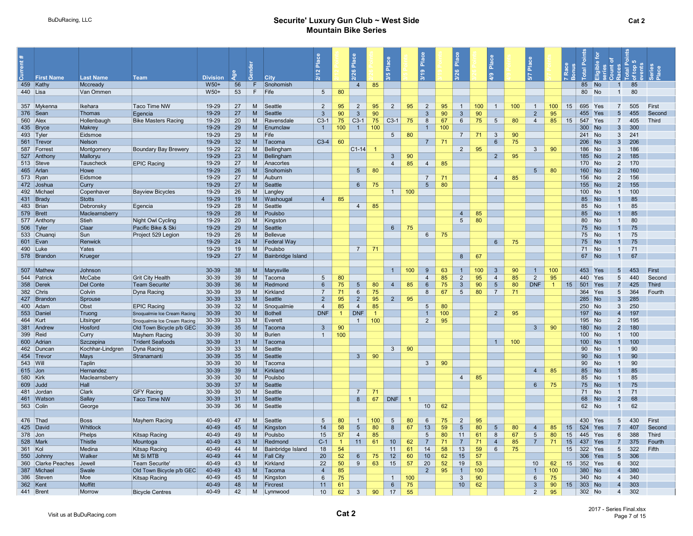|     | <b>First Name</b>      | <b>Last Name</b>         | <b>Team</b>                                             | <b>Division</b> |                       |          | City                         | $\sim$          |                |                            |                      | <b>JO</b>       |     | Place<br>െ                       |           | $\frac{a}{n}$<br>$\circ$ |          | Place<br>$\frac{9}{4}$ |          | Ĕ                   |           |          |                  |                 |                                  |            |                 |
|-----|------------------------|--------------------------|---------------------------------------------------------|-----------------|-----------------------|----------|------------------------------|-----------------|----------------|----------------------------|----------------------|-----------------|-----|----------------------------------|-----------|--------------------------|----------|------------------------|----------|---------------------|-----------|----------|------------------|-----------------|----------------------------------|------------|-----------------|
|     | 459 Kathy              | Mccready                 |                                                         | W50+            | 56                    | F.       | Snohomish                    |                 |                | $\overline{4}$             | 85                   |                 |     |                                  |           |                          |          |                        |          |                     |           |          | 85               | No              | $\overline{1}$                   | 85         |                 |
|     | 440 Lisa               | Van Ommen                |                                                         | W50+            | 53                    | F        | Fife                         | $5\overline{)}$ | 80             |                            |                      |                 |     |                                  |           |                          |          |                        |          |                     |           |          | 80               | <b>No</b>       | $\overline{1}$                   | 80         |                 |
|     |                        |                          |                                                         |                 |                       |          |                              |                 |                |                            |                      |                 |     |                                  |           |                          |          |                        |          |                     |           |          |                  |                 |                                  |            |                 |
|     | 357 Mykenna            | Ikehara                  | Taco Time NW                                            | 19-29           | 27                    | M        | Seattle                      | 2               | 95             | $\overline{2}$             | 95                   | $\overline{2}$  | 95  | 2                                | 95        | $\mathbf{1}$             | 100      | $\overline{1}$         | 100      | $\overline{1}$      | 100       | 15       | 695              | Yes             | $\overline{7}$                   | 505        | First           |
|     | 376 Sean               | <b>Thomas</b>            | Egencia                                                 | 19-29           | 27                    | M        | Seattle                      | $\mathbf{3}$    | 90             | $\mathbf{3}$               | 90                   |                 |     | $\mathbf{3}$                     | 90        | $\mathbf{3}$             | 90       |                        |          | $\overline{2}$      | 95        |          | 455              |                 | 5                                | 455        | Second          |
|     | 560 Alex               | Hollenbaugh              | <b>Bike Masters Racing</b>                              | 19-29           | 20                    | M        | Ravensdale                   | $C3-1$          | 75             | $C3-1$                     | 75                   | $C3-1$          | 75  | 8                                | 67        | $6\overline{6}$          | 75       | $5\overline{)}$        | 80       | $\overline{4}$      | 85        | 15       | 547              | Yes             | $\overline{7}$                   | 405        | Third           |
|     | 435 Bryce              | Makrey                   |                                                         | 19-29           | 29                    | M        | Enumclaw                     | $\overline{1}$  | 100            | $\overline{1}$             | 100                  |                 |     | $\overline{1}$                   | 100       |                          |          |                        |          |                     |           |          | 300              | <b>No</b>       | $\overline{3}$                   | 300        |                 |
|     | 493 Tyler              | Eidsmoe                  |                                                         | 19-29           | 29                    | M        | Fife                         |                 |                |                            |                      | $5\overline{)}$ | 80  |                                  |           | $\overline{7}$           | 71       | $\mathbf{3}$           | 90       |                     |           |          | 241              | <b>No</b>       | $\mathbf{3}$                     | 241        |                 |
|     | 561 Trevor             | Nelson                   |                                                         | 19-29           | 32                    | M        | Tacoma                       | $C3-4$          | 60             |                            |                      |                 |     | $\overline{7}$                   | 71        |                          |          | 6                      | 75       |                     |           |          | 206              | <b>No</b>       | $\overline{3}$                   | 206        |                 |
|     | 587 Forrest            | Montgomery               | <b>Boundary Bay Brewery</b>                             | 19-29           | 22                    | M        | Bellingham                   |                 |                | $ C1-14 $                  |                      |                 |     |                                  |           | $\overline{2}$           | 95       |                        |          | 3 <sup>1</sup>      | 90        |          | 186              | <b>No</b>       | 3                                | 186        |                 |
|     | 527 Anthony            | Malloryu                 |                                                         | 19-29           | 23                    | M        | Bellingham                   |                 |                |                            |                      | 3               | 90  |                                  |           |                          |          | $2^{\circ}$            | 95       |                     |           |          | 185 No           |                 | $2 \overline{ }$                 | 185        |                 |
|     | 513 Steve              | Tauscheck                | <b>EPIC Racing</b>                                      | 19-29           | 27                    | M        | Anacortes                    |                 |                |                            |                      | $\overline{4}$  | 85  | $\overline{4}$                   | 85        |                          |          |                        |          |                     |           |          | 170 No           |                 | $\overline{2}$                   | 170        |                 |
|     | 465 Arlan              | Howe                     |                                                         | 19-29           | 26                    | M        | Snohomish                    |                 |                | $5\overline{)}$            | 80                   |                 |     | $\overline{7}$                   | 71        |                          |          |                        |          | 5 <sup>5</sup>      | 80        |          | 160              | No              | $2 \overline{ }$                 | 160        |                 |
|     | 573 Ryan<br>472 Joshua | Eidsmoe<br>Curry         |                                                         | 19-29<br>19-29  | 27<br>27              | M<br>M   | Auburn<br>Seattle            |                 |                | $6\phantom{1}$             | 75                   |                 |     | 5 <sup>5</sup>                   | 80        |                          |          | $\overline{4}$         | 85       |                     |           |          | 156<br>155       | No<br><b>No</b> | $\overline{2}$<br>$\overline{2}$ | 156<br>155 |                 |
|     | 492 Michael            | Copenhaver               | <b>Bayview Bicycles</b>                                 | 19-29           | 26                    | M        | Langley                      |                 |                |                            |                      | $\overline{1}$  | 100 |                                  |           |                          |          |                        |          |                     |           |          | 100              | No              | $\overline{1}$                   | 100        |                 |
|     | 431 Brady              | <b>Stotts</b>            |                                                         | 19-29           | 19                    | M        | Washougal                    | $\overline{4}$  | 85             |                            |                      |                 |     |                                  |           |                          |          |                        |          |                     |           |          | 85               | <b>No</b>       | $\mathbf{1}$                     | 85         |                 |
|     | 483 Brian              | Debronsky                | Egencia                                                 | 19-29           | 28                    | M        | Seattle                      |                 |                | $\overline{4}$             | 85                   |                 |     |                                  |           |                          |          |                        |          |                     |           |          | 85               | <b>No</b>       | $\mathbf{1}$                     | 85         |                 |
|     | 579 Brett              | Maclearnsberry           |                                                         | 19-29           | 28                    | M        | Poulsbo                      |                 |                |                            |                      |                 |     |                                  |           | $\overline{4}$           | 85       |                        |          |                     |           |          | 85               | <b>No</b>       |                                  | 85         |                 |
|     | 577 Anthony            | Stieh                    | Night Owl Cycling                                       | 19-29           | 20                    | M        | Kingston                     |                 |                |                            |                      |                 |     |                                  |           | $5\overline{)}$          | 80       |                        |          |                     |           |          | 80               | <b>No</b>       | $\mathbf{1}$                     | 80         |                 |
|     | 506 Tyler              | Claar                    | Pacific Bike & Ski                                      | 19-29           | 29                    | M        | Seattle                      |                 |                |                            |                      | $6\overline{6}$ | 75  |                                  |           |                          |          |                        |          |                     |           |          | 75               | <b>No</b>       |                                  | 75         |                 |
|     | 533 Chuanqi            | Sun                      | Project 529 Legion                                      | 19-29           | 26                    | M        | Bellevue                     |                 |                |                            |                      |                 |     | $6\overline{6}$                  | 75        |                          |          |                        |          |                     |           |          | 75               | No              | $\mathbf{1}$                     | 75         |                 |
|     | 601 Evan               | Renwick                  |                                                         | 19-29           | 24                    | M        | Federal Way                  |                 |                |                            |                      |                 |     |                                  |           |                          |          | $6\overline{6}$        | 75       |                     |           |          | 75               | <b>No</b>       | $\overline{1}$                   | 75         |                 |
|     | 490 Luke               | Yates                    |                                                         | 19-29           | 19                    | M        | Poulsbo                      |                 |                | $\overline{7}$             | 71                   |                 |     |                                  |           |                          |          |                        |          |                     |           |          | 71               | <b>No</b>       | $\overline{1}$                   | 71         |                 |
|     | 578 Brandon            | Krueger                  |                                                         | 19-29           | 27                    | M        | <b>Bainbridge Island</b>     |                 |                |                            |                      |                 |     |                                  |           | 8                        | 67       |                        |          |                     |           |          | 67               | <b>No</b>       | $\overline{1}$                   | 67         |                 |
|     |                        |                          |                                                         |                 |                       |          |                              |                 |                |                            |                      |                 |     |                                  |           |                          |          |                        |          |                     |           |          |                  |                 |                                  |            |                 |
|     | 507 Mathew             | <b>Johnson</b>           |                                                         | 30-39           | 38                    | M        | Marysville                   |                 |                |                            |                      | $\overline{1}$  | 100 | 9                                | 63        | $\overline{1}$           | 100      | $\mathbf{3}$           | 90       | $\mathbf{1}$        | 100       |          | 453              | Yes             | 5 <sup>5</sup>                   | 453        | First           |
|     | 544 Patrick            | McCabe                   | <b>Grit City Health</b>                                 | 30-39           | 39                    | M        | Tacoma                       | $5\overline{)}$ | 80             |                            |                      |                 |     | $\overline{4}$                   | 85        | 2                        | 95       | $\overline{4}$         | 85       | $\overline{2}$      | 95        |          | 440              | Yes             | 5 <sup>5</sup>                   | 440        | Second          |
|     | 358 Derek              | <b>Del Conte</b>         | <b>Team Securite</b>                                    | 30-39           | 36                    | M        | Redmond                      | 6               | 75             | 5                          | 80                   | $\overline{4}$  | 85  | $6\phantom{1}$                   | 75        | $\mathbf{3}$             | 90       | $5\overline{)}$        | 80       | <b>DNF</b>          | $\vert$ 1 | 15       | 501              | Yes             | $\overline{7}$                   | 425        | Third           |
|     | 382 Chris              | Colvin                   | Dyna Racing                                             | 30-39           | 39                    | M        | Kirkland                     | $\overline{7}$  | 71             | 6                          | 75                   |                 |     | 8                                | 67        | 5                        | 80       | $\overline{7}$         | 71       |                     |           |          | 364              | Yes             | $5\overline{)}$                  | 364        | Fourth          |
|     | 427 Brandon            | Sprouse                  |                                                         | 30-39           | 33                    | M        | Seattle                      | $\overline{2}$  | 95             | $\overline{2}$             | 95                   | $\overline{2}$  | 95  |                                  |           |                          |          |                        |          |                     |           |          | 285              | <b>No</b>       | $\overline{3}$                   | 285        |                 |
|     | 400 Adam               | Obst                     | <b>EPIC Racing</b>                                      | 30-39           | 32 <sup>2</sup>       | M        | Snoqualmie                   | $\overline{4}$  | 85             | $\overline{4}$             | 85<br>$\overline{1}$ |                 |     | $5^{\circ}$                      | 80        |                          |          |                        |          |                     |           |          | 250              | <b>No</b>       | $\mathbf{3}$<br>$\overline{4}$   | 250        |                 |
|     | 553 Daniel             | Truong                   | Snoqualmie Ice Cream Racing                             | 30-39<br>30-39  | 30 <sup>°</sup><br>33 | м<br>M   | Bothell                      | <b>DNF</b>      | $\mathbf{1}$   | <b>DNF</b><br>$\mathbf{1}$ | 100                  |                 |     | $\overline{1}$<br>$\overline{2}$ | 100<br>95 |                          |          | $\overline{2}$         | 95       |                     |           |          | 197<br>195       | <b>No</b>       | $\overline{2}$                   | 197<br>195 |                 |
|     | 464 Kurt<br>381 Andrew | Litsinger<br>Hosford     | Snoqualmie Ice Cream Racing<br>Old Town Bicycle p/b GEC | 30-39           | 35 <sup>5</sup>       | M        | Everett<br>Tacoma            | $\mathbf{3}$    | 90             |                            |                      |                 |     |                                  |           |                          |          |                        |          | 3 <sup>1</sup>      | 90        |          | 180              | <b>No</b><br>No | $2 \overline{ }$                 | 180        |                 |
|     | 399 Reid               | Curry                    | Mayhem Racing                                           | 30-39           | 30                    | M        | Burien                       | $\overline{1}$  | 100            |                            |                      |                 |     |                                  |           |                          |          |                        |          |                     |           |          | 100              | <b>No</b>       | $\overline{1}$                   | 100        |                 |
|     | 600 Adrian             | Szczepina                | <b>Trident Seafoods</b>                                 | 30-39           | 31                    | M        | Tacoma                       |                 |                |                            |                      |                 |     |                                  |           |                          |          | $\overline{1}$         | 100      |                     |           |          | 100 <sub>1</sub> | <b>No</b>       |                                  | 100        |                 |
|     | 462 Duncar             | Kochhar-Lindgren         | Dyna Racing                                             | 30-39           | 33                    | M        | Seattle                      |                 |                |                            |                      | $\mathbf{3}$    | 90  |                                  |           |                          |          |                        |          |                     |           |          | 90               | No              | $\mathbf{1}$                     | 90         |                 |
|     | 454 Trevor             | Mays                     | Stranamanti                                             | 30-39           | 35                    | M        | Seattle                      |                 |                | $\mathbf{3}$               | 90                   |                 |     |                                  |           |                          |          |                        |          |                     |           |          | 90               | <b>No</b>       |                                  | 90         |                 |
|     | 543   Will             | Taplin                   |                                                         | 30-39           | 30                    | M        | Tacoma                       |                 |                |                            |                      |                 |     | $\mathbf{3}$                     | 90        |                          |          |                        |          |                     |           |          | 90               | <b>No</b>       | $\mathbf{1}$                     | 90         |                 |
|     | $615$ Jon              | Hernandez                |                                                         | 30-39           | 39                    | M        | Kirkland                     |                 |                |                            |                      |                 |     |                                  |           |                          |          |                        |          | $\overline{4}$      | 85        |          | 85               | <b>No</b>       |                                  | 85         |                 |
|     | 580 Kirk               | Maclearnsberry           |                                                         | 30-39           | 30                    | M        | Poulsbo                      |                 |                |                            |                      |                 |     |                                  |           | $\overline{4}$           | 85       |                        |          |                     |           |          | 85               | <b>No</b>       | $\mathbf{1}$                     | 85         |                 |
|     | 609 Judd               | Hall                     |                                                         | 30-39           | 37                    | M        | Seattle                      |                 |                |                            |                      |                 |     |                                  |           |                          |          |                        |          | $6\phantom{.}6$     | 75        |          | 75               | <b>No</b>       | $\mathbf{1}$                     | 75         |                 |
|     | 481 Jordan             | Clark                    | <b>GFY Racing</b>                                       | 30-39           | 30                    | M        | Seattle                      |                 |                | $\overline{7}$             | 71                   |                 |     |                                  |           |                          |          |                        |          |                     |           |          | 71               | <b>No</b>       | $\overline{1}$                   | 71         |                 |
|     | 461 Watsor             | Sallay                   | <b>Taco Time NW</b>                                     | 30-39           | 31                    | <b>M</b> | Seattle                      |                 |                | 8                          | 67                   | <b>DNF</b>      |     |                                  |           |                          |          |                        |          |                     |           |          | 68               | <b>No</b>       | $2 \overline{ }$                 | 68         |                 |
|     | 563 Colin              | George                   |                                                         | 30-39           | 36                    | M        | Seattle                      |                 |                |                            |                      |                 |     | 10 <sup>°</sup>                  | 62        |                          |          |                        |          |                     |           |          | 62               | No              | $\overline{1}$                   | 62         |                 |
|     |                        |                          |                                                         |                 |                       |          |                              |                 |                |                            |                      |                 |     |                                  |           |                          |          |                        |          |                     |           |          |                  |                 |                                  |            |                 |
|     | 476 Thad               | <b>Boss</b>              | Mayhem Racing                                           | 40-49           | 47                    | M        | Seattle                      | $5\phantom{.0}$ | 80             | $\overline{1}$             | 100                  | $5\phantom{.0}$ | 80  | 6                                | 75        | 2                        | 95       |                        |          |                     |           |          | 430              | Yes             | $5\overline{)}$                  | 430        | First           |
|     | 425 David              | Whitlock                 |                                                         | $40 - 49$       | 45                    | M        | Kingston                     | 14              | 58<br>57       | $5\phantom{.0}$            | 80                   | 8               | 67  | 13                               | 59        | $5\overline{)}$          | 80       | $5\phantom{1}$         | 80       | $\overline{4}$<br>5 | 85<br>80  | 15       | 524              | Yes             | $\overline{7}$                   | 407        | Second          |
|     | 378 Jon<br>528 Mark    | Phelps                   | Kitsap Racing                                           | 40-49<br>40-49  | 49<br>43              | M<br>M   | Poulsbo                      | 15<br>$C-1$     | $\overline{1}$ | $\overline{4}$<br>11       | 85<br>61             | 10 <sup>°</sup> | 62  | -5<br>$\overline{7}$             | 80<br>71  | 11<br>$\overline{7}$     | 61<br>71 | 8<br>$\overline{4}$    | 67<br>85 | $\overline{7}$      | 71        | 15<br>15 | 445              | Yes<br>Yes      | 6<br>$\overline{7}$              | 388<br>375 | <b>Third</b>    |
|     | 361 Kol                | <b>Thistle</b><br>Medina | Mountoga                                                | 40-49           | 44                    | M        | Redmond<br>Bainbridge Island | 18              | 54             |                            |                      | 11              | 61  | 14                               | 58        | 13                       | 59       | $6\phantom{.}$         | 75       |                     |           | 15       | 437<br>322       | Yes             | $5\overline{)}$                  | 322        | Fourth<br>Fifth |
|     | 550 Johnny             | Walker                   | Kitsap Racing<br>Mt Si MTB                              | 40-49           | 44                    | M        | <b>Fall City</b>             | 20              | 52             | 6                          | 75                   | 12              | 60  | 10                               | 62        | 15                       | 57       |                        |          |                     |           |          | 306              | Yes             | 5 <sup>5</sup>                   | 306        |                 |
|     | 360 Clarke Peaches     | Jewell                   | <b>Team Securite</b>                                    | 40-49           | 43                    | M        | Kirkland                     | 22              | 50             | 9                          | 63                   | 15              | 57  | 20                               | 52        | 19                       | 53       |                        |          | 10 <sup>°</sup>     | 62        | 15       | 352              | Yes             | 6                                | 302        |                 |
|     | 387 Michae             | Swale                    | Old Town Bicycle p/b GEC                                | 40-49           | 43                    | M        | Tacoma                       | $\overline{4}$  | 85             |                            |                      |                 |     | $2^{\circ}$                      | 95        | $\overline{1}$           | 100      |                        |          | $\overline{1}$      | 100       |          | 380              | No              | $\overline{4}$                   | 380        |                 |
| 386 | Steven                 | Moe                      | Kitsap Racing                                           | 40-49           | 45                    | M        | Kingston                     | 6               | 75             |                            |                      | $\overline{1}$  | 100 |                                  |           | $\mathbf{3}$             | 90       |                        |          | 6                   | 75        |          | 340              | <b>No</b>       | $\overline{4}$                   | 340        |                 |
|     | 362 Kent               | <b>Moffitt</b>           |                                                         | 40-49           | 48                    | M        | Fircrest                     | 11              | 61             |                            |                      | $6\phantom{.}6$ | 75  |                                  |           | 10 <sup>1</sup>          | 62       |                        |          | $\overline{3}$      | 90        | 15       | 303 No           |                 | $\overline{4}$                   | 303        |                 |
|     | 441 Brent              | Morrow                   | <b>Bicycle Centres</b>                                  | 40-49           | 42                    | M        | Lynnwood                     | 10 <sup>1</sup> | 62             | $\mathbf{3}$               | 90                   | 17              | 55  |                                  |           |                          |          |                        |          | $\overline{2}$      | 95        |          | 302 No           |                 | $\overline{4}$                   | 302        |                 |
|     |                        |                          |                                                         |                 |                       |          |                              |                 |                |                            |                      |                 |     |                                  |           |                          |          |                        |          |                     |           |          |                  |                 |                                  |            |                 |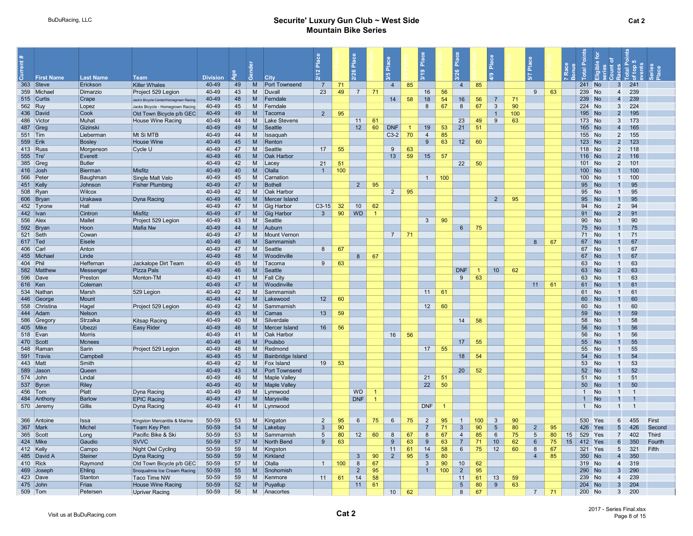|            | <b>First Name</b> | <b>Last Name</b> | <b>Team</b>                            | <b>Division</b> |    |          | <b>City</b>          | $\sim$          |     | Place<br>$^{26}$ |                | Place<br><b>IO</b> |                | $\frac{a}{2}$<br>$\sigma$ |     | $\frac{a}{b}$         |     | Place<br>$\mathbf{C}$ |     | Place          |    |                         | $\frac{1}{2}$ | تے ہ                             |              |
|------------|-------------------|------------------|----------------------------------------|-----------------|----|----------|----------------------|-----------------|-----|------------------|----------------|--------------------|----------------|---------------------------|-----|-----------------------|-----|-----------------------|-----|----------------|----|-------------------------|---------------|----------------------------------|--------------|
|            | 363 Steve         | Erickson         | <b>Killer Whales</b>                   | 40-49           | 49 | M        | Port Townsend        | $\overline{7}$  | 71  |                  |                | $\overline{4}$     | 85             |                           |     | $\overline{4}$        | 85  |                       |     |                |    | 241                     | <b>No</b>     | 241<br>$\overline{\mathbf{3}}$   |              |
|            | 359 Michael       | Dimarzio         | Project 529 Legion                     | 40-49           | 43 | M        | Duvall               | 23              | 49  | 7                | 71             |                    |                | 16                        | 56  |                       |     |                       |     | 9              | 63 | 239                     | <b>No</b>     | 239<br>$\overline{4}$            |              |
|            | 515 Curtis        | Crape            | Jack's Bicycle Center/Homegrown Racing | 40-49           | 48 | <b>M</b> | Ferndale             |                 |     |                  |                | 14                 | 58             | 18                        | 54  | 16                    | 56  | $\overline{7}$        | 71  |                |    | 239                     | <b>No</b>     | 239<br>$\overline{4}$            |              |
| 562 Ruy    |                   | Lopez            | Jacks Bicycle - Homegrown Racing       | 40-49           | 45 | M        | Ferndale             |                 |     |                  |                |                    |                | 8                         | 67  | 8                     | 67  | $\mathbf{3}$          | 90  |                |    | 224                     | <b>No</b>     | 224<br>$\mathbf{3}$              |              |
|            | 436 David         | Cook             | Old Town Bicycle p/b GEC               | 40-49           | 49 | M        | Tacoma               | $\overline{2}$  | 95  |                  |                |                    |                |                           |     |                       |     | $\overline{1}$        | 100 |                |    | 195                     | <b>No</b>     | $\overline{2}$<br>195            |              |
|            | 486 Victor        | Muhat            | <b>House Wine Racing</b>               | 40-49           | 44 | M        | <b>Lake Stevens</b>  |                 |     | 11               | 61             |                    |                |                           |     | 23                    | 49  | 9                     | 63  |                |    | 173                     | <b>No</b>     | 3<br>173                         |              |
|            | 487 Greg          | Gizinski         |                                        | 40-49           | 49 | M        | Seattle              |                 |     | 12               | 60             | <b>DNF</b>         | $\overline{1}$ | 19                        | 53  | 21                    | 51  |                       |     |                |    | 165                     | <b>No</b>     | 165<br>$\overline{4}$            |              |
| $551$ Tim  |                   | Lieberman        | Mt Si MTB                              | 40-49           | 44 | M        | Issaquar             |                 |     |                  |                | $C3-2$             | 70             | $\overline{4}$            | 85  |                       |     |                       |     |                |    | 155                     | <b>No</b>     | $\overline{2}$<br>155            |              |
| 559 Erik   |                   | <b>Bosley</b>    | <b>House Wine</b>                      | 40-49           | 45 | M        | Renton               |                 |     |                  |                |                    |                | 9 <sup>°</sup>            | 63  | 12                    | 60  |                       |     |                |    | 123                     | <b>No</b>     | $\overline{2}$<br>123            |              |
|            | 413 Russ          | Morgenson        | Cycle U                                | 40-49           | 47 | M        | Seattle              | 17              | 55  |                  |                | 9                  | 63             |                           |     |                       |     |                       |     |                |    | 118 No                  |               | $\overline{2}$<br>118            |              |
| 555 Tre'   |                   | Everett          |                                        | 40-49           | 46 | M        | <b>Oak Harbor</b>    |                 |     |                  |                | 13                 | 59             | 15                        | 57  |                       |     |                       |     |                |    | 116 No                  |               | 116<br>$\overline{2}$            |              |
|            | 385 Greg          | <b>Butler</b>    |                                        | 40-49           | 42 | M        | Lace                 | 21              | 51  |                  |                |                    |                |                           |     | 22                    | 50  |                       |     |                |    | 101 No                  |               | $\overline{2}$<br>101            |              |
| 416 Josh   |                   | Bierman          | Misfitz                                | 40-49           | 40 | M        | Olalla               | $\overline{1}$  | 100 |                  |                |                    |                |                           |     |                       |     |                       |     |                |    | 100                     | <b>No</b>     | 100<br>$\overline{1}$            |              |
|            | 566 Peter         | Baughman         | Single Malt Velo                       | 40-49           | 45 | M        | Carnation            |                 |     |                  |                |                    |                | $\overline{1}$            | 100 |                       |     |                       |     |                |    | 100                     | <b>No</b>     | 100<br>$\overline{1}$            |              |
| 451 Kelly  |                   | Johnson          | <b>Fisher Plumbing</b>                 | 40-49           | 47 | <b>M</b> | Bothell              |                 |     | $\overline{2}$   | 95             |                    |                |                           |     |                       |     |                       |     |                |    | 95                      | <b>No</b>     | 95<br>$\mathbf{1}$               |              |
|            | 508 Ryan          | Wilcox           |                                        | 40-49           | 42 | M        | Oak Harbor           |                 |     |                  |                | 2                  | 95             |                           |     |                       |     |                       |     |                |    | 95                      | No            | 95<br>$\overline{1}$             |              |
|            | 606 Bryan         | Urakawa          | Dyna Racing                            | 40-49           | 46 | M        | Mercer Island        |                 |     |                  |                |                    |                |                           |     |                       |     | $\overline{2}$        | 95  |                |    | 95                      | <b>No</b>     | 95<br>$\overline{1}$             |              |
|            | 452 Tyrone        | Hall             |                                        | 40-49           | 47 | M        | Gig Harbor           | $C3-15$         | 32  | 10 <sup>1</sup>  | 62             |                    |                |                           |     |                       |     |                       |     |                |    | 94                      | <b>No</b>     | $\overline{2}$<br>94             |              |
| 442   Ivan |                   | Cintron          | Misfitz                                | 40-49           | 47 | M        | Gig Harbor           | $\mathbf{3}$    | 90  | <b>WD</b>        | $\overline{1}$ |                    |                |                           |     |                       |     |                       |     |                |    | 91                      | <b>No</b>     | $\overline{2}$<br>91             |              |
| 556 Alex   |                   | Mallet           | Project 529 Legion                     | 40-49           | 43 | M        | Seattle              |                 |     |                  |                |                    |                | $\mathbf{3}$              | 90  |                       |     |                       |     |                |    | 90                      | No            | 90<br>$\mathbf{1}$               |              |
|            | 592 Bryan         | Hoon             | Mafia Nw                               | 40-49           | 44 | M        | Auburn               |                 |     |                  |                |                    |                |                           |     | $6\overline{6}$       | 75  |                       |     |                |    | 75                      | <b>No</b>     | 75                               |              |
| 521 Seth   |                   | Cowan            |                                        | 40-49           | 47 | M        | <b>Mount Vernon</b>  |                 |     |                  |                | 7                  | 71             |                           |     |                       |     |                       |     |                |    | 71                      | No            | 71<br>$\overline{1}$             |              |
| $617$ Ted  |                   | Eisele           |                                        | 40-49           | 46 | M        | Sammamish            |                 |     |                  |                |                    |                |                           |     |                       |     |                       |     | 8              | 67 | 67                      | <b>No</b>     | 67                               |              |
| 406 Carl   |                   | Anton            |                                        | 40-49           | 47 | M        | Seattle              | 8               | 67  |                  |                |                    |                |                           |     |                       |     |                       |     |                |    | 67                      | <b>No</b>     | 67<br>$\mathbf{1}$               |              |
|            | 455 Michae        | Linde            |                                        | 40-49           | 48 | M        | Woodinville          |                 |     | 8                | 67             |                    |                |                           |     |                       |     |                       |     |                |    | 67                      | <b>No</b>     | 67<br>$\overline{\mathbf{1}}$    |              |
| 404 Phil   |                   | Heffernan        | Jackalope Dirt Team                    | 40-49           | 45 | M        | Tacoma               | 9               | 63  |                  |                |                    |                |                           |     |                       |     |                       |     |                |    | 63                      | <b>No</b>     | 63<br>$\overline{1}$             |              |
|            | 582 Matthew       | Messenger        | Pizza Pals                             | 40-49           | 46 | M        | Seattle              |                 |     |                  |                |                    |                |                           |     | <b>DNF</b>            |     | 10                    | 62  |                |    | 63                      | <b>No</b>     | 63<br>$\overline{2}$             |              |
|            | 596 Dave          | Preston          | Monton-TM                              | 40-49           | 41 | M        | <b>Fall City</b>     |                 |     |                  |                |                    |                |                           |     | 9                     | 63  |                       |     |                |    | 63                      | <b>No</b>     | 63<br>$\mathbf{1}$               |              |
| 616 Ken    |                   | Coleman          |                                        | 40-49           | 47 | M        | Woodinville          |                 |     |                  |                |                    |                |                           |     |                       |     |                       |     | 11             | 61 | 61                      | <b>No</b>     | 61                               |              |
|            | 534 Nathan        | Marsh            | 529 Legion                             | 40-49           | 42 | M        | Sammamish            |                 |     |                  |                |                    |                | 11                        | 61  |                       |     |                       |     |                |    | 61                      | <b>No</b>     | 61<br>$\overline{1}$             |              |
|            | 446 George        | Mount            |                                        | 40-49           | 44 | M        | Lakewood             | 12 <sup>7</sup> | 60  |                  |                |                    |                |                           |     |                       |     |                       |     |                |    | 60                      | <b>No</b>     | 60<br>$\overline{\mathbf{1}}$    |              |
|            | 558 Christina     | Hagel            | Project 529 Legion                     | 40-49           | 42 | M        | Sammamish            |                 |     |                  |                |                    |                | 12                        | 60  |                       |     |                       |     |                |    | 60                      | <b>No</b>     | 60<br>$\overline{1}$             |              |
|            | 444 Adam          | Nelson           |                                        | 40-49           | 43 | M        | Camas                | 13 <sup>°</sup> | 59  |                  |                |                    |                |                           |     |                       |     |                       |     |                |    | 59                      | <b>No</b>     | 59                               |              |
|            | 586 Gregory       | Strzalka         | Kitsap Racing                          | 40-49           | 40 | M        | Silverdale           |                 |     |                  |                |                    |                |                           |     | 14                    | 58  |                       |     |                |    | 58                      | <b>No</b>     | 58<br>$\overline{1}$             |              |
|            | 405 Mike          | Ubezzi           | <b>Easy Rider</b>                      | 40-49           | 46 | M        | Mercer Island        | 16              | 56  |                  |                |                    |                |                           |     |                       |     |                       |     |                |    | 56                      | <b>No</b>     | 56<br>$\mathbf{1}$               |              |
|            | 518 Evan          | Morris           |                                        | 40-49           | 41 | M        | Oak Harbor           |                 |     |                  |                | 16                 | 56             |                           |     |                       |     |                       |     |                |    | 56                      | <b>No</b>     | 56<br>$\overline{1}$             |              |
|            | 470 Scott         | <b>Mcnees</b>    |                                        | 40-49           | 46 | M        | Poulsbo              |                 |     |                  |                |                    |                |                           |     | 17                    | 55  |                       |     |                |    | 55                      | <b>No</b>     | 55                               |              |
|            | 548 Ramar         | Sarin            | Project 529 Legion                     | 40-49           | 48 | M        | Redmond              |                 |     |                  |                |                    |                | 17                        | 55  |                       |     |                       |     |                |    | 55                      | No            | 55<br>$\overline{1}$             |              |
|            | 591 Travis        | Campbell         |                                        | 40-49           | 45 | M        | Bainbridge Island    |                 |     |                  |                |                    |                |                           |     | 18                    | 54  |                       |     |                |    | 54                      | <b>No</b>     | 54                               |              |
| 443 Matt   |                   | Smith            |                                        | 40-49           | 42 | M        | <b>Fox Island</b>    | 19              | 53  |                  |                |                    |                |                           |     |                       |     |                       |     |                |    | 53                      | <b>No</b>     | 53<br>$\overline{1}$             |              |
|            | 589 Jason         | Queen            |                                        | 40-49           | 43 | <b>M</b> | <b>Port Townsend</b> |                 |     |                  |                |                    |                |                           |     | 20                    | 52  |                       |     |                |    | 52                      | <b>No</b>     | 52<br>$\overline{1}$             |              |
|            | 574 John          | Lindal           |                                        | 40-49           | 46 | M        | <b>Maple Valley</b>  |                 |     |                  |                |                    |                | 21                        | 51  |                       |     |                       |     |                |    | 51                      | <b>No</b>     | 51<br>$\overline{1}$             |              |
|            | 537 Byron         | <b>Riley</b>     |                                        | 40-49           | 40 | M        | <b>Maple Valley</b>  |                 |     |                  |                |                    |                | 22                        | 50  |                       |     |                       |     |                |    | 50                      | <b>No</b>     | 50<br>$\mathbf{1}$               |              |
|            | 456 Tom           | Platt            | Dyna Racing                            | 40-49           | 49 | M        | Lynnwood             |                 |     | <b>WD</b>        | -1             |                    |                |                           |     |                       |     |                       |     |                |    | $\mathbf{1}$            | <b>No</b>     | $\overline{1}$                   |              |
|            | 484 Anthony       | Barlow           | <b>EPIC Racing</b>                     | 40-49           | 47 | M        | Marysville           |                 |     | <b>DNF</b>       | $\overline{1}$ |                    |                |                           |     |                       |     |                       |     |                |    | 1                       | <b>No</b>     | $\overline{1}$<br>-1             |              |
|            | 570 Jeremy        | Gillis           | Dyna Racing                            | 40-49           | 41 | M        | Lynnwood             |                 |     |                  |                |                    |                | <b>DNF</b>                |     |                       |     |                       |     |                |    | $\mathbf{1}$            | No            | $\overline{1}$<br>$\overline{1}$ |              |
|            |                   |                  |                                        |                 |    |          |                      |                 |     |                  |                |                    |                |                           |     |                       |     |                       |     |                |    |                         |               |                                  |              |
|            | 366 Antoine       | Issa             | Kingston Mercantile & Marine           | 50-59           | 53 | M        | Kingaton             | 2               | 95  | $6\phantom{1}$   | 75             | 6                  | 75             | $\overline{2}$            | 95  | $\overline{1}$        | 100 | 3                     | 90  |                |    | 530                     | Yes           | 455<br>6                         | First        |
|            | 367 Mark          | Michel           | Team Key Pen                           | 50-59           | 54 | M        | Lakebay              | $\mathbf{3}$    | 90  |                  |                |                    |                | $\overline{7}$            | 71  | 3                     | 90  | $5\phantom{1}$        | 80  | $\overline{2}$ | 95 | 426                     | Yes           | $\sqrt{5}$<br>426                | Second       |
|            | 365 Scott         | Long             | Pacific Bike & Ski                     | 50-59           | 53 | M        | Sammamish            | 5               | 80  | 12               | 60             | 8                  | 67             | 8                         | 67  | $\boldsymbol{\Delta}$ | 85  | 6                     | 75  | 5              | 80 | 529<br>15               | Yes           | $\overline{7}$<br>402            | <b>Third</b> |
|            | 424 Mike          | Gaudio           | <b>SVVC</b>                            | 50-59           | 57 | M        | North Bend           | 9               | 63  |                  |                | 9                  | 63             | 9                         | 63  | $\overline{7}$        | 71  | 10 <sup>1</sup>       | 62  | 6              | 75 | 15 <sup>15</sup><br>412 | Yes           | 350<br>6                         | Fourth       |
|            | 412 Kelly         | Campo            | Night Owl Cycling                      | 50-59           | 59 | M        | Kingston             |                 |     |                  |                | 11                 | 61             | 14                        | 58  | 6                     | 75  | 12                    | 60  | 8              | 67 | 321                     | Yes           | $5\overline{)}$<br>321           | Fifth        |
|            | 485 David A       | <b>Steiner</b>   | Dyna Racing                            | 50-59           | 59 | M        | Kirkland             |                 |     | 3                | 90             | $\overline{2}$     | 95             | $5\overline{)}$           | 80  |                       |     |                       |     | $\overline{4}$ | 85 | 350                     | <b>No</b>     | 350<br>$\overline{4}$            |              |
| 410 Rick   |                   | Raymond          | Old Town Bicycle p/b GEC               | 50-59           | 57 | M        | Olalla               | $\overline{1}$  | 100 | 8                | 67             |                    |                | $\mathbf{3}$              | 90  | 10                    | 62  |                       |     |                |    | 319 No                  |               | $\overline{4}$<br>319            |              |
|            | 469 Joseph        | Ehling           | Snoqualmie Ice Cream Racing            | 50-59           | 55 | M        | Snohomish            |                 |     | $\overline{2}$   | 95             |                    |                | $\overline{1}$            | 100 | $\overline{2}$        | 95  |                       |     |                |    | 290                     | No            | $\overline{3}$<br>290            |              |
|            | 423 Dave          | Stanton          | <b>Taco Time NW</b>                    | 50-59           | 59 | M        | Kenmore              | 11              | 61  | 14               | 58             |                    |                |                           |     | 11                    | 61  | 13                    | 59  |                |    | 239                     | No            | 239<br>$\overline{4}$            |              |
|            | 475 John          | Frias            | <b>House Wine Racing</b>               | 50-59           | 52 | M        | Puyallup             |                 |     | 11               | 61             |                    |                |                           |     | $5\overline{)}$       | 80  | 9                     | 63  |                |    | 204 No                  |               | 204<br>$\overline{3}$            |              |
|            | 509 Tom           | Petersen         | <b>Upriver Racing</b>                  | 50-59           | 56 | M        | Anacortes            |                 |     |                  |                | 10 <sup>1</sup>    | 62             |                           |     | 8                     | 67  |                       |     | $\overline{7}$ | 71 | 200 No                  |               | $\mathbf{3}$<br>200              |              |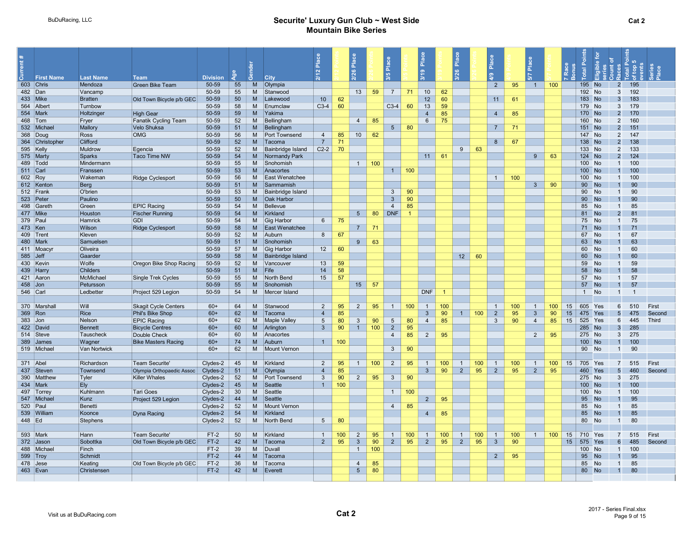|            |                                | <b>Last Name</b>     | <b>Team</b>                                | <b>Division</b> |                 | රී       | <b>City</b>              | $\overline{\mathbf{a}}$<br>$\mathbf{\alpha}$ |     | Place           |     | Place<br>3/5    |                | $\frac{a}{b}$<br>$\frac{9}{5}$ |     | <b>P</b>              | $\sigma$       |                     |                   |                  |    |            |                  |                              | ю<br>유 뿐       |        |
|------------|--------------------------------|----------------------|--------------------------------------------|-----------------|-----------------|----------|--------------------------|----------------------------------------------|-----|-----------------|-----|-----------------|----------------|--------------------------------|-----|-----------------------|----------------|---------------------|-------------------|------------------|----|------------|------------------|------------------------------|----------------|--------|
|            | <b>First Name</b><br>603 Chris | Mendoza              | <b>Green Bike Team</b>                     | 50-59           | 55              | M        | Olympia                  |                                              |     |                 |     |                 |                |                                |     |                       | $\overline{2}$ | 95                  | $\vert$ 1 $\vert$ | 100              |    | 195        | <b>No</b>        | $\overline{2}$               | 195            |        |
| 482 Dan    |                                | Vancamp              |                                            | 50-59           | 55              | M        | Stanwood                 |                                              |     | 13              | 59  | $\overline{7}$  | 71             | 10                             | 62  |                       |                |                     |                   |                  |    | 192        | <b>No</b>        | 3                            | 192            |        |
| 433   Mike |                                | <b>Bratten</b>       | Old Town Bicycle p/b GEC                   | 50-59           | 50 <sub>2</sub> | M        | Lakewood                 | 10 <sup>°</sup>                              | 62  |                 |     |                 |                | 12                             | 60  |                       | 11             | 61                  |                   |                  |    | 183        | <b>No</b>        | 3                            | 183            |        |
|            | 564 Albert                     | Turnbow              |                                            | 50-59           | 58              | M        | Enumclaw                 | $C3-4$                                       | 60  |                 |     | $C3-4$          | 60             | 13                             | 59  |                       |                |                     |                   |                  |    | 179        | <b>No</b>        | 3                            | 179            |        |
| 554 Mark   |                                | Holtzinger           | <b>High Gear</b>                           | 50-59           | 59              | M        | Yakima                   |                                              |     |                 |     |                 |                | $\overline{4}$                 | 85  |                       | $\overline{4}$ | 85                  |                   |                  |    | 170        | <b>No</b>        | $\overline{2}$               | 170            |        |
| 468 Tom    |                                | Fryer                | <b>Fanatik Cycling Team</b>                | 50-59           | 52              | M        | Bellingham               |                                              |     | $\overline{4}$  | 85  |                 |                | 6                              | 75  |                       |                |                     |                   |                  |    | 160        | <b>No</b>        | $\overline{2}$               | 160            |        |
|            | 532 Michae                     | Mallory              | Velo Shuksa                                | 50-59           | 51              | M        | Bellingham               |                                              |     |                 |     | $5\overline{)}$ | 80             |                                |     |                       | $\overline{7}$ | 71                  |                   |                  |    | 151        | <b>No</b>        | $\overline{2}$               | 151            |        |
|            | 368 Doug                       | Ross                 | <b>OMG</b>                                 | 50-59           | 56              | M        | Port Townsend            | $\overline{4}$                               | 85  | 10 <sup>1</sup> | 62  |                 |                |                                |     |                       |                |                     |                   |                  |    | 147        | <b>No</b>        | $\overline{2}$               | 147            |        |
|            | 364 Christopher                | Clifford             |                                            | 50-59           | 52              | <b>M</b> | Tacoma                   | $\overline{7}$                               | 71  |                 |     |                 |                |                                |     |                       | 8              | 67                  |                   |                  |    | 138        | <b>No</b>        | $\overline{2}$               | 138            |        |
| 595 Kelly  |                                | Muldrow              | Egencia                                    | 50-59           | 52              | M        | <b>Bainbridge Island</b> | $C2-2$                                       | 70  |                 |     |                 |                |                                |     | 63<br>9               |                |                     |                   |                  |    | 133        | <b>No</b>        | $\overline{2}$               | 133            |        |
|            | 575 Marty                      | Sparks               | Taco Time NW                               | 50-59           | 54              | M        | Normandy Park            |                                              |     |                 |     |                 |                | 11                             | 61  |                       |                |                     | 9                 | 63               |    | 124        | <b>No</b>        | $\overline{2}$               | 124            |        |
| 489 Todd   |                                | Mindermann           |                                            | 50-59           | 55              | M        | Snohomish                |                                              |     | 1               | 100 |                 |                |                                |     |                       |                |                     |                   |                  |    | 100        | <b>No</b>        | $\overline{1}$               | 100            |        |
| 511 Carl   |                                | Franssen             |                                            | 50-59           | 53              | M        | Anacortes                |                                              |     |                 |     | 1               | 100            |                                |     |                       |                |                     |                   |                  |    | 100        | <b>No</b>        | $\mathbf{1}$                 | 100            |        |
| 602 Roy    |                                | Wakeman              | <b>Ridge Cyclesport</b>                    | 50-59           | 56              | M        | East Wenatchee           |                                              |     |                 |     |                 |                |                                |     |                       |                | 100<br>$\mathbf{1}$ |                   |                  |    | 100        | <b>No</b>        | $\overline{1}$               | 100            |        |
|            | 612 Kenton                     | Berg                 |                                            | 50-59           | 51              | M        | Sammamish                |                                              |     |                 |     |                 |                |                                |     |                       |                |                     | $\mathbf{3}$      | 90               |    | 90         | <b>No</b>        | $\overline{1}$               | 90             |        |
|            | 512 Frank                      | O'brien              |                                            | 50-59           | 53              | M        | <b>Bainbridge Island</b> |                                              |     |                 |     | $\mathbf{3}$    | 90             |                                |     |                       |                |                     |                   |                  |    | 90         | <b>No</b>        | $\overline{1}$               | 90             |        |
|            | 523 Peter                      | Paulino              |                                            | 50-59           | 50              | <b>M</b> | <b>Oak Harbor</b>        |                                              |     |                 |     | $\mathbf{3}$    | 90             |                                |     |                       |                |                     |                   |                  |    | 90         | <b>No</b>        | $\mathbf{1}$                 | 90             |        |
|            | 498 Gareth                     | Green                | <b>EPIC Racing</b>                         | 50-59           | 54              | M        | Bellevue                 |                                              |     |                 |     | $\overline{4}$  | 85             |                                |     |                       |                |                     |                   |                  |    | 85         | <b>No</b>        | $\overline{1}$               | 85             |        |
| 477 Mike   |                                | Houston              | <b>Fischer Running</b>                     | 50-59           | 54              | <b>M</b> | Kirkland                 |                                              |     | $5\overline{)}$ | 80  | <b>DNF</b>      | $\overline{1}$ |                                |     |                       |                |                     |                   |                  |    | 81         | <b>No</b>        | $\overline{2}$               | 81             |        |
| 379 Paul   |                                | Hamrick              | <b>GDI</b>                                 | 50-59           | 54              | M        | Gig Harbor               | $6\overline{6}$                              | 75  |                 |     |                 |                |                                |     |                       |                |                     |                   |                  |    | 75         | <b>No</b>        | $\overline{1}$               | 75             |        |
| 473   Ken  |                                | <b>Wilson</b>        | <b>Ridge Cyclesport</b>                    | 50-59           | 58              | <b>M</b> | East Wenatchee           |                                              |     | $\overline{7}$  | 71  |                 |                |                                |     |                       |                |                     |                   |                  |    | 71         | <b>No</b>        |                              | 71             |        |
|            | 409 Trent                      | Kleven               |                                            | 50-59           | 52              | M        | Auburn                   | 8                                            | 67  |                 |     |                 |                |                                |     |                       |                |                     |                   |                  |    | 67         | <b>No</b>        | $\overline{1}$               | 67             |        |
| 480 Mark   |                                | Samuelsen            |                                            | 50-59           | 51              | M        | Snohomish                |                                              |     | -9              | 63  |                 |                |                                |     |                       |                |                     |                   |                  |    | 63         | <b>No</b>        |                              | 63             |        |
|            | 411 Moacy                      | Oliveira             |                                            | 50-59           | 57              | M        | Gig Harbor               | 12                                           | 60  |                 |     |                 |                |                                |     |                       |                |                     |                   |                  |    | 60         | <b>No</b>        | $\overline{1}$               | 60             |        |
| 585 Jeff   |                                | Gaarder              |                                            | 50-59           | 58              | M        | Bainbridge Island        |                                              |     |                 |     |                 |                |                                |     | 12<br>60              |                |                     |                   |                  |    | 60         | <b>No</b>        |                              | 60             |        |
|            | 430 Kevin                      | Wolfe                | Oregon Bike Shop Racing                    | 50-59           | 52              | M        | Vancouver                | 13                                           | 59  |                 |     |                 |                |                                |     |                       |                |                     |                   |                  |    | 59         | <b>No</b>        | $\overline{1}$               | 59             |        |
|            | 439 Harry                      | <b>Childers</b>      |                                            | 50-59           | 51              | <b>M</b> | Fife                     | 14                                           | 58  |                 |     |                 |                |                                |     |                       |                |                     |                   |                  |    | 58         | <b>No</b>        | $\overline{1}$               | 58             |        |
|            | 421 Aaron                      | McMichael            | <b>Single Trek Cycles</b>                  | 50-59           | 55              | M        | North Bend               | 15                                           | 57  |                 |     |                 |                |                                |     |                       |                |                     |                   |                  |    | 57         | <b>No</b>        | $\overline{1}$               | 57             |        |
| $458$ Jon  |                                | Petursson            |                                            | 50-59           | 55              | M        | Snohomish                |                                              |     | 15              | 57  |                 |                |                                |     |                       |                |                     |                   |                  |    | 57         | <b>No</b>        | $\overline{1}$               | 57             |        |
| 546 Carl   |                                | Ledbetter            | Project 529 Legion                         | 50-59           | 54              | M        | Mercer Island            |                                              |     |                 |     |                 |                | <b>DNF</b>                     |     |                       |                |                     |                   |                  |    | 1          | No               | $\overline{1}$               | $\overline{1}$ |        |
|            |                                |                      |                                            |                 |                 |          |                          |                                              |     |                 |     |                 |                |                                |     |                       |                |                     |                   |                  |    |            |                  |                              |                |        |
|            | 370 Marshall                   | Will                 | <b>Skagit Cycle Centers</b>                | $60+$           | 64              | M        | Stanwood                 | $\overline{2}$                               | 95  | 2               | 95  | $\overline{1}$  | 100            | $\mathbf{1}$                   | 100 |                       | $\overline{1}$ | 100                 | $\overline{1}$    | 100              | 15 | 605        | Yes              | 6                            | 510            | First  |
| 369 Ron    |                                | Rice                 | Phil's Bike Shop                           | $60+$           | 62              | M        | Tacoma                   | $\overline{4}$                               | 85  |                 |     |                 |                | $\mathbf{3}$                   | 90  | 100<br>$\overline{1}$ | $\overline{2}$ | 95                  | $\mathbf{3}$      | 90               | 15 | 475        |                  | $5\overline{5}$              | 475            | Second |
| 383 Jon    |                                | Nelson               | <b>EPIC Racing</b>                         | $60+$           | 62              | M        | <b>Maple Valley</b>      | $5\overline{5}$                              | 80  | $\mathbf{3}$    | 90  | 5               | 80             | $\overline{4}$                 | 85  |                       | $\mathbf{3}$   | 90                  | $\overline{4}$    | 85               | 15 | 525<br>285 | Yes<br><b>No</b> | 6                            | 445<br>285     | Third  |
|            | 422 David<br>514 Steve         | Bennett<br>Tauscheck | <b>Bicycle Centres</b>                     | $60+$<br>$60+$  | 60<br>60        | M<br>M   | Arlington<br>Anacortes   | $\mathbf{3}$                                 | 90  | $\overline{1}$  | 100 | $\overline{2}$  | 95             |                                |     |                       |                |                     |                   |                  |    | 275        | <b>No</b>        | $\mathbf{3}$<br>$\mathbf{3}$ | 275            |        |
|            | 389 James                      | Wagner               | Double Check<br><b>Bike Masters Racing</b> | $60+$           | 74              | M        | Auburn                   | 1                                            | 100 |                 |     | $\overline{4}$  | 85             | $\overline{2}$                 | 95  |                       |                |                     | $\overline{2}$    | 95               |    | 100        | <b>No</b>        | $\mathbf{1}$                 | 100            |        |
|            | 519 Michael                    | Van Nortwick         |                                            | $60+$           | 62              | M        | <b>Mount Vernon</b>      |                                              |     |                 |     | $\mathbf{3}$    | 90             |                                |     |                       |                |                     |                   |                  |    | 90         | No               | $\overline{1}$               | 90             |        |
|            |                                |                      |                                            |                 |                 |          |                          |                                              |     |                 |     |                 |                |                                |     |                       |                |                     |                   |                  |    |            |                  |                              |                |        |
| 371 Abel   |                                | Richardson           | Team Securite'                             | Clydes-2        | 45              | M        | Kirkland                 | 2                                            | 95  | $\overline{1}$  | 100 | $\overline{2}$  | 95             | -1                             | 100 | 100<br>$\overline{1}$ | $\mathbf{1}$   | 100                 | $\overline{1}$    | 100              | 15 | 705        | Yes              | $\overline{7}$               | 515            | First  |
|            | 437 Steven                     | Townsend             | Olympia Orthopaedic Assoc                  | Clydes-2        | 51              | M        | Olympia                  | $\overline{4}$                               | 85  |                 |     |                 |                | $\mathbf{3}$                   | 90  | $\overline{2}$<br>95  | $2^{\circ}$    | 95                  | $\overline{2}$    | 95               |    | 460        | Yes              | 5                            | 460            | Second |
|            | 390 Matthew                    | Tyler                | <b>Killer Whales</b>                       | Clydes-2        | 52              | M        | Port Townsend            | $\mathbf{3}$                                 | 90  | $\overline{2}$  | 95  | $\mathbf{3}$    | 90             |                                |     |                       |                |                     |                   |                  |    | 275        | <b>No</b>        | $\mathbf{3}$                 | 275            |        |
| 434 Mark   |                                | Ely                  |                                            | Clydes-2        | 45              | M        | Seattle                  | $\overline{1}$                               | 100 |                 |     |                 |                |                                |     |                       |                |                     |                   |                  |    | 100        | <b>No</b>        | $\overline{1}$               | 100            |        |
|            | 497 Torrey                     | Kuhlmann             | Tari Goes                                  | Clydes-2        | 30              | M        | Seattle                  |                                              |     |                 |     | $\overline{1}$  | 100            |                                |     |                       |                |                     |                   |                  |    | 100        | <b>No</b>        | $\overline{1}$               | 100            |        |
|            | 547 Michael                    | Kunz                 | Project 529 Legion                         | Clydes-2        | 44              | M        | Seattle                  |                                              |     |                 |     |                 |                | $\overline{2}$                 | 95  |                       |                |                     |                   |                  |    | 95         | <b>No</b>        | $\overline{1}$               | 95             |        |
| 520 Paul   |                                | Benetti              |                                            | Clydes-2        | 52              | M        | Mount Vernon             |                                              |     |                 |     | $\overline{4}$  | 85             |                                |     |                       |                |                     |                   |                  |    | 85         | <b>No</b>        | $\overline{1}$               | 85             |        |
|            | 539 William                    | Koonce               | Dyna Racing                                | Clydes-2        | 54              | M        | Kirkland                 |                                              |     |                 |     |                 |                | $\overline{4}$                 | 85  |                       |                |                     |                   |                  |    | 85         | <b>No</b>        | $\overline{1}$               | 85             |        |
| 448 Ed     |                                | Stephens             |                                            | Clydes-2        | 52              | M        | North Bend               | $5\overline{5}$                              | 80  |                 |     |                 |                |                                |     |                       |                |                     |                   |                  |    | 80         | <b>No</b>        | $\overline{1}$               | 80             |        |
|            |                                |                      |                                            |                 |                 |          |                          |                                              |     |                 |     |                 |                |                                |     |                       |                |                     |                   |                  |    |            |                  |                              |                |        |
| 593 Mark   |                                | Hann                 | Team Securite'                             | $FT-2$          | 50              | M        | Kirkland                 | $\overline{1}$                               | 100 | $\overline{2}$  | 95  | $\overline{1}$  | 100            | $\overline{1}$                 | 100 | $\mathbf{1}$<br>100   | $\overline{1}$ | 100                 | $\overline{1}$    | 100 <sub>1</sub> | 15 | 710        | Yes              | 7                            | 515            | First  |
|            | 372 Jason                      | Sobottka             | Old Town Bicycle p/b GEC                   | $FT-2$          | 42              | M        | Tacoma                   | $\overline{2}$                               | 95  | $\mathbf{3}$    | 90  | $2^{\circ}$     | 95             | $\overline{2}$                 | 95  | 95<br>2               | 3 <sup>5</sup> | 90                  |                   |                  | 15 | 575        |                  | 6                            | 485            | Second |
|            | 488 Michae                     | Finch                |                                            | $FT-2$          | 39              | M        | Duvall                   |                                              |     | $\overline{1}$  | 100 |                 |                |                                |     |                       |                |                     |                   |                  |    | 100        | <b>No</b>        | $\overline{1}$               | 100            |        |
| 599 Troy   |                                | Schmidt              |                                            | $FT-2$          | 44              | M        | Tacoma                   |                                              |     |                 |     |                 |                |                                |     |                       | $\overline{2}$ | 95                  |                   |                  |    | 95         | <b>No</b>        | $\overline{1}$               | 95             |        |
| 478 Jese   |                                | Keating              | Old Town Bicycle p/b GEC                   | $FT-2$          | 36              | M        | Tacoma                   |                                              |     | $\overline{4}$  | 85  |                 |                |                                |     |                       |                |                     |                   |                  |    | 85         | <b>No</b>        | $\overline{1}$               | 85             |        |
|            | 463 Evan                       | Christensen          |                                            | $FT-2$          | 42              | M        | Everett                  |                                              |     | $5\overline{)}$ | 80  |                 |                |                                |     |                       |                |                     |                   |                  |    | 80 No      |                  | $\overline{1}$               | 80             |        |
|            |                                |                      |                                            |                 |                 |          |                          |                                              |     |                 |     |                 |                |                                |     |                       |                |                     |                   |                  |    |            |                  |                              |                |        |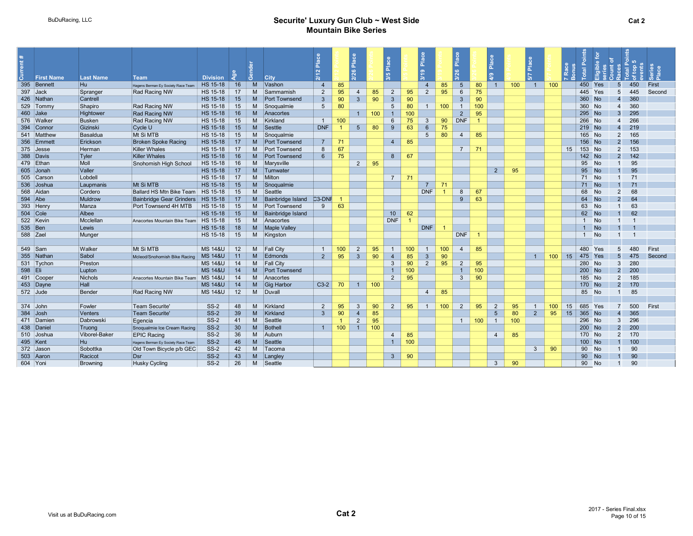|            | <b>First Name</b> | <b>Last Name</b>         | <b>Team</b>                        | <b>Division</b>                          |                 | ക്                  | <b>City</b>                       | $\sim$          |                      | ep <sub>la</sub> ce<br>26 |     | ۱ã<br>io.           |           | <b>A</b><br>മ   |                | $\frac{a}{b}$                  |           | ā               |                  |                |          |    |                             |           |                         |            |        |  |
|------------|-------------------|--------------------------|------------------------------------|------------------------------------------|-----------------|---------------------|-----------------------------------|-----------------|----------------------|---------------------------|-----|---------------------|-----------|-----------------|----------------|--------------------------------|-----------|-----------------|------------------|----------------|----------|----|-----------------------------|-----------|-------------------------|------------|--------|--|
|            | 395 Bennett       | H <sub>u</sub>           | Hagens Berman Ey Society Race Team | HS 15-18                                 | 16              | M                   | Vashon                            | $\overline{4}$  | 85                   |                           |     |                     |           | $\overline{4}$  | 85             | $5\overline{5}$                | 80        | $\overline{1}$  | 100 <sub>1</sub> | $\sim$ 1       | 100      |    | 450                         | Yes       | $\overline{5}$          | 450        | First  |  |
|            | 397 Jack          | Spranger                 | Rad Racing NW                      | HS 15-18                                 | 17              | M                   | Sammamish                         | 2               | 95                   | $\mathbf{\Delta}$         | 85  | 2                   | 95        | $\overline{2}$  | 95             | 6                              | 75        |                 |                  |                |          |    | 445                         | Yes       | $5\overline{5}$         | 445        | Second |  |
|            | 426 Nathan        | Cantrell                 |                                    | HS 15-18                                 | 15              | M                   | <b>Port Townsend</b>              | $\mathbf{3}$    | 90                   | $\overline{3}$            | 90  | $\mathbf{3}$        | 90        |                 |                | 3                              | 90        |                 |                  |                |          |    | 360                         | <b>No</b> | $\overline{4}$          | 360        |        |  |
|            | 529 Tommy         | Shapiro                  | Rad Racing NW                      | HS 15-18                                 | 15              | M                   | Snoqualmie                        | $5\overline{5}$ | 80                   |                           |     | -5                  | 80        | $-1$            | 100            | $\overline{1}$                 | 100       |                 |                  |                |          |    | 360 No                      |           | $\overline{4}$          | 360        |        |  |
|            | 460 Jake          | Hightower                | <b>Rad Racing NW</b>               | HS 15-18                                 | 16              | M <sub>1</sub>      | Anacortes                         |                 |                      |                           | 100 |                     |           |                 |                | $\overline{2}$                 | 95        |                 |                  |                |          |    | 295 No                      |           | 3                       | 295        |        |  |
|            | 576 Walker        | <b>Busken</b>            | Rad Racing NW                      | HS 15-18                                 | 15              | M                   | Kirkland                          | $\overline{1}$  | 100                  |                           |     | 6                   | 75        | 3               | 90             | <b>DNF</b>                     |           |                 |                  |                |          |    | 266 No                      |           | $\boldsymbol{4}$        | 266        |        |  |
|            | 394 Connor        | Gizinski                 | Cycle U                            | HS 15-18                                 | 15              | M <sub>1</sub>      | Sesttle                           | <b>DNF</b>      |                      | $5^{\circ}$               | 80  | 9                   | 63        | $6\overline{6}$ | 75             |                                |           |                 |                  |                |          |    | 219 No                      |           | $\overline{4}$          | 219        |        |  |
|            | 541 Matthew       | Basaldua                 | Mt Si MTB                          | HS 15-18                                 | 15              | M                   | Snoqualmie                        |                 |                      |                           |     |                     |           | 5               | 80             | $\overline{4}$                 | 85        |                 |                  |                |          |    | 165 No                      |           | 2                       | 165        |        |  |
|            | 356 Emmett        | Erickson                 | <b>Broken Spoke Racing</b>         | HS 15-18                                 | 17              | M                   | <b>Port Townsend</b>              | $\overline{7}$  | 71                   |                           |     | $\overline{4}$      | 85        |                 |                |                                |           |                 |                  |                |          |    | 156 No                      |           | $\mathcal{P}$           | 156        |        |  |
|            | 375 Jesse         | Herman                   | Killer Whales                      | HS 15-18                                 | 17              | M                   | Port Townsend                     | 8               | 67                   |                           |     |                     |           |                 |                | 7 <sup>2</sup>                 | 71        |                 |                  |                |          | 15 | 153<br><b>No</b>            |           | 2                       | 153        |        |  |
|            | 388 Davis         | Tyler                    | Killer Whales                      | HS 15-18                                 | 16              | M <sub>1</sub>      | <b>Port Townsend</b>              | $6^{\circ}$     | 75                   |                           |     | 8                   | 67        |                 |                |                                |           |                 |                  |                |          |    | 142 No                      |           | $\overline{2}$          | 142        |        |  |
|            | 479 Ethan         | Moll                     | Snohomish High School              | HS 15-18                                 | 16              | M                   | Marysville                        |                 |                      | $2^{\circ}$               | 95  |                     |           |                 |                |                                |           |                 |                  |                |          |    | 95                          | <b>No</b> |                         | 95         |        |  |
|            | 605 Jonah         | Valler                   |                                    | HS 15-18                                 | 17              | M                   | Tumwater                          |                 |                      |                           |     |                     |           |                 |                |                                |           | $2^{\circ}$     | 95               |                |          |    | 95<br><b>No</b>             |           |                         | 95         |        |  |
|            | 505 Carsor        | Lobdell                  |                                    | HS 15-18                                 | 17              | M                   | Milton                            |                 |                      |                           |     | $\overline{7}$      | 71        |                 |                |                                |           |                 |                  |                |          |    | 71 No                       |           |                         | 71         |        |  |
|            | 536 Joshua        | Laupmanis                | Mt Si MTB                          | HS 15-18                                 | 15              | M                   | Snoqualmie                        |                 |                      |                           |     |                     |           | $\overline{7}$  | 71             |                                |           |                 |                  |                |          |    | 71<br><b>No</b>             |           |                         | 71         |        |  |
|            | 568 Aidan         | Cordero                  | Ballard HS Mtn Bike Team           | HS 15-18                                 | 15              | M                   | Seattle                           |                 |                      |                           |     |                     |           | <b>DNF</b>      | $\overline{1}$ | 8                              | 67        |                 |                  |                |          |    | 68                          | <b>No</b> | $\overline{2}$          | 68         |        |  |
| 594 Abe    |                   | Muldrow                  | Bainbridge Gear Grinders           | HS 15-18                                 | 17              | M <sub>1</sub>      | Bainbridge Island                 | $C3-DNF$        |                      |                           |     |                     |           |                 |                | 9                              | 63        |                 |                  |                |          |    | 64<br><b>No</b>             |           | $\overline{2}$          | 64         |        |  |
|            | 393 Henry         | Manza                    | Port Townsend 4H MTB               | HS 15-18                                 | 15              | M                   | <b>Port Townsend</b>              | 9               | 63                   |                           |     |                     |           |                 |                |                                |           |                 |                  |                |          |    | 63                          | <b>No</b> |                         | 63         |        |  |
| $504$ Cole |                   | Albee                    |                                    | HS 15-18                                 | 15              | M                   | Bainbridge Island                 |                 |                      |                           |     | 10 <sup>°</sup>     | 62        |                 |                |                                |           |                 |                  |                |          |    | 62<br><b>No</b>             |           |                         | 62         |        |  |
|            | 522 Kevin         | Mcclellan                | Anacortes Mountain Bike Team       | HS 15-18                                 | 15              | M                   | Anacortes                         |                 |                      |                           |     | <b>DNF</b>          |           |                 |                |                                |           |                 |                  |                |          |    | 1 No                        |           |                         |            |        |  |
| 535 Ben    |                   | Lewis                    |                                    | HS 15-18                                 | 18              | M                   | <b>Maple Valley</b>               |                 |                      |                           |     |                     |           | <b>DNF</b>      |                |                                |           |                 |                  |                |          |    | $\overline{1}$              | <b>No</b> |                         |            |        |  |
| 588 Zael   |                   | Munger                   |                                    | HS 15-18                                 | 15              | M                   | Kingston                          |                 |                      |                           |     |                     |           |                 |                | <b>DNF</b>                     |           |                 |                  |                |          |    | <b>No</b><br>$\overline{1}$ |           |                         |            |        |  |
|            |                   |                          |                                    |                                          |                 |                     |                                   |                 |                      |                           |     |                     |           |                 |                |                                |           |                 |                  |                |          |    |                             |           |                         |            |        |  |
|            | 549 Sam           | Walker                   | Mt Si MTB                          | <b>MS 14&amp;U</b>                       | 12              | M                   | <b>Fall City</b>                  | $\overline{1}$  | 100                  | 2                         | 95  | $\overline{1}$      | 100       |                 | 100            | $\overline{4}$                 | 85        |                 |                  |                |          |    | 480                         | Yes       | 5                       | 480        | First  |  |
|            | 355 Nathan        | Sabol                    | Mcleod/Snohomish Bike Racing       | <b>MS 14&amp;U</b>                       | 11              | M                   | Edmonds                           | $\overline{2}$  | 95                   | $\mathbf{3}$              | 90  | $\overline{4}$      | 85        | $\mathbf{3}$    | 90             |                                |           |                 |                  | $\mathbf{1}$   | $100$ 15 |    | 475                         | Yes       | $\overline{5}$          | 475        | Second |  |
| 598 Eli    | 531 Tychon        | Preston                  |                                    | <b>MS 14&amp;U</b><br><b>MS 14&amp;U</b> | 14<br>14        | M<br>M <sub>1</sub> | <b>Fall City</b><br>Port Townsend |                 |                      |                           |     | 3<br>$\overline{1}$ | 90        | 2               | 95             | $\overline{2}$                 | 95        |                 |                  |                |          |    | 280 No<br>$200$ No          |           | 3<br>$\overline{2}$     | 280<br>200 |        |  |
|            | 491 Cooper        | Lupton<br><b>Nichols</b> |                                    | <b>MS 14&amp;U</b>                       | 14              |                     | M Anacortes                       |                 |                      |                           |     | 2                   | 100<br>95 |                 |                | $\overline{1}$<br>$\mathbf{3}$ | 100<br>90 |                 |                  |                |          |    | 185 No                      |           | $\overline{2}$          | 185        |        |  |
|            | 453 Dayne         | Hall                     | Anacortes Mountain Bike Team       | <b>MS 14&amp;U</b>                       | 14              | M                   | Gig Harbor                        | $C3-2$          | 70                   | 1                         | 100 |                     |           |                 |                |                                |           |                 |                  |                |          |    | 170 No                      |           | $\overline{2}$          | 170        |        |  |
|            | 572 Jude          | Bender                   | Rad Racing NW                      | <b>MS 14&amp;U</b>                       | 12              | M                   | Duvall                            |                 |                      |                           |     |                     |           | $\overline{4}$  | 85             |                                |           |                 |                  |                |          |    | 85<br><b>No</b>             |           | $\overline{1}$          | 85         |        |  |
|            |                   |                          |                                    |                                          |                 |                     |                                   |                 |                      |                           |     |                     |           |                 |                |                                |           |                 |                  |                |          |    |                             |           |                         |            |        |  |
|            | 374 John          | Fowler                   | Team Securite'                     | $SS-2$                                   | 48              | M                   | Kirkland                          | $\overline{2}$  | 95                   | 3                         | 90  | 2                   | 95        | $\overline{1}$  | 100            | 2                              | 95        | 2               | 95               | $\overline{1}$ | 100      | 15 | 685                         | Yes       |                         | 500        | First  |  |
|            | 384 Josh          | <b>Venters</b>           | Team Securite'                     | $SS-2$                                   | 39              | M                   | Kirkland                          | 3 <sup>5</sup>  | 90                   | $\overline{4}$            | 85  |                     |           |                 |                |                                |           | $5\phantom{.0}$ | 80               | $\overline{2}$ | 95       | 15 | 365 No                      |           | $\boldsymbol{A}$        | 365        |        |  |
|            | 471 Damier        | Dabrowski                | Egencia                            | <b>SS-2</b>                              | 41              | M                   | Seattle                           |                 | $\blacktriangleleft$ | $\overline{2}$            | 95  |                     |           |                 |                | $\overline{1}$                 | 100       | $\mathbf{1}$    | 100              |                |          |    | 296 No                      |           | 3                       | 296        |        |  |
|            | 438 Daniel        | Truong                   | Snoqualmie Ice Cream Racing        | $SS-2$                                   | 30 <sup>°</sup> | M <sub>1</sub>      | Bothell                           | $\overline{1}$  | 100                  | $\overline{1}$            | 100 |                     |           |                 |                |                                |           |                 |                  |                |          |    | 200 No                      |           | $\overline{2}$          | 200        |        |  |
|            | 510 Joshua        | Viborel-Baker            | <b>EPIC Racing</b>                 | $SS-2$                                   | 36              | M                   | Auburn                            |                 |                      |                           |     | $\overline{4}$      | 85        |                 |                |                                |           | $\overline{4}$  | 85               |                |          |    | 170 No                      |           | $\overline{2}$          | 170        |        |  |
|            | 495 Kent          | Hu                       | Hagens Berman Ey Society Race Team | <b>SS-2</b>                              | 46              | M <sub>1</sub>      | Seattle                           |                 |                      |                           |     | $\overline{1}$      | 100       |                 |                |                                |           |                 |                  |                |          |    | 100 No                      |           |                         | 100        |        |  |
|            | 372 Jason         | Sobottka                 | Old Town Bicycle p/b GEC           | $SS-2$                                   | 42              |                     | M Tacoma                          |                 |                      |                           |     |                     |           |                 |                |                                |           |                 |                  | 3 <sup>5</sup> | 90       |    | 90<br><b>No</b>             |           |                         | 90         |        |  |
|            | 503 Aaron         | Racicot                  | $\mathsf{Dsr}$                     | $SS-2$                                   | 43              | M                   | Langley                           |                 |                      |                           |     | $\mathbf{3}$        | 90        |                 |                |                                |           |                 |                  |                |          |    | 90                          | <b>No</b> |                         | 90         |        |  |
| 604 Yoni   |                   | <b>Browning</b>          | <b>Husky Cycling</b>               | $SS-2$                                   | 26              | M                   | Seattle                           |                 |                      |                           |     |                     |           |                 |                |                                |           | 3 <sup>1</sup>  | 90               |                |          |    | 90 No                       |           | $\overline{\mathbf{1}}$ | 90         |        |  |
|            |                   |                          |                                    |                                          |                 |                     |                                   |                 |                      |                           |     |                     |           |                 |                |                                |           |                 |                  |                |          |    |                             |           |                         |            |        |  |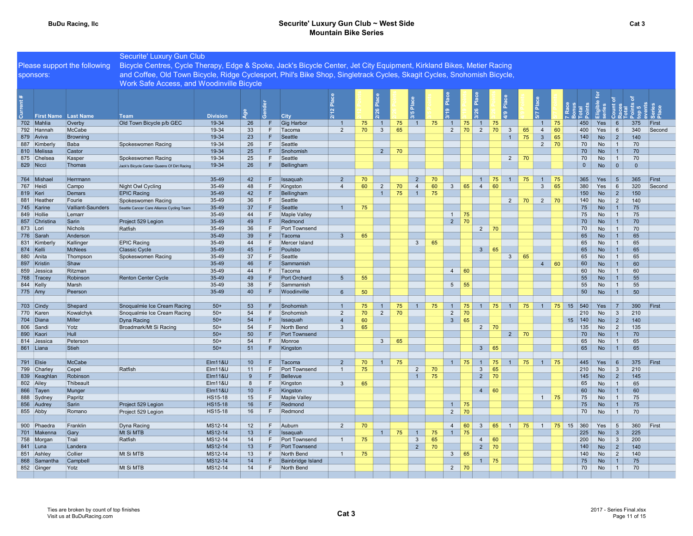#### BuDu Racing, IIc **Securite' Luxury Gun Club ~ West Side** Securite' Luxury Gun Club ~ West Side Mountain Bike Series

|                             |                              | Securite' Luxury Gun Club                                                                                               |                               |          |        |                           |                |    |                |    |                                  |          |                |    |                             |    |                |    |                     |                 |                     |                        |                   |            |        |
|-----------------------------|------------------------------|-------------------------------------------------------------------------------------------------------------------------|-------------------------------|----------|--------|---------------------------|----------------|----|----------------|----|----------------------------------|----------|----------------|----|-----------------------------|----|----------------|----|---------------------|-----------------|---------------------|------------------------|-------------------|------------|--------|
|                             | Please support the following | Bicycle Centres, Cycle Therapy, Edge & Spoke, Jack's Bicycle Center, Jet City Equipment, Kirkland Bikes, Metier Racing  |                               |          |        |                           |                |    |                |    |                                  |          |                |    |                             |    |                |    |                     |                 |                     |                        |                   |            |        |
| sponsors:                   |                              | and Coffee, Old Town Bicycle, Ridge Cyclesport, Phil's Bike Shop, Singletrack Cycles, Skagit Cycles, Snohomish Bicycle, |                               |          |        |                           |                |    |                |    |                                  |          |                |    |                             |    |                |    |                     |                 |                     |                        |                   |            |        |
|                             |                              | Work Safe Access, and Woodinville Bicycle                                                                               |                               |          |        |                           |                |    |                |    |                                  |          |                |    |                             |    |                |    |                     |                 |                     |                        |                   |            |        |
|                             |                              |                                                                                                                         |                               |          |        |                           |                |    |                |    |                                  |          |                |    |                             |    |                |    |                     |                 |                     |                        |                   |            |        |
|                             |                              |                                                                                                                         |                               |          |        |                           |                |    |                |    |                                  |          |                |    |                             |    |                |    |                     |                 |                     |                        |                   |            |        |
|                             |                              |                                                                                                                         |                               |          |        |                           |                |    |                |    |                                  |          |                |    | Plac                        |    |                |    |                     |                 |                     |                        |                   |            |        |
| <b>First Name</b> Last Name |                              |                                                                                                                         |                               | ్తి      |        |                           |                |    |                |    | 3/5                              |          |                |    |                             |    | ల్ల            |    |                     |                 |                     |                        |                   |            |        |
| 702 Mahlia                  | Overby                       | Team<br>Old Town Bicycle p/b GEC                                                                                        | <b>Division</b><br>19-34      | 26       | F      | <b>City</b><br>Gig Harbor | $\overline{1}$ | 75 | $\overline{1}$ | 75 | $\vert$ 1 $\vert$                | 75       | $-1$           |    | $75$ 1 75                   |    |                |    | $\overline{1}$      | 75              | 450                 | Yes                    | 6                 | 375        | First  |
| 792 Hannah                  | McCabe                       |                                                                                                                         | 19-34                         | 33       | F.     | Tacoma                    | $\overline{2}$ | 70 | $\mathbf{3}$   | 65 |                                  |          | $\overline{2}$ | 70 | $2 \mid 70$                 |    | $\mathbf{3}$   | 65 | $\overline{4}$      | 60              | 400                 | Yes                    | 6                 | 340        | Second |
| 879 Aviva                   | <b>Browning</b>              |                                                                                                                         | 19-34                         | 23       | F      | Seattle                   |                |    |                |    |                                  |          |                |    |                             |    | $\overline{1}$ | 75 | $\mathbf{3}$        | 65              | 140                 | N <sub>o</sub>         | $\mathcal{P}$     | 140        |        |
| 887 Kimberly                | Baba                         | Spokeswomen Racing                                                                                                      | 19-34                         | 26       | F      | Seattle                   |                |    |                |    |                                  |          |                |    |                             |    |                |    | $\overline{2}$      | 70              | 70                  | No                     | $\mathbf{1}$      | 70         |        |
| 810 Melissa                 | Castor                       |                                                                                                                         | 19-34                         | 25       | F      | Snohomish                 |                |    | $2^{\circ}$    | 70 |                                  |          |                |    |                             |    |                |    |                     |                 | 70                  | <b>No</b>              |                   | 70         |        |
| 875 Chelsea                 | Kasper                       | Spokeswomen Racing                                                                                                      | 19-34                         | 25       | E      | Seattle                   |                |    |                |    |                                  |          |                |    |                             |    | 2              | 70 |                     |                 | 70                  | No                     | $\overline{1}$    | 70         |        |
| 829 Nicci                   | Thomas                       | Jack's Bicycle Center Queens Of Dirt Racing                                                                             | 19-34                         | 26       | F      | Bellingham                |                |    |                |    |                                  |          |                |    |                             |    |                |    |                     |                 | $\overline{0}$      | <b>No</b>              | $\overline{0}$    | $\Omega$   |        |
|                             |                              |                                                                                                                         |                               |          |        |                           |                |    |                |    |                                  |          |                |    |                             |    |                |    |                     |                 |                     |                        |                   |            |        |
| 764 Mishael                 | Herrmann                     |                                                                                                                         | 35-49                         | 42       | F      | Issaquah                  | $\overline{2}$ | 70 |                |    | $\overline{2}$                   | 70       |                |    | $\bigoplus$                 | 75 | $\overline{1}$ | 75 | $\overline{1}$      | 75              | 365                 | Yes                    | -5                | 365        | First  |
| 767 Heidi                   | Campo                        | Night Owl Cycling                                                                                                       | 35-49                         | 48       | F      | Kingston                  | $\overline{4}$ | 60 | $\overline{2}$ | 70 | $\overline{4}$                   | 60       | $\mathbf{3}$   | 65 | $\overline{4}$              | 60 |                |    | $\mathbf{3}$        | 65              | 380                 | Yes                    | 6                 | 320        | Second |
| 819 Keri                    | Demars                       | <b>EPIC Racing</b>                                                                                                      | 35-49                         | 42       | F      | Bellingham                |                |    | 1              | 75 | $\overline{1}$                   | 75       |                |    |                             |    |                |    |                     |                 | 150                 | <b>No</b>              | 2                 | 150        |        |
| 881 Heathe                  | Fourie<br>Valliant-Saunders  | Spokeswomen Racing                                                                                                      | 35-49<br>35-49                | 36<br>37 | E<br>F | Seattle<br>Seattle        | $\overline{1}$ | 75 |                |    |                                  |          |                |    |                             |    | $\overline{2}$ | 70 | 2                   | 70              | 140<br>75           | No<br><b>No</b>        | 2                 | 140<br>75  |        |
| 745 Karine<br>849 Hollie    | Lemarr                       | Seattle Cancer Care Alliance Cycling Team                                                                               | 35-49                         | 44       | E      | <b>Maple Valley</b>       |                |    |                |    |                                  |          | $\overline{1}$ | 75 |                             |    |                |    |                     |                 | 75                  | No                     |                   | 75         |        |
| 857 Christina               | Sarin                        | Project 529 Legion                                                                                                      | 35-49                         | 49       | F      | Redmond                   |                |    |                |    |                                  |          | $\overline{2}$ | 70 |                             |    |                |    |                     |                 | 70                  | No                     |                   | 70         |        |
| 873 Lori                    | Nichols                      | Ratfish                                                                                                                 | 35-49                         | 36       | E      | Port Townsend             |                |    |                |    |                                  |          |                |    | $2 \mid$                    | 70 |                |    |                     |                 | 70                  | <b>No</b>              | $\overline{1}$    | 70         |        |
| 776 Sarah                   | Anderson                     |                                                                                                                         | 35-49                         | 39       | F      | Tacoma                    | $\mathbf{3}$   | 65 |                |    |                                  |          |                |    |                             |    |                |    |                     |                 | 65                  | <b>No</b>              |                   | 65         |        |
| 831 Kimberly                | Kallinger                    | <b>EPIC Racing</b>                                                                                                      | 35-49                         | 44       | F      | Mercer Island             |                |    |                |    | $3^{\circ}$                      | 65       |                |    |                             |    |                |    |                     |                 | 65                  | No                     |                   | 65         |        |
| 874 Kelli                   | McNees                       | Classic Cycle                                                                                                           | 35-49                         | 45       | F      | Poulsbo                   |                |    |                |    |                                  |          |                |    | 3                           | 65 |                |    |                     |                 | 65                  | <b>No</b>              |                   | 65         |        |
| 880 Anita                   | Thompson                     | Spokeswomen Racing                                                                                                      | 35-49                         | 37       | F      | Seattle                   |                |    |                |    |                                  |          |                |    |                             |    | $\mathbf{3}$   | 65 |                     |                 | 65                  | No                     |                   | 65         |        |
| 897 Kristin                 | Shaw                         |                                                                                                                         | 35-49                         | 46       | F      | Sammamish                 |                |    |                |    |                                  |          |                |    |                             |    |                |    | $\overline{4}$      | 60              | 60                  | <b>No</b>              |                   | 60         |        |
| 859 Jessica                 | Ritzman                      |                                                                                                                         | 35-49                         | 44       | E      | Tacoma                    |                |    |                |    |                                  |          | $\overline{4}$ | 60 |                             |    |                |    |                     |                 | 60                  | No                     |                   | 60         |        |
| 768 $ Trace$                | Robinson                     | <b>Renton Center Cycle</b>                                                                                              | 35-49                         | 49       | F      | Port Orchard              | 5 <sup>5</sup> | 55 |                |    |                                  |          |                |    |                             |    |                |    |                     |                 | 55                  | <b>No</b>              |                   | 55         |        |
| 844 Kelly                   | Marsh                        |                                                                                                                         | 35-49                         | 38       | E<br>F | Sammamish                 |                |    |                |    |                                  |          | 5 <sup>5</sup> | 55 |                             |    |                |    |                     |                 | 55                  | No                     | $\mathbf{1}$      | 55         |        |
| 775 Amy                     | Peerson                      |                                                                                                                         | 35-49                         | 40       |        | Woodinville               | 6              | 50 |                |    |                                  |          |                |    |                             |    |                |    |                     |                 | 50                  | <b>No</b>              |                   | 50         |        |
| $703$ Cindy                 | Shepard                      | Snoqualmie Ice Cream Racing                                                                                             | $50+$                         | 53       | F      | Snohomish                 | $\overline{1}$ | 75 |                | 75 | $\overline{1}$                   | 75       | $\overline{1}$ | 75 | $1 \mid 75$                 |    | $\overline{1}$ | 75 | $1 \mid 75 \mid 15$ |                 | 540                 | Yes                    |                   | 390        | First  |
| 770 Karen                   | Kowalchyk                    | Snoqualmie Ice Cream Racing                                                                                             | $50+$                         | 54       | E      | Snohomish                 | $\overline{2}$ | 70 | $\overline{2}$ | 70 |                                  |          | $\overline{2}$ | 70 |                             |    |                |    |                     |                 | 210                 | No                     | $\mathbf{3}$      | 210        |        |
| 704 Diana                   | Miller                       | Dyna Racing                                                                                                             | $50+$                         | 54       | F      | <b>Issaguah</b>           | $\overline{4}$ | 60 |                |    |                                  |          | 3 <sup>2</sup> | 65 |                             |    |                |    |                     |                 | $ 140\rangle$<br>15 | <b>No</b>              | $\overline{2}$    | 140        |        |
| 806 Sandi                   | Yotz                         | Broadmark/Mt Si Racing                                                                                                  | $50+$                         | 54       | E      | North Bend                | $\mathbf{3}$   | 65 |                |    |                                  |          |                |    | $2^{\circ}$                 | 70 |                |    |                     |                 | 135                 | No                     | 2                 | 135        |        |
| 890 Kaori                   | <b>Hull</b>                  |                                                                                                                         | $50+$                         | 50       | F      | Port Townsend             |                |    |                |    |                                  |          |                |    |                             |    | $2 \mid$       | 70 |                     |                 | 70                  | <b>No</b>              |                   | 70         |        |
| 814 Jessica                 | Peterson                     |                                                                                                                         | $50+$                         | 54       | E      | Monroe                    |                |    | $\mathbf{3}$   | 65 |                                  |          |                |    |                             |    |                |    |                     |                 | 65                  | No                     |                   | 65         |        |
| 861 Liana                   | Stieh                        |                                                                                                                         | $50+$                         | 51       | F      | Kingston                  |                |    |                |    |                                  |          |                |    | 3 <sup>7</sup>              | 65 |                |    |                     |                 | 65                  | <b>No</b>              |                   | 65         |        |
|                             |                              |                                                                                                                         |                               |          |        |                           |                |    |                |    |                                  |          |                |    |                             |    |                |    |                     |                 |                     |                        |                   |            |        |
| 791 Elsie                   | McCabe                       |                                                                                                                         | <b>Elm11&amp;U</b>            | 10       | F<br>F | Tacoma                    | $\overline{2}$ | 70 | $\overline{1}$ | 75 |                                  |          | $\overline{1}$ | 75 | $1 \mid 75$                 |    |                | 75 | $1 \mid 75$         |                 | 445                 | Yes                    | - 6               | 375        | First  |
| 799 Charley                 | Cepel<br>Robinson            | Ratfish                                                                                                                 | <b>Elm11&amp;U</b>            | 11<br>9  | F      | Port Townsend<br>Bellevue | $\overline{1}$ | 75 |                |    | $\overline{2}$<br>$\overline{1}$ | 70<br>75 |                |    | $\mathbf{3}$<br>$2 \mid 70$ | 65 |                |    |                     |                 | 210<br>145          | <b>No</b><br><b>No</b> | $\mathbf{3}$<br>2 | 210<br>145 |        |
| 839 Keaghlan<br>802 Ailey   | Thibeault                    |                                                                                                                         | <b>Elm11&amp;U</b><br>Elm11&U | 8        | F      | Kingston                  | $\mathbf{3}$   | 65 |                |    |                                  |          |                |    |                             |    |                |    |                     |                 | 65                  | No                     | $\overline{1}$    | 65         |        |
| 866 Tayen                   | Munger                       |                                                                                                                         | <b>Elm11&amp;U</b>            | 10       | F      | Kingston                  |                |    |                |    |                                  |          |                |    | $4 \mid 60$                 |    |                |    |                     |                 | 60                  | <b>No</b>              |                   | 60         |        |
| 888 Sydney                  | Papritz                      |                                                                                                                         | HS15-18                       | 15       | F      | <b>Maple Valley</b>       |                |    |                |    |                                  |          |                |    |                             |    |                |    | $\overline{1}$      | 75              | 75                  | No                     | $\overline{1}$    | 75         |        |
| 856 Audrey                  | Sarin                        | Project 529 Legion                                                                                                      | <b>HS15-18</b>                | 16       | F      | Redmond                   |                |    |                |    |                                  |          | $\overline{1}$ | 75 |                             |    |                |    |                     |                 | 75                  | <b>No</b>              |                   | 75         |        |
| 855 Abby                    | Romano                       | Project 529 Legion                                                                                                      | <b>HS15-18</b>                | 16       | F      | Redmond                   |                |    |                |    |                                  |          | 2              | 70 |                             |    |                |    |                     |                 | 70                  | No                     | $\mathbf{1}$      | 70         |        |
|                             |                              |                                                                                                                         |                               |          |        |                           |                |    |                |    |                                  |          |                |    |                             |    |                |    |                     |                 |                     |                        |                   |            |        |
| 900 Phaedra                 | Franklin                     | Dyna Racing                                                                                                             | MS12-14                       | 12       | F.     | Auburn                    | 2              | 70 |                |    |                                  |          | $\overline{4}$ | 60 | $\mathbf{3}$                | 65 | $\overline{1}$ | 75 | $\overline{1}$      | $\vert$ 75   15 | 360                 | Yes                    | -5                | 360        | First  |
| 701 Makenna                 | Gary                         | Mt Si MTB                                                                                                               | MS12-14                       | 13       | F      | Issaquah                  |                |    | 1              | 75 | $\overline{1}$                   | 75       | $\overline{1}$ | 75 |                             |    |                |    |                     |                 | 225                 | <b>No</b>              | $\mathbf{3}$      | 225        |        |
| 758 Morgan                  | Trail                        | Ratfish                                                                                                                 | MS12-14                       | 14       | F      | Port Townsend             | $\overline{1}$ | 75 |                |    | $\mathbf{3}$                     | 65       |                |    | 4                           | 60 |                |    |                     |                 | 200                 | No                     | $\mathbf{3}$      | 200        |        |
| 841 Luna                    | Landera                      |                                                                                                                         | MS12-14                       | 13       | F      | <b>Port Townsend</b>      |                |    |                |    | $\overline{2}$                   | 70       |                |    | $\overline{2}$              | 70 |                |    |                     |                 | 140                 | <b>No</b>              | $\overline{2}$    | 140        |        |
| 851 Ashley                  | Collier                      | Mt Si MTB                                                                                                               | MS12-14                       | 13       | F      | North Bend                | $\overline{1}$ | 75 |                |    |                                  |          | $\mathbf{3}$   | 65 |                             |    |                |    |                     |                 | 140                 | No                     | $\overline{2}$    | 140        |        |
| 868 Samantha                | Campbell                     |                                                                                                                         | MS12-14                       | 14       | F      | Bainbridge Island         |                |    |                |    |                                  |          |                |    | $\mathbf{1}$                | 75 |                |    |                     |                 | 75                  | <b>No</b>              |                   | 75         |        |
| 852 Ginger                  | Yotz                         | Mt Si MTB                                                                                                               | MS12-14                       | 14       | F      | North Bend                |                |    |                |    |                                  |          | $\overline{2}$ | 70 |                             |    |                |    |                     |                 | 70                  | No                     | 1                 | 70         |        |
|                             |                              |                                                                                                                         |                               |          |        |                           |                |    |                |    |                                  |          |                |    |                             |    |                |    |                     |                 |                     |                        |                   |            |        |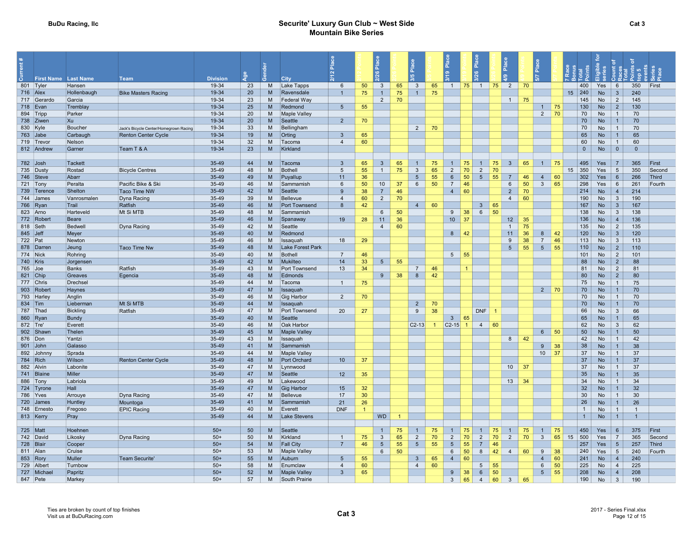#### BuDu Racing, IIc **Securite' Luxury Gun Club ~ West Side** Securite' Luxury Gun Club ~ West Side Mountain Bike Series

|                         |                      |                           |                                        |                 | <b>Sol</b> |          |                          |                 |          | ) ဗ                                       |                      |                                |                |                                   | $\frac{1}{2}$         |                | أهّ                             |          | Place           |    |                  |                |                  |                                 |                |        |
|-------------------------|----------------------|---------------------------|----------------------------------------|-----------------|------------|----------|--------------------------|-----------------|----------|-------------------------------------------|----------------------|--------------------------------|----------------|-----------------------------------|-----------------------|----------------|---------------------------------|----------|-----------------|----|------------------|----------------|------------------|---------------------------------|----------------|--------|
| 5.                      | First Name Last Name |                           | Team                                   | <b>Division</b> |            |          | City                     |                 |          |                                           |                      |                                |                |                                   |                       |                |                                 |          |                 |    |                  |                |                  |                                 |                |        |
| 801 Tyler<br>$716$ Alex |                      | Hansen<br>Hollenbaugh     | <b>Bike Masters Racing</b>             | 19-34<br>19-34  | 23         | M<br>M   | Lake Tapps<br>Ravensdale | 6               | 50<br>75 | $\overline{\mathbf{3}}$<br>$\overline{1}$ | 65<br>75             | $\mathbf{3}$<br>$\overline{1}$ | 65<br>75       |                                   |                       |                | $1 \t 75 \t 1 \t 75 \t 2 \t 70$ |          |                 |    | $15 \mid 240$    | 400            | Yes<br><b>No</b> | $6\phantom{.}6$<br>$\mathbf{3}$ | 350<br>240     | First  |
|                         | 717 Gerardo          | Garcia                    |                                        | 19-34           | 20<br>23   | M        | Federal Way              | $\overline{1}$  |          | $\overline{2}$                            | 70                   |                                |                |                                   |                       |                | $\overline{1}$                  | 75       |                 |    |                  | 145            | <b>No</b>        | $\overline{2}$                  | 145            |        |
| 718 Evan                |                      | Tremblay                  |                                        | 19-34           | 25         | M        | Redmond                  | 5               | 55       |                                           |                      |                                |                |                                   |                       |                |                                 |          | $\overline{1}$  | 75 |                  | 130            | No.              | $\overline{2}$                  | 130            |        |
| 894 Tripp               |                      | Parker                    |                                        | 19-34           | 20         | M        | <b>Maple Vallev</b>      |                 |          |                                           |                      |                                |                |                                   |                       |                |                                 |          | $\overline{2}$  | 70 |                  | 70             | No               | $\overline{1}$                  | 70             |        |
| 738 Ziwen               |                      | Xu                        |                                        | 19-34           | 20         | M        | Seattle                  | $\overline{2}$  | 70       |                                           |                      |                                |                |                                   |                       |                |                                 |          |                 |    |                  | 70             | <b>No</b>        | $\overline{1}$                  | 70             |        |
| 830 Kyle                |                      | Boucher                   | Jack's Bicycle Center/Homegrown Racing | 19-34           | 33         | M        | Bellingham               |                 |          |                                           |                      | $\overline{2}$                 | 70             |                                   |                       |                |                                 |          |                 |    |                  | 70             | No               | $\overline{1}$                  | 70             |        |
| 763 Jabe                |                      | Carbaugh                  | Renton Center Cycle                    | 19-34           | 19         | M        | Orting                   | $\overline{3}$  | 65       |                                           |                      |                                |                |                                   |                       |                |                                 |          |                 |    |                  | 65             | <b>No</b>        | $\mathbf{1}$                    | 65             |        |
| 719 Trevor              |                      | Nelson                    |                                        | 19-34           | 32         | M        | Tacoma                   | $\overline{4}$  | 60       |                                           |                      |                                |                |                                   |                       |                |                                 |          |                 |    |                  | 60             | No               | $\mathbf{1}$                    | 60             |        |
|                         | 812 Andrew           | Garner                    | Team T & A                             | 19-34           | 23         | M        | Kirkland                 |                 |          |                                           |                      |                                |                |                                   |                       |                |                                 |          |                 |    |                  | $\overline{0}$ | <b>No</b>        | $\overline{0}$                  | $\Omega$       |        |
|                         |                      |                           |                                        |                 |            |          |                          |                 |          |                                           |                      |                                |                |                                   |                       |                |                                 |          |                 |    |                  |                |                  |                                 |                |        |
| $782$ Josh              |                      | <b>Tackett</b>            |                                        | 35-49           | 44         | M        | Tacoma                   | $\mathbf{3}$    | 65       | $\overline{3}$                            | 65                   | $\overline{1}$                 | 75             | $\mathbf{1}$                      | 75<br>$\overline{1}$  | 75             | $\mathbf{3}$                    | 65       | $\overline{1}$  | 75 |                  | 495            | Yes              |                                 | 365            | First  |
| 735 Dusty               |                      | Rostad                    | <b>Bicycle Centres</b>                 | 35-49           | 48         | M        | Bothell                  | 5               | 55       | $\overline{1}$                            | 75                   | $\mathbf{3}$                   | 65             | $\overline{2}$                    | $\overline{2}$<br>70  | 70             |                                 |          |                 |    | 15 <sup>15</sup> | 350            | Yes              | 5                               | 350            | Second |
| 746 Steve               |                      | Abarr                     |                                        | 35-49           | 49         | M        | Puyallup                 | 11              | 36       |                                           |                      | $\overline{5}$                 | 55             | $6\phantom{1}$                    | $5\overline{)}$<br>50 | 55             | $\overline{7}$                  | 46       | $\overline{4}$  | 60 |                  | 302            | Yes              | $6\overline{6}$                 | 266            | Third  |
| 721 Tony                |                      | Peralta                   | Pacific Bike & Ski                     | 35-49           | 46         | M        | Sammamish                | 6               | 50       | 10                                        | 37                   | 6                              | 50             | $\overline{7}$                    | 46                    |                | 6                               | 50       | $\mathbf{3}$    | 65 |                  | 298            | Yes              | $6\overline{6}$                 | 261            | Fourth |
|                         | 739 Terence          | Shelton                   | Taco Time NW                           | 35-49           | 42         | M        | Seattle                  | 9               | 38       | $\overline{7}$                            | 46                   |                                |                | $\overline{4}$<br>$\vert$ 60      |                       |                | $\overline{2}$                  | 70       |                 |    |                  | 214            | <b>No</b>        | $\overline{4}$                  | 214            |        |
| 744 James               |                      | Vanrosmalen               | Dyna Racing                            | 35-49           | 39         | M        | <b>Bellevue</b>          | $\overline{4}$  | 60       | $\overline{2}$                            | 70                   |                                |                |                                   |                       |                | $\overline{4}$                  | 60       |                 |    |                  | 190            | No               | $\mathbf{3}$                    | 190            |        |
| 766 Ryan                |                      | Trail                     | Ratfish                                | 35-49           | 46         | M        | <b>Port Townsend</b>     | 8               | 42       |                                           |                      | $\overline{4}$                 | 60             |                                   | $\overline{3}$        | 65             |                                 |          |                 |    |                  | 167            | <b>No</b>        | $\mathbf{3}$                    | 167            |        |
| 823 Arno                |                      | Harteveld                 | Mt Si MTB                              | 35-49           | 48         | M        | Sammamish                |                 |          | 6                                         | 50                   |                                |                | 9                                 | 38<br>$6\overline{6}$ | 50             |                                 |          |                 |    |                  | 138            | No               | $\mathbf{3}$                    | 138            |        |
|                         | 772 Robert           | Beare                     |                                        | $35-49$         | 46         | M        | Spanaway                 | 19              | 28       | 11                                        | 36                   |                                |                | $10 \overline{\smash{\big)}\ 37}$ |                       |                | 12 <sup>°</sup>                 | 35       |                 |    |                  | 136            | <b>No</b>        | $\overline{4}$                  | 136            |        |
| 818 Seth                |                      | <b>Bedwell</b>            | Dyna Racing                            | 35-49           | 42<br>40   | M<br>M   | Seattle                  |                 |          | $\overline{4}$                            | 60                   |                                |                | $8 \mid 42$                       |                       |                | $\overline{1}$<br>11            | 75<br>36 | 8               | 42 |                  | 135<br>120     | <b>No</b>        | 2<br>$\mathbf{3}$               | 135<br>120     |        |
| $845$ Jeff<br>722 Pat   |                      | Meyer                     |                                        | 35-49<br>35-49  | 46         | M        | Redmond<br>Issaguah      |                 |          |                                           |                      |                                |                |                                   |                       |                | 9                               | 38       | $7\overline{ }$ | 46 |                  | 113            | <b>No</b><br>No  | $\mathbf{3}$                    | 113            |        |
|                         | 878 Darren           | Newton<br>Jeung           | Taco Time Nw                           | 35-49           | 48         | M        | Lake Forest Park         | 18              | 29       |                                           |                      |                                |                |                                   |                       |                | $5\overline{)}$                 | 55       | $5\overline{)}$ | 55 |                  | 110            | <b>No</b>        | $\overline{2}$                  | 110            |        |
| 774 Nick                |                      | Rohring                   |                                        | 35-49           | 40         | M        | <b>Bothell</b>           | $\overline{7}$  | 46       |                                           |                      |                                |                | $5\quad 55$                       |                       |                |                                 |          |                 |    |                  | 101            | No               | $\overline{2}$                  | 101            |        |
| 740 Kris                |                      | Jorgensen                 |                                        | 35-49           | 42         | M        | Mukilteo                 | 14              | 33       | 5                                         | 55                   |                                |                |                                   |                       |                |                                 |          |                 |    |                  | 88             | <b>No</b>        | $\overline{2}$                  | 88             |        |
| 765 Joe                 |                      | Banks                     | Ratfish                                | 35-49           | 43         | M        | Port Townsend            | 13              | 34       |                                           |                      | $7\overline{ }$                | 46             |                                   |                       |                |                                 |          |                 |    |                  | 81             | No               | $\overline{2}$                  | 81             |        |
| 821 Chip                |                      | Greaves                   | Egencia                                | 35-49           | 48         | M        | Edmonds                  |                 |          | 9                                         | 38                   | $\boldsymbol{8}$               | 42             |                                   |                       |                |                                 |          |                 |    |                  | 80             | <b>No</b>        | $\overline{2}$                  | 80             |        |
| 777 Chris               |                      | Drechsel                  |                                        | 35-49           | 44         | M        | Tacoma                   | $\overline{1}$  | 75       |                                           |                      |                                |                |                                   |                       |                |                                 |          |                 |    |                  | 75             | <b>No</b>        | $\mathbf{1}$                    | 75             |        |
|                         | 903 Robert           | Haynes                    |                                        | 35-49           | 47         | M        | Issaquah                 |                 |          |                                           |                      |                                |                |                                   |                       |                |                                 |          | $2 \mid 70$     |    |                  | 70             | <b>No</b>        | $\mathbf{1}$                    | 70             |        |
| 793 Harley              |                      | Anglin                    |                                        | 35-49           | 46         | M        | Gig Harbor               | $\overline{2}$  | 70       |                                           |                      |                                |                |                                   |                       |                |                                 |          |                 |    |                  | 70             | No               | $\mathbf{1}$                    | 70             |        |
| 834 Tim                 |                      | Lieberman                 | Mt Si MTB                              | 35-49           | 44         | M        | Issaguah                 |                 |          |                                           |                      | $\overline{2}$                 | 70             |                                   |                       |                |                                 |          |                 |    |                  | 70             | <b>No</b>        | $\overline{1}$                  | 70             |        |
| 787 Thad                |                      | <b>Bickling</b>           | Ratfish                                | 35-49           | 47         | M        | Port Townsend            | 20              | 27       |                                           |                      | 9                              | 38             |                                   | DNF                   | $\overline{1}$ |                                 |          |                 |    |                  | 66             | No               | $\mathbf{3}$                    | 66             |        |
| 860 Ryan                |                      | <b>Bundy</b>              |                                        | 35-49           | 40         | M        | Seattle                  |                 |          |                                           |                      |                                |                | 3                                 | 65                    |                |                                 |          |                 |    |                  | 65             | <b>No</b>        | $\overline{1}$                  | 65             |        |
| 872 Tre'                |                      | Everett                   |                                        | 35-49           | 46         | M        | Oak Harbor               |                 |          |                                           |                      | $C2-13$                        | $\overline{1}$ | $ C2-15 $ 1                       | $\overline{4}$        | 60             |                                 |          |                 |    |                  | 62             | No               | $\mathbf{3}$                    | 62             |        |
|                         | 902 Shawr            | Thelen                    |                                        | $35-49$         | 45         | M        | <b>Maple Valley</b>      |                 |          |                                           |                      |                                |                |                                   |                       |                |                                 |          | $6\overline{6}$ | 50 |                  | 50             | <b>No</b>        | $\mathbf{1}$                    | 50             |        |
| 876 Don                 |                      | Yantzi                    |                                        | 35-49           | 43         | M        | Issaguah                 |                 |          |                                           |                      |                                |                |                                   |                       |                | 8                               | 42       |                 |    |                  | 42             | <b>No</b>        | $\mathbf{1}$                    | 42             |        |
| 901 John                |                      | Galasso                   |                                        | 35-49           | 41         | M        | Sammamish                |                 |          |                                           |                      |                                |                |                                   |                       |                |                                 |          | 9               | 38 |                  | 38             | <b>No</b>        | $\mathbf{1}$                    | 38             |        |
|                         | 892 Johnn            | Sprada                    |                                        | 35-49           | 44         | M        | <b>Maple Valley</b>      |                 |          |                                           |                      |                                |                |                                   |                       |                |                                 |          | 10 <sup>1</sup> | 37 |                  | 37             | No               | $\mathbf{1}$                    | 37             |        |
| 784 Rich                |                      | Wilson                    | Renton Center Cycle                    | 35-49           | 48         | M        | Port Orchard             | 10 <sup>°</sup> | 37       |                                           |                      |                                |                |                                   |                       |                |                                 |          |                 |    |                  | 37             | <b>No</b>        | $\mathbf{1}$                    | 37             |        |
| 882 Alvin               |                      | Labonite<br><b>Miller</b> |                                        | 35-49<br>35-49  | 47         | M<br>M   | Lynnwood<br>Seattle      | 12              |          |                                           |                      |                                |                |                                   |                       |                | $10 \mid 37$                    |          |                 |    |                  | 37             | No<br><b>No</b>  | $\mathbf{1}$                    | 37             |        |
| 741 Blaine<br>886 Tony  |                      | Labriola                  |                                        | 35-49           | 47<br>49   | M        | Lakewood                 |                 | 35       |                                           |                      |                                |                |                                   |                       |                | 13                              | 34       |                 |    |                  | 35<br>34       | No               | $\mathbf{1}$<br>1               | 35<br>34       |        |
|                         | 724 Tyrone           | Hall                      |                                        | 35-49           | 47         | M        | Gig Harbor               | 15              | 32       |                                           |                      |                                |                |                                   |                       |                |                                 |          |                 |    |                  | 32             | <b>No</b>        | $\overline{1}$                  | 32             |        |
| 786 Yves                |                      | Arrouye                   | Dyna Racing                            | 35-49           | 47         | M        | Bellevue                 | 17              | 30       |                                           |                      |                                |                |                                   |                       |                |                                 |          |                 |    |                  | 30             | No               | 1                               | 30             |        |
|                         | 720 James            | Huntlev                   | Mountoga                               | 35-49           | 41         | M        | Sammamish                | 21              | 26       |                                           |                      |                                |                |                                   |                       |                |                                 |          |                 |    |                  | 26             | <b>No</b>        | $\mathbf{1}$                    | 26             |        |
|                         | 748 Ernesto          | Fregoso                   | <b>EPIC Racing</b>                     | 35-49           | 40         | M        | Everett                  | <b>DNF</b>      |          |                                           |                      |                                |                |                                   |                       |                |                                 |          |                 |    |                  | $\overline{1}$ | No               | $\overline{1}$                  | $\overline{1}$ |        |
| 813 Kerry               |                      | Pray                      |                                        | 35-49           | 44         | <b>M</b> | Lake Stevens             |                 |          | <b>WD</b>                                 | $\blacktriangleleft$ |                                |                |                                   |                       |                |                                 |          |                 |    |                  | $\mathbf{1}$   | <b>No</b>        | $\mathbf{1}$                    | $\overline{1}$ |        |
|                         |                      |                           |                                        |                 |            |          |                          |                 |          |                                           |                      |                                |                |                                   |                       |                |                                 |          |                 |    |                  |                |                  |                                 |                |        |
| 725 Matt                |                      | Hoehnen                   |                                        | $50+$           | 50         | M        | Seattle                  |                 |          | $\mathbf{1}$                              | 75                   | $\overline{1}$                 | 75             | $\overline{1}$                    | 75<br>$\mathbf{1}$    | 75             | $\overline{1}$                  | 75       | $\overline{1}$  | 75 |                  | 450            | Yes              | $6\overline{6}$                 | 375            | First  |
| 742 David               |                      | Likosky                   | Dyna Racing                            | $50+$           | 50         | M        | Kirkland                 | $\overline{1}$  | 75       | $\mathbf{3}$                              | 65                   | $\overline{2}$                 | 70             | $\overline{2}$                    | 70<br>$\overline{2}$  | 70             | $\overline{2}$                  | 70       | $\mathbf{3}$    | 65 | 15               | 500            | Yes              | $\overline{7}$                  | 365            | Second |
| 728 Blair               |                      | Cooper                    |                                        | $50+$           | 54         | M        | <b>Fall City</b>         | $\overline{7}$  | 46       | 5 <sup>5</sup>                            | 55                   | 5 <sup>5</sup>                 | 55             | $5\overline{5}$                   | 55<br>$\overline{7}$  | 46             |                                 |          |                 |    |                  | 257            | Yes              | $5\overline{5}$                 | 257            | Third  |
| 811 Alan                |                      | Cruise                    |                                        | $50+$           | 53         | M        | <b>Maple Valley</b>      |                 |          | 6                                         | 50                   |                                |                | 6                                 | 50<br>8               | 42             | $\overline{4}$                  | 60       | 9               | 38 |                  | 240            | Yes              | $5\overline{5}$                 | 240            | Fourth |
| 853 Rory                |                      | <b>Muller</b>             | <b>Team Securite'</b>                  | $50+$           | 55         | M        | Auburn                   | 5               | 55       |                                           |                      | $\overline{3}$                 | 65             | $\overline{4}$                    | 60                    |                |                                 |          | $\overline{4}$  | 60 |                  | 241            | <b>No</b>        | $\overline{4}$                  | 240            |        |
|                         | 729 Albert           | Turnbow                   |                                        | $50+$           | 58         | M        | Enumclaw                 | $\overline{4}$  | 60       |                                           |                      | $\overline{4}$                 | 60             |                                   | 5                     | 55             |                                 |          | $6\phantom{1}$  | 50 |                  | 225            | No               | $\overline{4}$                  | 225            |        |
|                         | 727 Michael          | Papritz                   |                                        | $50+$           | 52         | M        | <b>Maple Valley</b>      | $\overline{3}$  | 65       |                                           |                      |                                |                | 9                                 | 38<br>$6\phantom{.}6$ | 50             |                                 |          | 5 <sup>5</sup>  | 55 |                  | 208            | <b>No</b>        | $\overline{4}$                  | 208            |        |
| 847 Pete                |                      | Markey                    |                                        | $50+$           | 57         | M        | South Prairie            |                 |          |                                           |                      |                                |                | $\mathbf{3}$                      | 65<br>$\overline{4}$  | 60             | $\mathbf{3}$                    | 65       |                 |    |                  | 190            | No               | $\mathbf{3}$                    | 190            |        |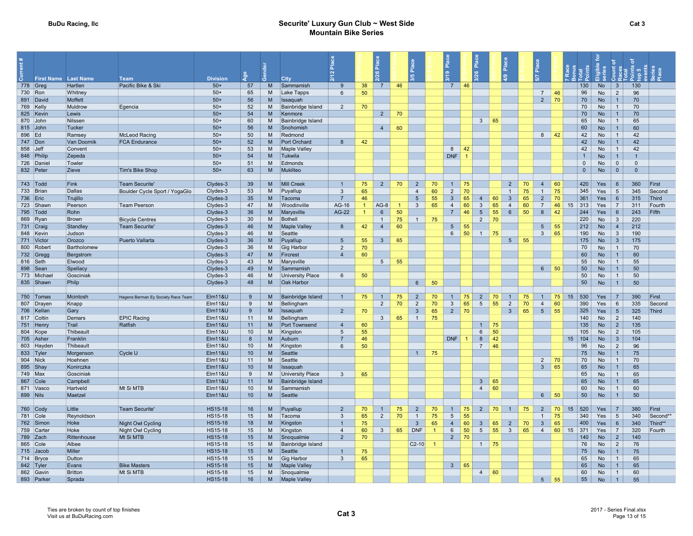#### BuDu Racing, IIc **Securite' Luxury Gun Club ~ West Side** Securite' Luxury Gun Club ~ West Side Mountain Bike Series

|                         |                       |                                    |                    |            |        |                         |                   |                |                 |    | Place                            |                |                                   | $\overline{P}$ Place |                                 | $\frac{a}{b}$                              |          | Place                            |          |                         |                        |                 |              |                     |
|-------------------------|-----------------------|------------------------------------|--------------------|------------|--------|-------------------------|-------------------|----------------|-----------------|----|----------------------------------|----------------|-----------------------------------|----------------------|---------------------------------|--------------------------------------------|----------|----------------------------------|----------|-------------------------|------------------------|-----------------|--------------|---------------------|
|                         |                       |                                    |                    |            |        |                         | $\mathbf{\Omega}$ |                | ್ಲಿ             |    |                                  |                | $\bullet$                         |                      |                                 |                                            |          |                                  |          |                         |                        |                 |              |                     |
| First Name Last Name    |                       | <b>Team</b>                        | <b>Division</b>    | <b>Age</b> |        | City                    |                   |                |                 |    |                                  |                |                                   |                      |                                 | $\frac{6}{4}$                              |          | 5/7                              |          |                         | 듧                      |                 |              |                     |
| 778 $Greg$              | Hartlen               | Pacific Bike & Ski                 | $50+$              | 57         | M      | Sammamish               | -9                | 38             | $\overline{7}$  | 46 |                                  |                | $\overline{7}$                    | 46                   |                                 |                                            |          |                                  |          | 130                     | <b>No</b>              | $\mathbf{3}$    | 130          |                     |
| 730 Ron                 | Whitney               |                                    | $50+$              | 65         | м      | Lake Tapps              | $6\overline{6}$   | 50             |                 |    |                                  |                |                                   |                      |                                 |                                            |          | $\overline{7}$                   | 46       | 96                      | No                     | 2               | 96           |                     |
| 891 David               | Moffett               |                                    | $50+$              | 56         | M      | <b>Issaquah</b>         |                   |                |                 |    |                                  |                |                                   |                      |                                 |                                            |          | $\overline{2}$                   | 70       | 70                      | <b>No</b>              |                 | 70           |                     |
| 769 Kelly               | Muldrow               | Egencia                            | $50+$              | 52         | M      | Bainbridge Island       | $\overline{2}$    | 70             |                 |    |                                  |                |                                   |                      |                                 |                                            |          |                                  |          | 70                      | <b>No</b>              | $\mathbf{1}$    | 70           |                     |
| 825 Kevin               | Lewis                 |                                    | $50+$              | 54         | M      | Kenmore                 |                   |                | $\overline{2}$  | 70 |                                  |                |                                   |                      |                                 |                                            |          |                                  |          | 70                      | <b>No</b>              |                 | 70           |                     |
| 870 John                | Nilssen               |                                    | $50+$              | 60         | M      | Bainbridge Island       |                   |                |                 |    |                                  |                |                                   |                      | 3 <sup>1</sup>                  | 65                                         |          |                                  |          | 65                      | No                     | $\overline{1}$  | 65           |                     |
| 815 John                | Tucker                |                                    | $50+$              | 56         | M<br>M | Snohomish               |                   |                | $\overline{4}$  | 60 |                                  |                |                                   |                      |                                 |                                            |          | 8                                | 42       | 60<br>42                | <b>No</b>              |                 | 60<br>42     |                     |
| 896 Ed<br>747 Don       | Ramsey<br>Van Doornik | <b>McLeod Racing</b>               | $50+$<br>$50+$     | 50<br>52   | M      | Redmond<br>Port Orchard | 8                 | 42             |                 |    |                                  |                |                                   |                      |                                 |                                            |          |                                  |          | 42                      | <b>No</b><br><b>No</b> | $\mathbf{1}$    | 42           |                     |
| 858 Jeff                | Convent               | <b>FCA Endurance</b>               | $50+$              | 53         | M      | <b>Maple Valley</b>     |                   |                |                 |    |                                  |                | 8                                 | 42                   |                                 |                                            |          |                                  |          | 42                      | No                     | $\overline{1}$  | 42           |                     |
| 846 Philip              | Zepeda                |                                    | $50+$              | 54         | M      | Tukwila                 |                   |                |                 |    |                                  |                | DNF                               | $\overline{1}$       |                                 |                                            |          |                                  |          | $\overline{1}$          | <b>No</b>              |                 |              |                     |
| 726 Daniel              | Towler                |                                    | $50+$              | 51         | M      | Edmonds                 |                   |                |                 |    |                                  |                |                                   |                      |                                 |                                            |          |                                  |          | $\overline{0}$          | No                     | $\overline{0}$  | $\mathbf{0}$ |                     |
| 832 Peter               | Zieve                 | <b>Tim's Bike Shop</b>             | $50+$              | 63         | M      | Mukilteo                |                   |                |                 |    |                                  |                |                                   |                      |                                 |                                            |          |                                  |          | $\overline{0}$          | <b>No</b>              | $\overline{0}$  | $\Omega$     |                     |
|                         |                       |                                    |                    |            |        |                         |                   |                |                 |    |                                  |                |                                   |                      |                                 |                                            |          |                                  |          |                         |                        |                 |              |                     |
| $743$ $\sqrt{7}$ Todd   | Fink                  | <b>Team Securite'</b>              | Clydes-3           | 39         | M      | Mill Creek              | $\overline{1}$    | 75             | $\overline{2}$  | 70 | $\overline{2}$                   | 70             | $\mathbf{1}$                      | 75                   |                                 | $\overline{2}$                             | 70       | $\overline{4}$                   | 60       | 420                     | Yes                    | 6               | 360          | First               |
| 733 Brian               | Dallas                | Boulder Cycle Sport / YogaGlo      | Clydes-3           | 53         | M      | Puyallup                | $\mathbf{3}$      | 65             |                 |    | $\overline{4}$                   | 60             | $\overline{c}$                    | 70                   |                                 | $\overline{1}$                             | 75       | $\mathbf{1}$                     | 75       | 345                     | Yes                    | $5\overline{5}$ | 345          | Second              |
| 736   Eric              | Trujillo              |                                    | Clydes-3           | 35         | M      | Tacoma                  | $\overline{7}$    | 46             |                 |    | 5                                | 55             | $\overline{3}$                    | 65                   | $\overline{4}$                  | $\overline{3}$<br>60                       | 65       | $\overline{2}$                   | 70       | 361                     | Yes                    | 6               | 315          | Third               |
| 723 Shawn               | Peerson               | <b>Team Peerson</b>                | Clydes-3           | 47         | M      | Woodinville             | AG-16             | $\overline{1}$ | $AG-8$          |    | $\mathbf{3}$                     | 65             | $\overline{4}$                    | 60                   | $\mathbf{3}$                    | 65<br>$\overline{4}$                       | 60       | $\overline{7}$                   | 46       | 313<br>15               | Yes                    | $\overline{7}$  | 311          | Fourth              |
| 795   Todd              | Rohn                  |                                    | Clydes-3           | 36         | M      | Marysville              | AG-22             | $\mathbf{1}$   | $6\overline{6}$ | 50 |                                  |                | $\overline{7}$                    | 46                   | $5\overline{5}$                 | 55<br>$6\overline{6}$                      | 50       | 8                                | 42       | 244                     | Yes                    | 6               | 243          | Fifth               |
| 869 Ryan                | Brown                 | <b>Bicycle Centres</b>             | Clydes-3           | 30         | м      | Bothell                 |                   |                | $\overline{1}$  | 75 | $\overline{1}$                   | 75             |                                   |                      | $\overline{2}$                  | 70                                         |          |                                  |          | 220                     | No                     | $\mathbf{3}$    | 220          |                     |
| 731 Craig               | Standley              | <b>Team Securite'</b>              | Clydes-3           | 46         | M      | <b>Maple Valley</b>     | 8                 | 42             | $\overline{4}$  | 60 |                                  |                | $5\overline{)}$                   | 55                   |                                 |                                            |          | $5\phantom{.0}$                  | 55       | 212                     | <b>No</b>              | $\overline{4}$  | 212          |                     |
| 848 Kevin               | Judson                |                                    | Clydes-3           | 46         | M      | Seattle                 |                   |                |                 |    |                                  |                | $6\overline{6}$                   | 50                   | $1 \mid 75$                     |                                            |          | $\mathbf{3}$                     | 65       | 190                     | <b>No</b>              | $\mathbf{3}$    | 190          |                     |
| 771 Victor              | Orozco                | Puerto Vallarta                    | Clydes-3           | 36         | M      | Puyallup                | $5\overline{5}$   | 55             | $\mathbf{3}$    | 65 |                                  |                |                                   |                      |                                 | 5 <sup>5</sup>                             | 55       |                                  |          | 175                     | <b>No</b>              | $\mathbf{3}$    | 175          |                     |
| 800 Robert              | Bartholomew           |                                    | Clydes-3           | 36         | M      | Gig Harbor              | $\overline{2}$    | 70             |                 |    |                                  |                |                                   |                      |                                 |                                            |          |                                  |          | 70                      | No                     | $\overline{1}$  | 70           |                     |
| 732 Gregg               | Bergstrom             |                                    | Clydes-3           | 47         | M      | Fircrest                | $\overline{4}$    | 60             |                 |    |                                  |                |                                   |                      |                                 |                                            |          |                                  |          | 60                      | <b>No</b>              |                 | 60           |                     |
| 816 Seth                | Elwood                |                                    | Clydes-3           | 43         | M      | Marysville              |                   |                | 5               | 55 |                                  |                |                                   |                      |                                 |                                            |          |                                  |          | 55                      | <b>No</b>              | $\mathbf{1}$    | 55           |                     |
| 898 Sean                | Spellacy              |                                    | Clydes-3           | 49         | M      | Sammamish               |                   |                |                 |    |                                  |                |                                   |                      |                                 |                                            |          | 6 <sup>1</sup>                   | 50       | 50                      | <b>No</b>              |                 | 50           |                     |
| 773 Michael             | Gosciniak             |                                    | Clydes-3           | 46         | M      | University Place        | $6\overline{6}$   | 50             |                 |    |                                  |                |                                   |                      |                                 |                                            |          |                                  |          | 50                      | No                     | $\mathbf{1}$    | 50           |                     |
| 835 Shawn               | Philp                 |                                    | Clydes-3           | 48         | M      | Oak Harbor              |                   |                |                 |    | $6\overline{6}$                  | 50             |                                   |                      |                                 |                                            |          |                                  |          | 50                      | <b>No</b>              |                 | 50           |                     |
| 750 Tomas               | Mcintosh              | Hagens Berman Ey Society Race Team | <b>Elm11&amp;U</b> | -9         | M      | Bainbridge Island       | $\mathbf{1}$      | 75             | $\mathbf{1}$    | 75 | $\overline{2}$                   | 70             | $\mathbf{1}$                      | 75                   | $\overline{2}$                  | 70                                         | 75       |                                  | 75       | 530<br>15               | Yes                    |                 | 390          | First               |
| 807 Drayen              | Knapp                 |                                    | <b>Elm11&amp;U</b> | 9          | M      | Bellingham              |                   |                | $\overline{2}$  | 70 | $\overline{2}$                   | 70             | 3                                 | 65                   | $5\phantom{.0}$                 | 55<br>$\overline{2}$                       | 70       | $\overline{4}$                   | 60       | 390                     | Yes                    | 6               | 335          | Second              |
| 706 Kellan              | Gary                  |                                    | <b>Elm11&amp;U</b> | 9          | M      | Issaquah                | $\overline{2}$    | 70             |                 |    | $\mathbf{3}$                     | 65             | $\overline{2}$                    | 70                   |                                 | $\mathbf{3}$                               | 65       | 5 <sup>5</sup>                   | 55       | 325                     | Yes                    | $5\overline{)}$ | 325          | Third               |
| 817 Coltin              | Demars                | <b>EPIC Racing</b>                 | <b>Elm11&amp;U</b> | 11         | M      | Bellingham              |                   |                | $\mathbf{3}$    | 65 | $\overline{1}$                   | 75             |                                   |                      |                                 |                                            |          |                                  |          | 140                     | <b>No</b>              | $\overline{2}$  | 140          |                     |
| 751 Henry               | Trail                 | Ratfish                            | <b>Elm11&amp;U</b> | 11         | M      | Port Townsend           | $\overline{4}$    | 60             |                 |    |                                  |                |                                   |                      | $\overline{1}$                  | 75                                         |          |                                  |          | 135                     | No                     | 2               | 135          |                     |
| 804 Kope                | Thibeault             |                                    | <b>Elm11&amp;U</b> | 10         | M      | Kingston                | 5                 | 55             |                 |    |                                  |                |                                   |                      | $6\phantom{.}6$                 | 50                                         |          |                                  |          | 105                     | <b>No</b>              | 2               | 105          |                     |
| 705 Asher               | Franklin              |                                    | <b>Elm11&amp;U</b> | 8          | M      | Auburn                  | $\overline{7}$    | 46             |                 |    |                                  |                | <b>DNF</b>                        | $\blacktriangleleft$ | 8                               | 42                                         |          |                                  |          | 15<br>104               | <b>No</b>              | $\mathbf{3}$    | 104          |                     |
| 803 Hayder              | Thibeault             |                                    | <b>Elm11&amp;U</b> | 10         | м      | Kingston                | 6                 | 50             |                 |    |                                  |                |                                   |                      | $\overline{7}$                  | 46                                         |          |                                  |          | 96                      | No                     | 2               | 96           |                     |
| 833 Tyler               | Morgenson             | Cycle U                            | <b>Elm11&amp;U</b> | 10         | M      | Seattle                 |                   |                |                 |    | $\overline{1}$                   | 75             |                                   |                      |                                 |                                            |          |                                  |          | 75                      | <b>No</b>              |                 | 75           |                     |
| 904 Nick                | Hoehnen               |                                    | <b>Elm11&amp;U</b> | 11         | M      | Seattle                 |                   |                |                 |    |                                  |                |                                   |                      |                                 |                                            |          | 2                                | 70       | 70                      | <b>No</b>              | $\mathbf{1}$    | 70           |                     |
| 895 Shay                | Konirczka             |                                    | <b>Elm11&amp;U</b> | 10         | M      | Issaquah                |                   |                |                 |    |                                  |                |                                   |                      |                                 |                                            |          | $\mathbf{3}$                     | 65       | 65                      | <b>No</b>              |                 | 65           |                     |
| 749 Max                 | Gosciniak             |                                    | <b>Elm11&amp;U</b> | 9          | M      | <b>University Place</b> | $\mathbf{3}$      | 65             |                 |    |                                  |                |                                   |                      |                                 |                                            |          |                                  |          | 65                      | No                     | $\overline{1}$  | 65           |                     |
| 867 Cole                | Campbell              |                                    | <b>Elm11&amp;U</b> | 11         | M      | Bainbridge Island       |                   |                |                 |    |                                  |                |                                   |                      | $\mathbf{3}$                    | 65                                         |          |                                  |          | 65                      | <b>No</b>              |                 | 65           |                     |
| 871 Vasco               | Hartveld              | Mt Si MTB                          | <b>Elm11&amp;U</b> | 10         | M      | Sammamish               |                   |                |                 |    |                                  |                |                                   |                      | $\overline{4}$                  | 60                                         |          |                                  |          | 60                      | <b>No</b>              | $\mathbf{1}$    | 60           |                     |
| 899 Nils                | Maetzel               |                                    | <b>Elm11&amp;U</b> | 10         | M      | Seattle                 |                   |                |                 |    |                                  |                |                                   |                      |                                 |                                            |          | 6 <sup>1</sup>                   | 50       | 50                      | <b>No</b>              | $\overline{1}$  | 50           |                     |
|                         |                       |                                    |                    |            |        |                         |                   |                |                 |    |                                  |                |                                   |                      |                                 |                                            |          |                                  |          |                         |                        |                 |              |                     |
| 760 Cody                | Little                | <b>Team Securite'</b>              | <b>HS15-18</b>     | 16         | M      | Puyallup                | $\overline{2}$    | 70             | $\overline{1}$  | 75 | $\overline{2}$                   | 70             | $\overline{1}$                    | 75                   | 2                               | 70                                         | 75       | $\overline{2}$                   | 70       | 520<br>15 <sup>15</sup> | Yes                    |                 | 380<br>340   | First               |
| 781 Cole                | Reynoldson<br>Hoke    |                                    | HS15-18<br>HS15-18 | 15<br>18   | M<br>M | Tacoma<br>Kingston      | $\overline{3}$    | 65<br>75       | $\overline{2}$  | 70 | $\overline{1}$<br>$\overline{3}$ | 75<br>65       | $5\phantom{.0}$<br>$\overline{4}$ | 55<br>60             |                                 |                                            |          | $\overline{1}$<br>$\overline{3}$ | 75       | 340<br>400              | Yes<br>Yes             | 5<br>6          | 340          | Second**<br>Third** |
| 762 Simon<br>759 Carter | Hoke                  | Night Owl Cycling                  | HS15-18            | 15         | м      | Kingston                | $\overline{4}$    | 60             | $\mathbf{3}$    | 65 | <b>DNF</b>                       | $\overline{1}$ | 6                                 | 50                   | $\mathbf{3}$<br>$5\overline{)}$ | 65<br>$\overline{2}$<br>55<br>$\mathbf{3}$ | 70<br>65 | $\overline{4}$                   | 65<br>60 | 371<br>15               | Yes                    | $\overline{7}$  | 320          | Fourth              |
| 789 Zach                | Rittenhouse           | Night Owl Cycling<br>Mt Si MTB     | <b>HS15-18</b>     | 15         | M      | Snoqualmie              | $\overline{2}$    | 70             |                 |    |                                  |                | $\overline{2}$                    | 70                   |                                 |                                            |          |                                  |          | 140                     | <b>No</b>              | $\overline{2}$  | 140          |                     |
| 865 Cole                | Albee                 |                                    | HS15-18            | 15         | M      | Bainbridge Island       |                   |                |                 |    | $C2-10$                          |                |                                   |                      | $1 \mid 75$                     |                                            |          |                                  |          | 76                      | No                     | $\overline{2}$  | 76           |                     |
| $715$ Jacob             | Miller                |                                    | <b>HS15-18</b>     | 15         | M      | Seattle                 | $\overline{1}$    | 75             |                 |    |                                  |                |                                   |                      |                                 |                                            |          |                                  |          | 75                      | <b>No</b>              |                 | 75           |                     |
| 714 Bryce               | Dutton                |                                    | HS15-18            | 15         | M      | Gig Harbor              | $\mathbf{3}$      | 65             |                 |    |                                  |                |                                   |                      |                                 |                                            |          |                                  |          | 65                      | <b>No</b>              |                 | 65           |                     |
| 842 Tyler               | Evans                 | <b>Bike Masters</b>                | <b>HS15-18</b>     | 15         | M      | <b>Maple Valley</b>     |                   |                |                 |    |                                  |                | 3 <sup>1</sup>                    | 65                   |                                 |                                            |          |                                  |          | 65                      | <b>No</b>              |                 | 65           |                     |
| 862 Gavin               | <b>Britton</b>        | Mt Si MTB                          | <b>HS15-18</b>     | 15         | M      | Snoqualmie              |                   |                |                 |    |                                  |                |                                   |                      | 4                               | 60                                         |          |                                  |          | 60                      | <b>No</b>              | $\mathbf{1}$    | 60           |                     |
| 893 Parker              | Sprada                |                                    | <b>HS15-18</b>     | 16         | M      | <b>Maple Valley</b>     |                   |                |                 |    |                                  |                |                                   |                      |                                 |                                            |          | 5 <sup>5</sup>                   | 55       | 55                      | <b>No</b>              | $\mathbf{1}$    | 55           |                     |
|                         |                       |                                    |                    |            |        |                         |                   |                |                 |    |                                  |                |                                   |                      |                                 |                                            |          |                                  |          |                         |                        |                 |              |                     |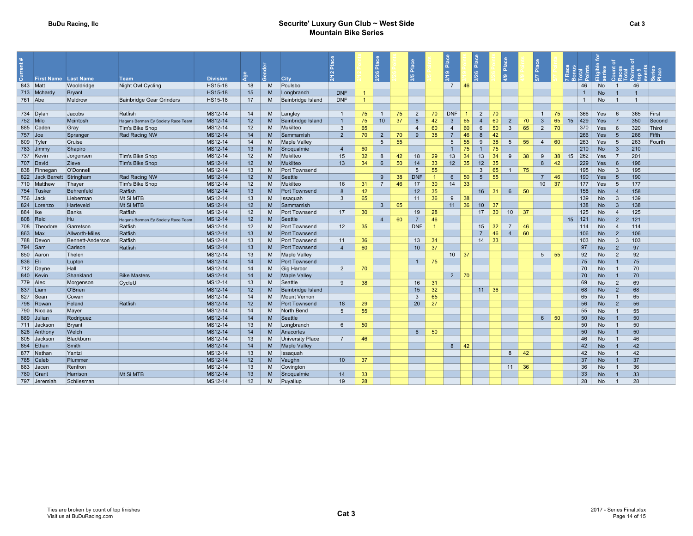| õ.        | <b>First Name</b> Last Name |                  | Team                               | <b>Division</b> | <b>a</b> e | $\epsilon$     | <b>City</b>          |                 |                      | $\frac{a}{b}$<br>26 |    | ءَ<br>ه<br>3/5  |    | Place<br>$\frac{9}{5}$            |                | $\frac{1}{2}$   | Place |                      | $\frac{a}{2}$  |                    |                |            | $O \alpha$      |                |        |
|-----------|-----------------------------|------------------|------------------------------------|-----------------|------------|----------------|----------------------|-----------------|----------------------|---------------------|----|-----------------|----|-----------------------------------|----------------|-----------------|-------|----------------------|----------------|--------------------|----------------|------------|-----------------|----------------|--------|
|           | 843 Matt                    | Wooldridge       | Night Owl Cycling                  | HS15-18         | 18         | M              | Poulsbo              |                 |                      |                     |    |                 |    | $7 \mid 46$                       |                |                 |       |                      |                |                    | 46             | No         | $\overline{1}$  | 46             |        |
|           | 713 Mchardy                 | Bryant           |                                    | <b>HS15-18</b>  | 15         | M              | Longbranch           | <b>DNF</b>      | $\blacktriangleleft$ |                     |    |                 |    |                                   |                |                 |       |                      |                |                    | $\overline{1}$ | <b>No</b>  |                 | $\overline{1}$ |        |
| 761 Abe   |                             | Muldrow          | <b>Bainbridge Gear Grinders</b>    | HS15-18         | 17         | M              | Bainbridge Island    | <b>DNF</b>      | $\blacktriangleleft$ |                     |    |                 |    |                                   |                |                 |       |                      |                |                    | $\overline{1}$ | No         | $\overline{1}$  | $\overline{1}$ |        |
|           |                             |                  |                                    |                 |            |                |                      |                 |                      |                     |    |                 |    |                                   |                |                 |       |                      |                |                    |                |            |                 |                |        |
|           | 734 Dylan                   | Jacobs           | Ratfish                            | MS12-14         | 14         | M              | Langley              | $\overline{1}$  | 75                   | $\overline{1}$      | 75 | 2               | 70 | <b>DNF</b>                        | $\overline{1}$ | 2               | 70    |                      | $\overline{1}$ | 75                 | 366            | Yes        | 6               | 365            | First  |
|           | 752 Milo                    | Mcintosh         | Hagens Berman Ey Society Race Team | MS12-14         | 12         | <b>M</b>       | Bainbridge Island    | $\overline{1}$  | 75                   | 10 <sup>1</sup>     | 37 | 8               | 42 | $\overline{3}$                    | 65             | $\overline{4}$  | 60    | 2<br>70              | $\mathbf{3}$   | 65                 | 429<br>15      | Yes        |                 | 350            | Second |
|           | 885 Cader                   | Gray             | Tim's Bike Shop                    | MS12-14         | 12         | M              | Mukilteo             | $\mathbf{3}$    | 65                   |                     |    | $\overline{4}$  | 60 | $\overline{4}$                    | 60             | 6               | 50    | 65<br>3              | 2              | 70                 | 370            | Yes        |                 | 320            | Third  |
| $757$ Joe |                             | Spranger         | Rad Racing NW                      | MS12-14         | 14         | M              | Sammamish            | $\overline{2}$  | 70                   | $\overline{2}$      | 70 | 9               | 38 | $\overline{7}$                    | 46             | 8               | 42    |                      |                |                    | 266            | Yes        | 5               | 266            | Fifth  |
|           | 809 Tyler                   | Cruise           |                                    | MS12-14         | 14         | M              | <b>Maple Valley</b>  |                 |                      | $\overline{5}$      | 55 |                 |    | 5                                 | 55             | $\mathbf{q}$    | 38    | 55<br>-5             | $\overline{4}$ | 60                 | 263            | Yes        | $5\overline{5}$ | 263            | Fourth |
|           | 783 Jimmy                   | Shapiro          |                                    | MS12-14         | 13         | M              | Snoqualmie           | $\overline{4}$  | 60                   |                     |    |                 |    | $\mathbf{1}$                      | 75             | $\overline{1}$  | 75    |                      |                |                    | 210            | <b>No</b>  | $\overline{3}$  | 210            |        |
|           | 737 Kevin                   | Jorgensen        | Tim's Bike Shop                    | MS12-14         | 12         | M              | Mukilteo             | 15              | 32                   | 8                   | 42 | 18              | 29 | 13                                | 34             | 13              | 34    | 38<br>9              | 9              | 38                 | 262<br>15      | Yes        | $\overline{7}$  | 201            |        |
|           | 707 David                   | Zieve            | Tim's Bike Shop                    | MS12-14         | 12         | M.             | Mukilteo             | 13              | 34                   | $6\phantom{.}6$     | 50 | 14              | 33 | 12 <sup>2</sup>                   | 35             | 12              | 35    |                      | 8              | 42                 | 229            | Yes        | $6\overline{6}$ | 196            |        |
|           | 838 Finnegan                | O'Donnell        |                                    | MS12-14         | 13         | M              | Port Townsend        |                 |                      |                     |    | $5\overline{5}$ | 55 |                                   |                | $\mathbf{3}$    | 65    | 75<br>$\overline{1}$ |                |                    | 195            | No         | $\mathbf{3}$    | 195            |        |
|           | 822 Jack Barrett            | Stringham        | <b>Rad Racing NW</b>               | MS12-14         | 12         | M              | Seattle              |                 |                      | 9                   | 38 | <b>DNF</b>      |    | 6                                 | 50             | $5\overline{5}$ | 55    |                      | $\overline{7}$ | 46                 | 190            | <b>Yes</b> | -5              | 190            |        |
|           | 710 Matthey                 | Thayer           | Tim's Bike Shop                    | MS12-14         | 12         | M              | Mukilteo             | 16              | 31                   | $\overline{7}$      | 46 | 17              | 30 | 14                                | 33             |                 |       |                      |                | $10 \overline{37}$ | 177            | Yes        | -5              | 177            |        |
|           | 754 Tusker                  | Behrenfeld       | Ratfish                            | MS12-14         | 13         | M              | Port Townsend        | 8               | 42                   |                     |    | 12              | 35 |                                   |                | $16$ 31         |       | 50<br>6              |                |                    | 158            | <b>No</b>  | $\Delta$        | 158            |        |
|           | 756 Jack                    | Lieberman        | Mt Si MTB                          | MS12-14         | 13         | M              | Issaguah             | $\mathbf{3}$    | 65                   |                     |    | 11              | 36 | 9                                 | 38             |                 |       |                      |                |                    | 139            | No         | $\overline{3}$  | 139            |        |
|           | 824 Lorenzo                 | Harteveld        | Mt Si MTB                          | MS12-14         | 12         | M <sub>1</sub> | Sammamish            |                 |                      | $\mathbf{3}$        | 65 |                 |    | 11                                | 36             | 10 <sup>1</sup> | 37    |                      |                |                    | 138            | <b>No</b>  |                 | 138            |        |
| 884   Ike |                             | Banks            | Ratfish                            | MS12-14         | 12         | M              | Port Townsend        | 17              | 30                   |                     |    | 19              | 28 |                                   |                | $17 \mid 30$    |       | 10<br>37             |                |                    | 125            | <b>No</b>  | $\overline{4}$  | 125            |        |
|           | 808 Reid                    | Hu               | Hagens Berman Ey Society Race Team | MS12-14         | 12         | M              | Seattle              |                 |                      | $\overline{4}$      | 60 | $\overline{7}$  | 46 |                                   |                |                 |       |                      |                |                    | $15 \mid 121$  | <b>No</b>  | $\overline{2}$  | 121            |        |
|           | 708 Theodore                | Garretson        | Ratfish                            | MS12-14         | 12         | M              | Port Townsend        | 12              | 35                   |                     |    | <b>DNF</b>      |    |                                   |                | $15 \mid 32$    |       | $\overline{7}$<br>46 |                |                    | 114            | No         | $\overline{4}$  | 114            |        |
|           | 863 Max                     | Allworth-Miles   | Ratfish                            | MS12-14         | 13         | M <sub>1</sub> | <b>Port Townsend</b> |                 |                      |                     |    |                 |    |                                   |                | $\overline{7}$  | 46    | 60<br>$\overline{4}$ |                |                    | 106            | <b>No</b>  | $\overline{2}$  | 106            |        |
|           | 788 Devon                   | Bennett-Anderson | Ratfish                            | MS12-14         | 13         | M              | Port Townsend        | 11              | 36                   |                     |    | 13              | 34 |                                   |                | 14              | 33    |                      |                |                    | 103            | No         | $\mathbf{3}$    | 103            |        |
|           | 794 Sam                     | Carlson          | Ratfish                            | MS12-14         | 13         | M              | Port Townsend        | $\overline{4}$  | 60                   |                     |    | 10 <sup>1</sup> | 37 |                                   |                |                 |       |                      |                |                    | 97             | <b>No</b>  | 2               | 97             |        |
|           | 850 Aaron                   | Thelen           |                                    | MS12-14         | 13         | M              | Maple Valley         |                 |                      |                     |    |                 |    | $10 \overline{\smash{\big)}\ 37}$ |                |                 |       |                      | 5 <sub>5</sub> | 55                 | 92             | No         | 2               | 92             |        |
| 836 Eli   |                             | Lupton           |                                    | MS12-14         | 14         | M              | <b>Port Townsend</b> |                 |                      |                     |    | $\overline{1}$  | 75 |                                   |                |                 |       |                      |                |                    | 75             | <b>No</b>  |                 | 75             |        |
|           | 712 Dayne                   | Hall             |                                    | MS12-14         | 14         | M              | Gig Harbor           | $\overline{2}$  | 70                   |                     |    |                 |    |                                   |                |                 |       |                      |                |                    | 70             | <b>No</b>  |                 | 70             |        |
|           | 840 Kevin                   | Shankland        | <b>Bike Masters</b>                | MS12-14         | 14         | M              | <b>Maple Valley</b>  |                 |                      |                     |    |                 |    | $2 \mid 70$                       |                |                 |       |                      |                |                    | 70             | <b>No</b>  |                 | 70             |        |
|           | 779 Alec                    | Morgenson        | CycleU                             | MS12-14         | 13         | M              | Seattle              | 9               | 38                   |                     |    | 16              | 31 |                                   |                |                 |       |                      |                |                    | 69             | No         | 2               | 69             |        |
|           | 837 Liam                    | O'Brien          |                                    | MS12-14         | 12         | M              | Bainbridge Island    |                 |                      |                     |    | 15              | 32 |                                   |                | $11 \quad 36$   |       |                      |                |                    | 68             | <b>No</b>  | 2               | 68             |        |
|           | 827 Sean                    | Cowan            |                                    | MS12-14         | 14         | M              | Mount Vernon         |                 |                      |                     |    | $\mathbf{3}$    | 65 |                                   |                |                 |       |                      |                |                    | 65             | <b>No</b>  | $\overline{1}$  | 65             |        |
|           | 798 Rowar                   | Feland           | Ratfish                            | MS12-14         | 12         | <b>M</b>       | <b>Port Townsend</b> | 18              | 29                   |                     |    | 20              | 27 |                                   |                |                 |       |                      |                |                    | 56             | <b>No</b>  | $\overline{2}$  | 56             |        |
|           | 790 Nicolas                 | Mayer            |                                    | MS12-14         | 14         | M              | North Bend           | $5\phantom{.0}$ | 55                   |                     |    |                 |    |                                   |                |                 |       |                      |                |                    | 55             | <b>No</b>  |                 | 55             |        |
|           | 889 Julian                  | Rodriguez        |                                    | MS12-14         | 14         | M              | Seattle              |                 |                      |                     |    |                 |    |                                   |                |                 |       |                      |                | $6 \mid 50$        | 50             | <b>No</b>  |                 | 50             |        |
|           | 711 Jackson                 | Bryant           |                                    | MS12-14         | 13         | M              | Longbranch           | 6               | 50                   |                     |    |                 |    |                                   |                |                 |       |                      |                |                    | 50             | <b>No</b>  | $\overline{1}$  | 50             |        |
|           | 826 Anthony                 | Welch            |                                    | MS12-14         | 14         | M              | Anacortes            |                 |                      |                     |    | $6\overline{6}$ | 50 |                                   |                |                 |       |                      |                |                    | 50             | <b>No</b>  |                 | 50             |        |
|           | 805 Jackson                 | Blackburn        |                                    | MS12-14         | 13         | M              | University Place     | $\overline{7}$  | 46                   |                     |    |                 |    |                                   |                |                 |       |                      |                |                    | 46             | No         | $\overline{1}$  | 46             |        |
|           | 854 Ethan                   | Smith            |                                    | MS12-14         | 14         | M.             | Maple Valley         |                 |                      |                     |    |                 |    | 8                                 | 42             |                 |       |                      |                |                    | 42             | <b>No</b>  |                 | 42             |        |
|           | 877 Nathar                  | Yantzi           |                                    | MS12-14         | 13         | M              | Issaquah             |                 |                      |                     |    |                 |    |                                   |                |                 |       | 8<br>42              |                |                    | 42             | <b>No</b>  |                 | 42             |        |
|           | 785 Caleb                   | Plummer          |                                    | MS12-14         | 12         | M              | Vaughn               | 10 <sup>°</sup> | 37                   |                     |    |                 |    |                                   |                |                 |       |                      |                |                    | 37             | <b>No</b>  |                 | 37             |        |
|           | 883 Jacer                   | Renfron          |                                    | MS12-14         | 13         | M              | Covington            |                 |                      |                     |    |                 |    |                                   |                |                 |       | 36<br>11             |                |                    | 36             | No         |                 | 36             |        |
|           | 780 Grant                   | Harrison         | Mt Si MTB                          | MS12-14         | 13         | M              | Snoqualmie           | 14              | 33                   |                     |    |                 |    |                                   |                |                 |       |                      |                |                    | 33             | <b>No</b>  |                 | 33             |        |
|           | 797 Jeremiah                | Schliesman       |                                    | MS12-14         | 12         | M              | Puyallup             | 19              | 28                   |                     |    |                 |    |                                   |                |                 |       |                      |                |                    | 28             | No         | $\overline{1}$  | 28             |        |
|           |                             |                  |                                    |                 |            |                |                      |                 |                      |                     |    |                 |    |                                   |                |                 |       |                      |                |                    |                |            |                 |                |        |